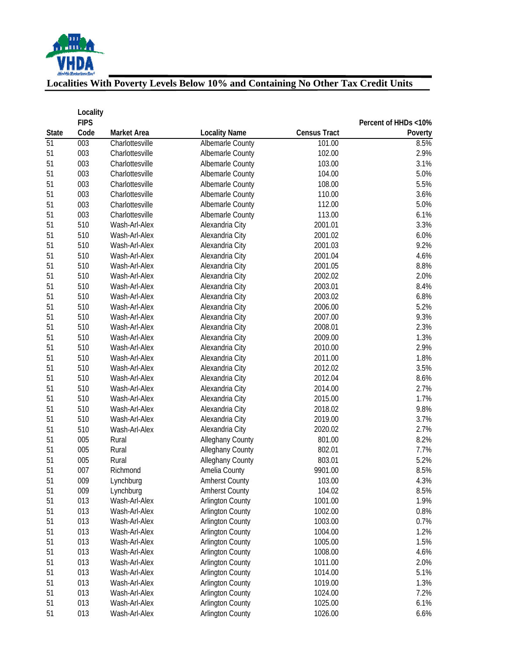

# **Localities With Poverty Levels Below 10% and Containing No Other Tax Credit Units**

| <b>Census Tract</b><br>Code<br>Market Area<br><b>Locality Name</b><br><b>State</b><br>Poverty<br>51<br>003<br>8.5%<br>Charlottesville<br>Albemarle County<br>101.00<br>2.9%<br>51<br>003<br>102.00<br>Charlottesville<br>Albemarle County<br>51<br>003<br>103.00<br>3.1%<br>Charlottesville<br>Albemarle County<br>003<br>5.0%<br>51<br>104.00<br>Charlottesville<br>Albemarle County<br>51<br>003<br>108.00<br>5.5%<br>Charlottesville<br>Albemarle County<br>51<br>003<br>Charlottesville<br>110.00<br>3.6%<br>Albemarle County<br>51<br>003<br>112.00<br>5.0%<br>Charlottesville<br>Albemarle County<br>51<br>003<br>113.00<br>6.1%<br>Charlottesville<br><b>Albemarle County</b><br>51<br>510<br>2001.01<br>3.3%<br>Wash-Arl-Alex<br>Alexandria City<br>51<br>510<br>2001.02<br>6.0%<br>Wash-Arl-Alex<br>Alexandria City<br>9.2%<br>51<br>510<br>Alexandria City<br>2001.03<br>Wash-Arl-Alex<br>510<br>51<br>Alexandria City<br>2001.04<br>4.6%<br>Wash-Arl-Alex<br>510<br>51<br>Alexandria City<br>2001.05<br>8.8%<br>Wash-Arl-Alex<br>51<br>510<br>Alexandria City<br>2002.02<br>2.0%<br>Wash-Arl-Alex<br>51<br>510<br>2003.01<br>8.4%<br>Wash-Arl-Alex<br>Alexandria City<br>6.8%<br>51<br>510<br>2003.02<br>Wash-Arl-Alex<br>Alexandria City<br>510<br>5.2%<br>51<br>Wash-Arl-Alex<br>2006.00<br>Alexandria City<br>9.3%<br>51<br>510<br>2007.00<br>Wash-Arl-Alex<br>Alexandria City<br>2.3%<br>51<br>510<br>Wash-Arl-Alex<br>2008.01<br>Alexandria City<br>51<br>510<br>Wash-Arl-Alex<br>Alexandria City<br>2009.00<br>1.3%<br>510<br>51<br>Wash-Arl-Alex<br>2010.00<br>2.9%<br>Alexandria City<br>510<br>51<br>Alexandria City<br>2011.00<br>1.8%<br>Wash-Arl-Alex<br>510<br>3.5%<br>51<br>2012.02<br>Wash-Arl-Alex<br>Alexandria City<br>51<br>510<br>2012.04<br>8.6%<br>Wash-Arl-Alex<br>Alexandria City<br>51<br>510<br>2.7%<br>Wash-Arl-Alex<br>Alexandria City<br>2014.00<br>51<br>510<br>1.7%<br>Wash-Arl-Alex<br>Alexandria City<br>2015.00<br>51<br>510<br>9.8%<br>Wash-Arl-Alex<br>Alexandria City<br>2018.02<br>51<br>510<br>Alexandria City<br>2019.00<br>3.7%<br>Wash-Arl-Alex<br>51<br>510<br>Alexandria City<br>2020.02<br>2.7%<br>Wash-Arl-Alex<br>8.2%<br>51<br>005<br>Alleghany County<br>801.00<br>Rural<br>51<br>005<br>Alleghany County<br>802.01<br>7.7%<br>Rural<br>5.2%<br>51<br>005<br>Alleghany County<br>803.01<br>Rural<br>8.5%<br>51<br>007<br>9901.00<br>Richmond<br>Amelia County<br>009<br>51<br>Lynchburg<br><b>Amherst County</b><br>103.00<br>4.3%<br>51<br>009<br>Lynchburg<br><b>Amherst County</b><br>104.02<br>8.5%<br>51<br>013<br>Wash-Arl-Alex<br><b>Arlington County</b><br>1001.00<br>1.9%<br>51<br>013<br>Wash-Arl-Alex<br><b>Arlington County</b><br>1002.00<br>0.8%<br>013<br>51<br><b>Arlington County</b><br>1003.00<br>0.7%<br>Wash-Arl-Alex<br>013<br>51<br><b>Arlington County</b><br>1004.00<br>1.2%<br>Wash-Arl-Alex<br>51<br>013<br><b>Arlington County</b><br>1005.00<br>1.5%<br>Wash-Arl-Alex<br>51<br>013<br><b>Arlington County</b><br>1008.00<br>4.6%<br>Wash-Arl-Alex<br>013<br><b>Arlington County</b><br>2.0%<br>51<br>Wash-Arl-Alex<br>1011.00<br>013<br><b>Arlington County</b><br>5.1%<br>51<br>Wash-Arl-Alex<br>1014.00<br>013<br><b>Arlington County</b><br>1.3%<br>51<br>Wash-Arl-Alex<br>1019.00<br>013<br><b>Arlington County</b><br>7.2%<br>51<br>Wash-Arl-Alex<br>1024.00<br>51<br>013<br><b>Arlington County</b><br>1025.00<br>6.1%<br>Wash-Arl-Alex |    | Locality<br><b>FIPS</b> |               |                         |         | Percent of HHDs <10% |
|-----------------------------------------------------------------------------------------------------------------------------------------------------------------------------------------------------------------------------------------------------------------------------------------------------------------------------------------------------------------------------------------------------------------------------------------------------------------------------------------------------------------------------------------------------------------------------------------------------------------------------------------------------------------------------------------------------------------------------------------------------------------------------------------------------------------------------------------------------------------------------------------------------------------------------------------------------------------------------------------------------------------------------------------------------------------------------------------------------------------------------------------------------------------------------------------------------------------------------------------------------------------------------------------------------------------------------------------------------------------------------------------------------------------------------------------------------------------------------------------------------------------------------------------------------------------------------------------------------------------------------------------------------------------------------------------------------------------------------------------------------------------------------------------------------------------------------------------------------------------------------------------------------------------------------------------------------------------------------------------------------------------------------------------------------------------------------------------------------------------------------------------------------------------------------------------------------------------------------------------------------------------------------------------------------------------------------------------------------------------------------------------------------------------------------------------------------------------------------------------------------------------------------------------------------------------------------------------------------------------------------------------------------------------------------------------------------------------------------------------------------------------------------------------------------------------------------------------------------------------------------------------------------------------------------------------------------------------------------------------------------------------------------------------------------------------------------------------------------------------------------------------------------------------------------------------------------------------------------------------------------------------------------------------------------------------------------------------------------------------------------------------------------------------------------------------|----|-------------------------|---------------|-------------------------|---------|----------------------|
|                                                                                                                                                                                                                                                                                                                                                                                                                                                                                                                                                                                                                                                                                                                                                                                                                                                                                                                                                                                                                                                                                                                                                                                                                                                                                                                                                                                                                                                                                                                                                                                                                                                                                                                                                                                                                                                                                                                                                                                                                                                                                                                                                                                                                                                                                                                                                                                                                                                                                                                                                                                                                                                                                                                                                                                                                                                                                                                                                                                                                                                                                                                                                                                                                                                                                                                                                                                                                                         |    |                         |               |                         |         |                      |
|                                                                                                                                                                                                                                                                                                                                                                                                                                                                                                                                                                                                                                                                                                                                                                                                                                                                                                                                                                                                                                                                                                                                                                                                                                                                                                                                                                                                                                                                                                                                                                                                                                                                                                                                                                                                                                                                                                                                                                                                                                                                                                                                                                                                                                                                                                                                                                                                                                                                                                                                                                                                                                                                                                                                                                                                                                                                                                                                                                                                                                                                                                                                                                                                                                                                                                                                                                                                                                         |    |                         |               |                         |         |                      |
|                                                                                                                                                                                                                                                                                                                                                                                                                                                                                                                                                                                                                                                                                                                                                                                                                                                                                                                                                                                                                                                                                                                                                                                                                                                                                                                                                                                                                                                                                                                                                                                                                                                                                                                                                                                                                                                                                                                                                                                                                                                                                                                                                                                                                                                                                                                                                                                                                                                                                                                                                                                                                                                                                                                                                                                                                                                                                                                                                                                                                                                                                                                                                                                                                                                                                                                                                                                                                                         |    |                         |               |                         |         |                      |
|                                                                                                                                                                                                                                                                                                                                                                                                                                                                                                                                                                                                                                                                                                                                                                                                                                                                                                                                                                                                                                                                                                                                                                                                                                                                                                                                                                                                                                                                                                                                                                                                                                                                                                                                                                                                                                                                                                                                                                                                                                                                                                                                                                                                                                                                                                                                                                                                                                                                                                                                                                                                                                                                                                                                                                                                                                                                                                                                                                                                                                                                                                                                                                                                                                                                                                                                                                                                                                         |    |                         |               |                         |         |                      |
|                                                                                                                                                                                                                                                                                                                                                                                                                                                                                                                                                                                                                                                                                                                                                                                                                                                                                                                                                                                                                                                                                                                                                                                                                                                                                                                                                                                                                                                                                                                                                                                                                                                                                                                                                                                                                                                                                                                                                                                                                                                                                                                                                                                                                                                                                                                                                                                                                                                                                                                                                                                                                                                                                                                                                                                                                                                                                                                                                                                                                                                                                                                                                                                                                                                                                                                                                                                                                                         |    |                         |               |                         |         |                      |
|                                                                                                                                                                                                                                                                                                                                                                                                                                                                                                                                                                                                                                                                                                                                                                                                                                                                                                                                                                                                                                                                                                                                                                                                                                                                                                                                                                                                                                                                                                                                                                                                                                                                                                                                                                                                                                                                                                                                                                                                                                                                                                                                                                                                                                                                                                                                                                                                                                                                                                                                                                                                                                                                                                                                                                                                                                                                                                                                                                                                                                                                                                                                                                                                                                                                                                                                                                                                                                         |    |                         |               |                         |         |                      |
|                                                                                                                                                                                                                                                                                                                                                                                                                                                                                                                                                                                                                                                                                                                                                                                                                                                                                                                                                                                                                                                                                                                                                                                                                                                                                                                                                                                                                                                                                                                                                                                                                                                                                                                                                                                                                                                                                                                                                                                                                                                                                                                                                                                                                                                                                                                                                                                                                                                                                                                                                                                                                                                                                                                                                                                                                                                                                                                                                                                                                                                                                                                                                                                                                                                                                                                                                                                                                                         |    |                         |               |                         |         |                      |
|                                                                                                                                                                                                                                                                                                                                                                                                                                                                                                                                                                                                                                                                                                                                                                                                                                                                                                                                                                                                                                                                                                                                                                                                                                                                                                                                                                                                                                                                                                                                                                                                                                                                                                                                                                                                                                                                                                                                                                                                                                                                                                                                                                                                                                                                                                                                                                                                                                                                                                                                                                                                                                                                                                                                                                                                                                                                                                                                                                                                                                                                                                                                                                                                                                                                                                                                                                                                                                         |    |                         |               |                         |         |                      |
|                                                                                                                                                                                                                                                                                                                                                                                                                                                                                                                                                                                                                                                                                                                                                                                                                                                                                                                                                                                                                                                                                                                                                                                                                                                                                                                                                                                                                                                                                                                                                                                                                                                                                                                                                                                                                                                                                                                                                                                                                                                                                                                                                                                                                                                                                                                                                                                                                                                                                                                                                                                                                                                                                                                                                                                                                                                                                                                                                                                                                                                                                                                                                                                                                                                                                                                                                                                                                                         |    |                         |               |                         |         |                      |
|                                                                                                                                                                                                                                                                                                                                                                                                                                                                                                                                                                                                                                                                                                                                                                                                                                                                                                                                                                                                                                                                                                                                                                                                                                                                                                                                                                                                                                                                                                                                                                                                                                                                                                                                                                                                                                                                                                                                                                                                                                                                                                                                                                                                                                                                                                                                                                                                                                                                                                                                                                                                                                                                                                                                                                                                                                                                                                                                                                                                                                                                                                                                                                                                                                                                                                                                                                                                                                         |    |                         |               |                         |         |                      |
|                                                                                                                                                                                                                                                                                                                                                                                                                                                                                                                                                                                                                                                                                                                                                                                                                                                                                                                                                                                                                                                                                                                                                                                                                                                                                                                                                                                                                                                                                                                                                                                                                                                                                                                                                                                                                                                                                                                                                                                                                                                                                                                                                                                                                                                                                                                                                                                                                                                                                                                                                                                                                                                                                                                                                                                                                                                                                                                                                                                                                                                                                                                                                                                                                                                                                                                                                                                                                                         |    |                         |               |                         |         |                      |
|                                                                                                                                                                                                                                                                                                                                                                                                                                                                                                                                                                                                                                                                                                                                                                                                                                                                                                                                                                                                                                                                                                                                                                                                                                                                                                                                                                                                                                                                                                                                                                                                                                                                                                                                                                                                                                                                                                                                                                                                                                                                                                                                                                                                                                                                                                                                                                                                                                                                                                                                                                                                                                                                                                                                                                                                                                                                                                                                                                                                                                                                                                                                                                                                                                                                                                                                                                                                                                         |    |                         |               |                         |         |                      |
|                                                                                                                                                                                                                                                                                                                                                                                                                                                                                                                                                                                                                                                                                                                                                                                                                                                                                                                                                                                                                                                                                                                                                                                                                                                                                                                                                                                                                                                                                                                                                                                                                                                                                                                                                                                                                                                                                                                                                                                                                                                                                                                                                                                                                                                                                                                                                                                                                                                                                                                                                                                                                                                                                                                                                                                                                                                                                                                                                                                                                                                                                                                                                                                                                                                                                                                                                                                                                                         |    |                         |               |                         |         |                      |
|                                                                                                                                                                                                                                                                                                                                                                                                                                                                                                                                                                                                                                                                                                                                                                                                                                                                                                                                                                                                                                                                                                                                                                                                                                                                                                                                                                                                                                                                                                                                                                                                                                                                                                                                                                                                                                                                                                                                                                                                                                                                                                                                                                                                                                                                                                                                                                                                                                                                                                                                                                                                                                                                                                                                                                                                                                                                                                                                                                                                                                                                                                                                                                                                                                                                                                                                                                                                                                         |    |                         |               |                         |         |                      |
|                                                                                                                                                                                                                                                                                                                                                                                                                                                                                                                                                                                                                                                                                                                                                                                                                                                                                                                                                                                                                                                                                                                                                                                                                                                                                                                                                                                                                                                                                                                                                                                                                                                                                                                                                                                                                                                                                                                                                                                                                                                                                                                                                                                                                                                                                                                                                                                                                                                                                                                                                                                                                                                                                                                                                                                                                                                                                                                                                                                                                                                                                                                                                                                                                                                                                                                                                                                                                                         |    |                         |               |                         |         |                      |
|                                                                                                                                                                                                                                                                                                                                                                                                                                                                                                                                                                                                                                                                                                                                                                                                                                                                                                                                                                                                                                                                                                                                                                                                                                                                                                                                                                                                                                                                                                                                                                                                                                                                                                                                                                                                                                                                                                                                                                                                                                                                                                                                                                                                                                                                                                                                                                                                                                                                                                                                                                                                                                                                                                                                                                                                                                                                                                                                                                                                                                                                                                                                                                                                                                                                                                                                                                                                                                         |    |                         |               |                         |         |                      |
|                                                                                                                                                                                                                                                                                                                                                                                                                                                                                                                                                                                                                                                                                                                                                                                                                                                                                                                                                                                                                                                                                                                                                                                                                                                                                                                                                                                                                                                                                                                                                                                                                                                                                                                                                                                                                                                                                                                                                                                                                                                                                                                                                                                                                                                                                                                                                                                                                                                                                                                                                                                                                                                                                                                                                                                                                                                                                                                                                                                                                                                                                                                                                                                                                                                                                                                                                                                                                                         |    |                         |               |                         |         |                      |
|                                                                                                                                                                                                                                                                                                                                                                                                                                                                                                                                                                                                                                                                                                                                                                                                                                                                                                                                                                                                                                                                                                                                                                                                                                                                                                                                                                                                                                                                                                                                                                                                                                                                                                                                                                                                                                                                                                                                                                                                                                                                                                                                                                                                                                                                                                                                                                                                                                                                                                                                                                                                                                                                                                                                                                                                                                                                                                                                                                                                                                                                                                                                                                                                                                                                                                                                                                                                                                         |    |                         |               |                         |         |                      |
|                                                                                                                                                                                                                                                                                                                                                                                                                                                                                                                                                                                                                                                                                                                                                                                                                                                                                                                                                                                                                                                                                                                                                                                                                                                                                                                                                                                                                                                                                                                                                                                                                                                                                                                                                                                                                                                                                                                                                                                                                                                                                                                                                                                                                                                                                                                                                                                                                                                                                                                                                                                                                                                                                                                                                                                                                                                                                                                                                                                                                                                                                                                                                                                                                                                                                                                                                                                                                                         |    |                         |               |                         |         |                      |
|                                                                                                                                                                                                                                                                                                                                                                                                                                                                                                                                                                                                                                                                                                                                                                                                                                                                                                                                                                                                                                                                                                                                                                                                                                                                                                                                                                                                                                                                                                                                                                                                                                                                                                                                                                                                                                                                                                                                                                                                                                                                                                                                                                                                                                                                                                                                                                                                                                                                                                                                                                                                                                                                                                                                                                                                                                                                                                                                                                                                                                                                                                                                                                                                                                                                                                                                                                                                                                         |    |                         |               |                         |         |                      |
|                                                                                                                                                                                                                                                                                                                                                                                                                                                                                                                                                                                                                                                                                                                                                                                                                                                                                                                                                                                                                                                                                                                                                                                                                                                                                                                                                                                                                                                                                                                                                                                                                                                                                                                                                                                                                                                                                                                                                                                                                                                                                                                                                                                                                                                                                                                                                                                                                                                                                                                                                                                                                                                                                                                                                                                                                                                                                                                                                                                                                                                                                                                                                                                                                                                                                                                                                                                                                                         |    |                         |               |                         |         |                      |
|                                                                                                                                                                                                                                                                                                                                                                                                                                                                                                                                                                                                                                                                                                                                                                                                                                                                                                                                                                                                                                                                                                                                                                                                                                                                                                                                                                                                                                                                                                                                                                                                                                                                                                                                                                                                                                                                                                                                                                                                                                                                                                                                                                                                                                                                                                                                                                                                                                                                                                                                                                                                                                                                                                                                                                                                                                                                                                                                                                                                                                                                                                                                                                                                                                                                                                                                                                                                                                         |    |                         |               |                         |         |                      |
|                                                                                                                                                                                                                                                                                                                                                                                                                                                                                                                                                                                                                                                                                                                                                                                                                                                                                                                                                                                                                                                                                                                                                                                                                                                                                                                                                                                                                                                                                                                                                                                                                                                                                                                                                                                                                                                                                                                                                                                                                                                                                                                                                                                                                                                                                                                                                                                                                                                                                                                                                                                                                                                                                                                                                                                                                                                                                                                                                                                                                                                                                                                                                                                                                                                                                                                                                                                                                                         |    |                         |               |                         |         |                      |
|                                                                                                                                                                                                                                                                                                                                                                                                                                                                                                                                                                                                                                                                                                                                                                                                                                                                                                                                                                                                                                                                                                                                                                                                                                                                                                                                                                                                                                                                                                                                                                                                                                                                                                                                                                                                                                                                                                                                                                                                                                                                                                                                                                                                                                                                                                                                                                                                                                                                                                                                                                                                                                                                                                                                                                                                                                                                                                                                                                                                                                                                                                                                                                                                                                                                                                                                                                                                                                         |    |                         |               |                         |         |                      |
|                                                                                                                                                                                                                                                                                                                                                                                                                                                                                                                                                                                                                                                                                                                                                                                                                                                                                                                                                                                                                                                                                                                                                                                                                                                                                                                                                                                                                                                                                                                                                                                                                                                                                                                                                                                                                                                                                                                                                                                                                                                                                                                                                                                                                                                                                                                                                                                                                                                                                                                                                                                                                                                                                                                                                                                                                                                                                                                                                                                                                                                                                                                                                                                                                                                                                                                                                                                                                                         |    |                         |               |                         |         |                      |
|                                                                                                                                                                                                                                                                                                                                                                                                                                                                                                                                                                                                                                                                                                                                                                                                                                                                                                                                                                                                                                                                                                                                                                                                                                                                                                                                                                                                                                                                                                                                                                                                                                                                                                                                                                                                                                                                                                                                                                                                                                                                                                                                                                                                                                                                                                                                                                                                                                                                                                                                                                                                                                                                                                                                                                                                                                                                                                                                                                                                                                                                                                                                                                                                                                                                                                                                                                                                                                         |    |                         |               |                         |         |                      |
|                                                                                                                                                                                                                                                                                                                                                                                                                                                                                                                                                                                                                                                                                                                                                                                                                                                                                                                                                                                                                                                                                                                                                                                                                                                                                                                                                                                                                                                                                                                                                                                                                                                                                                                                                                                                                                                                                                                                                                                                                                                                                                                                                                                                                                                                                                                                                                                                                                                                                                                                                                                                                                                                                                                                                                                                                                                                                                                                                                                                                                                                                                                                                                                                                                                                                                                                                                                                                                         |    |                         |               |                         |         |                      |
|                                                                                                                                                                                                                                                                                                                                                                                                                                                                                                                                                                                                                                                                                                                                                                                                                                                                                                                                                                                                                                                                                                                                                                                                                                                                                                                                                                                                                                                                                                                                                                                                                                                                                                                                                                                                                                                                                                                                                                                                                                                                                                                                                                                                                                                                                                                                                                                                                                                                                                                                                                                                                                                                                                                                                                                                                                                                                                                                                                                                                                                                                                                                                                                                                                                                                                                                                                                                                                         |    |                         |               |                         |         |                      |
|                                                                                                                                                                                                                                                                                                                                                                                                                                                                                                                                                                                                                                                                                                                                                                                                                                                                                                                                                                                                                                                                                                                                                                                                                                                                                                                                                                                                                                                                                                                                                                                                                                                                                                                                                                                                                                                                                                                                                                                                                                                                                                                                                                                                                                                                                                                                                                                                                                                                                                                                                                                                                                                                                                                                                                                                                                                                                                                                                                                                                                                                                                                                                                                                                                                                                                                                                                                                                                         |    |                         |               |                         |         |                      |
|                                                                                                                                                                                                                                                                                                                                                                                                                                                                                                                                                                                                                                                                                                                                                                                                                                                                                                                                                                                                                                                                                                                                                                                                                                                                                                                                                                                                                                                                                                                                                                                                                                                                                                                                                                                                                                                                                                                                                                                                                                                                                                                                                                                                                                                                                                                                                                                                                                                                                                                                                                                                                                                                                                                                                                                                                                                                                                                                                                                                                                                                                                                                                                                                                                                                                                                                                                                                                                         |    |                         |               |                         |         |                      |
|                                                                                                                                                                                                                                                                                                                                                                                                                                                                                                                                                                                                                                                                                                                                                                                                                                                                                                                                                                                                                                                                                                                                                                                                                                                                                                                                                                                                                                                                                                                                                                                                                                                                                                                                                                                                                                                                                                                                                                                                                                                                                                                                                                                                                                                                                                                                                                                                                                                                                                                                                                                                                                                                                                                                                                                                                                                                                                                                                                                                                                                                                                                                                                                                                                                                                                                                                                                                                                         |    |                         |               |                         |         |                      |
|                                                                                                                                                                                                                                                                                                                                                                                                                                                                                                                                                                                                                                                                                                                                                                                                                                                                                                                                                                                                                                                                                                                                                                                                                                                                                                                                                                                                                                                                                                                                                                                                                                                                                                                                                                                                                                                                                                                                                                                                                                                                                                                                                                                                                                                                                                                                                                                                                                                                                                                                                                                                                                                                                                                                                                                                                                                                                                                                                                                                                                                                                                                                                                                                                                                                                                                                                                                                                                         |    |                         |               |                         |         |                      |
|                                                                                                                                                                                                                                                                                                                                                                                                                                                                                                                                                                                                                                                                                                                                                                                                                                                                                                                                                                                                                                                                                                                                                                                                                                                                                                                                                                                                                                                                                                                                                                                                                                                                                                                                                                                                                                                                                                                                                                                                                                                                                                                                                                                                                                                                                                                                                                                                                                                                                                                                                                                                                                                                                                                                                                                                                                                                                                                                                                                                                                                                                                                                                                                                                                                                                                                                                                                                                                         |    |                         |               |                         |         |                      |
|                                                                                                                                                                                                                                                                                                                                                                                                                                                                                                                                                                                                                                                                                                                                                                                                                                                                                                                                                                                                                                                                                                                                                                                                                                                                                                                                                                                                                                                                                                                                                                                                                                                                                                                                                                                                                                                                                                                                                                                                                                                                                                                                                                                                                                                                                                                                                                                                                                                                                                                                                                                                                                                                                                                                                                                                                                                                                                                                                                                                                                                                                                                                                                                                                                                                                                                                                                                                                                         |    |                         |               |                         |         |                      |
|                                                                                                                                                                                                                                                                                                                                                                                                                                                                                                                                                                                                                                                                                                                                                                                                                                                                                                                                                                                                                                                                                                                                                                                                                                                                                                                                                                                                                                                                                                                                                                                                                                                                                                                                                                                                                                                                                                                                                                                                                                                                                                                                                                                                                                                                                                                                                                                                                                                                                                                                                                                                                                                                                                                                                                                                                                                                                                                                                                                                                                                                                                                                                                                                                                                                                                                                                                                                                                         |    |                         |               |                         |         |                      |
|                                                                                                                                                                                                                                                                                                                                                                                                                                                                                                                                                                                                                                                                                                                                                                                                                                                                                                                                                                                                                                                                                                                                                                                                                                                                                                                                                                                                                                                                                                                                                                                                                                                                                                                                                                                                                                                                                                                                                                                                                                                                                                                                                                                                                                                                                                                                                                                                                                                                                                                                                                                                                                                                                                                                                                                                                                                                                                                                                                                                                                                                                                                                                                                                                                                                                                                                                                                                                                         |    |                         |               |                         |         |                      |
|                                                                                                                                                                                                                                                                                                                                                                                                                                                                                                                                                                                                                                                                                                                                                                                                                                                                                                                                                                                                                                                                                                                                                                                                                                                                                                                                                                                                                                                                                                                                                                                                                                                                                                                                                                                                                                                                                                                                                                                                                                                                                                                                                                                                                                                                                                                                                                                                                                                                                                                                                                                                                                                                                                                                                                                                                                                                                                                                                                                                                                                                                                                                                                                                                                                                                                                                                                                                                                         |    |                         |               |                         |         |                      |
|                                                                                                                                                                                                                                                                                                                                                                                                                                                                                                                                                                                                                                                                                                                                                                                                                                                                                                                                                                                                                                                                                                                                                                                                                                                                                                                                                                                                                                                                                                                                                                                                                                                                                                                                                                                                                                                                                                                                                                                                                                                                                                                                                                                                                                                                                                                                                                                                                                                                                                                                                                                                                                                                                                                                                                                                                                                                                                                                                                                                                                                                                                                                                                                                                                                                                                                                                                                                                                         |    |                         |               |                         |         |                      |
|                                                                                                                                                                                                                                                                                                                                                                                                                                                                                                                                                                                                                                                                                                                                                                                                                                                                                                                                                                                                                                                                                                                                                                                                                                                                                                                                                                                                                                                                                                                                                                                                                                                                                                                                                                                                                                                                                                                                                                                                                                                                                                                                                                                                                                                                                                                                                                                                                                                                                                                                                                                                                                                                                                                                                                                                                                                                                                                                                                                                                                                                                                                                                                                                                                                                                                                                                                                                                                         |    |                         |               |                         |         |                      |
|                                                                                                                                                                                                                                                                                                                                                                                                                                                                                                                                                                                                                                                                                                                                                                                                                                                                                                                                                                                                                                                                                                                                                                                                                                                                                                                                                                                                                                                                                                                                                                                                                                                                                                                                                                                                                                                                                                                                                                                                                                                                                                                                                                                                                                                                                                                                                                                                                                                                                                                                                                                                                                                                                                                                                                                                                                                                                                                                                                                                                                                                                                                                                                                                                                                                                                                                                                                                                                         |    |                         |               |                         |         |                      |
|                                                                                                                                                                                                                                                                                                                                                                                                                                                                                                                                                                                                                                                                                                                                                                                                                                                                                                                                                                                                                                                                                                                                                                                                                                                                                                                                                                                                                                                                                                                                                                                                                                                                                                                                                                                                                                                                                                                                                                                                                                                                                                                                                                                                                                                                                                                                                                                                                                                                                                                                                                                                                                                                                                                                                                                                                                                                                                                                                                                                                                                                                                                                                                                                                                                                                                                                                                                                                                         |    |                         |               |                         |         |                      |
|                                                                                                                                                                                                                                                                                                                                                                                                                                                                                                                                                                                                                                                                                                                                                                                                                                                                                                                                                                                                                                                                                                                                                                                                                                                                                                                                                                                                                                                                                                                                                                                                                                                                                                                                                                                                                                                                                                                                                                                                                                                                                                                                                                                                                                                                                                                                                                                                                                                                                                                                                                                                                                                                                                                                                                                                                                                                                                                                                                                                                                                                                                                                                                                                                                                                                                                                                                                                                                         |    |                         |               |                         |         |                      |
|                                                                                                                                                                                                                                                                                                                                                                                                                                                                                                                                                                                                                                                                                                                                                                                                                                                                                                                                                                                                                                                                                                                                                                                                                                                                                                                                                                                                                                                                                                                                                                                                                                                                                                                                                                                                                                                                                                                                                                                                                                                                                                                                                                                                                                                                                                                                                                                                                                                                                                                                                                                                                                                                                                                                                                                                                                                                                                                                                                                                                                                                                                                                                                                                                                                                                                                                                                                                                                         |    |                         |               |                         |         |                      |
|                                                                                                                                                                                                                                                                                                                                                                                                                                                                                                                                                                                                                                                                                                                                                                                                                                                                                                                                                                                                                                                                                                                                                                                                                                                                                                                                                                                                                                                                                                                                                                                                                                                                                                                                                                                                                                                                                                                                                                                                                                                                                                                                                                                                                                                                                                                                                                                                                                                                                                                                                                                                                                                                                                                                                                                                                                                                                                                                                                                                                                                                                                                                                                                                                                                                                                                                                                                                                                         |    |                         |               |                         |         |                      |
|                                                                                                                                                                                                                                                                                                                                                                                                                                                                                                                                                                                                                                                                                                                                                                                                                                                                                                                                                                                                                                                                                                                                                                                                                                                                                                                                                                                                                                                                                                                                                                                                                                                                                                                                                                                                                                                                                                                                                                                                                                                                                                                                                                                                                                                                                                                                                                                                                                                                                                                                                                                                                                                                                                                                                                                                                                                                                                                                                                                                                                                                                                                                                                                                                                                                                                                                                                                                                                         |    |                         |               |                         |         |                      |
|                                                                                                                                                                                                                                                                                                                                                                                                                                                                                                                                                                                                                                                                                                                                                                                                                                                                                                                                                                                                                                                                                                                                                                                                                                                                                                                                                                                                                                                                                                                                                                                                                                                                                                                                                                                                                                                                                                                                                                                                                                                                                                                                                                                                                                                                                                                                                                                                                                                                                                                                                                                                                                                                                                                                                                                                                                                                                                                                                                                                                                                                                                                                                                                                                                                                                                                                                                                                                                         |    |                         |               |                         |         |                      |
|                                                                                                                                                                                                                                                                                                                                                                                                                                                                                                                                                                                                                                                                                                                                                                                                                                                                                                                                                                                                                                                                                                                                                                                                                                                                                                                                                                                                                                                                                                                                                                                                                                                                                                                                                                                                                                                                                                                                                                                                                                                                                                                                                                                                                                                                                                                                                                                                                                                                                                                                                                                                                                                                                                                                                                                                                                                                                                                                                                                                                                                                                                                                                                                                                                                                                                                                                                                                                                         |    |                         |               |                         |         |                      |
|                                                                                                                                                                                                                                                                                                                                                                                                                                                                                                                                                                                                                                                                                                                                                                                                                                                                                                                                                                                                                                                                                                                                                                                                                                                                                                                                                                                                                                                                                                                                                                                                                                                                                                                                                                                                                                                                                                                                                                                                                                                                                                                                                                                                                                                                                                                                                                                                                                                                                                                                                                                                                                                                                                                                                                                                                                                                                                                                                                                                                                                                                                                                                                                                                                                                                                                                                                                                                                         | 51 | 013                     | Wash-Arl-Alex | <b>Arlington County</b> | 1026.00 | 6.6%                 |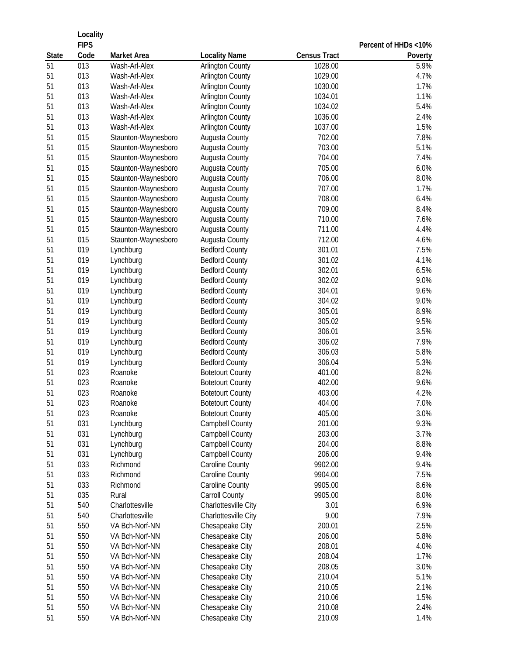|              | Locality         |                                            |                                           |                     |                      |
|--------------|------------------|--------------------------------------------|-------------------------------------------|---------------------|----------------------|
|              | <b>FIPS</b>      |                                            |                                           |                     | Percent of HHDs <10% |
| <b>State</b> | Code             | <b>Market Area</b>                         | <b>Locality Name</b>                      | <b>Census Tract</b> | Poverty              |
| 51           | $\overline{013}$ | Wash-Arl-Alex                              | <b>Arlington County</b>                   | 1028.00             | 5.9%                 |
| 51           | 013              | Wash-Arl-Alex                              | <b>Arlington County</b>                   | 1029.00             | 4.7%                 |
| 51           | 013              | Wash-Arl-Alex                              | <b>Arlington County</b>                   | 1030.00             | 1.7%                 |
| 51           | 013<br>013       | Wash-Arl-Alex                              | <b>Arlington County</b>                   | 1034.01             | 1.1%                 |
| 51           | 013              | Wash-Arl-Alex                              | <b>Arlington County</b>                   | 1034.02             | 5.4%                 |
| 51<br>51     | 013              | Wash-Arl-Alex<br>Wash-Arl-Alex             | <b>Arlington County</b>                   | 1036.00<br>1037.00  | 2.4%<br>1.5%         |
| 51           | 015              | Staunton-Waynesboro                        | <b>Arlington County</b><br>Augusta County | 702.00              | 7.8%                 |
| 51           | 015              | Staunton-Waynesboro                        | Augusta County                            | 703.00              | 5.1%                 |
| 51           | 015              | Staunton-Waynesboro                        | Augusta County                            | 704.00              | 7.4%                 |
| 51           | 015              | Staunton-Waynesboro                        | Augusta County                            | 705.00              | 6.0%                 |
| 51           | 015              | Staunton-Waynesboro                        | Augusta County                            | 706.00              | 8.0%                 |
| 51           | 015              | Staunton-Waynesboro                        | Augusta County                            | 707.00              | 1.7%                 |
| 51           | 015              | Staunton-Waynesboro                        | Augusta County                            | 708.00              | 6.4%                 |
| 51           | 015              | Staunton-Waynesboro                        | Augusta County                            | 709.00              | 8.4%                 |
| 51           | 015              |                                            | Augusta County                            | 710.00              | 7.6%                 |
| 51           | 015              | Staunton-Waynesboro<br>Staunton-Waynesboro |                                           | 711.00              | 4.4%                 |
| 51           | 015              | Staunton-Waynesboro                        | Augusta County                            | 712.00              | 4.6%                 |
|              |                  |                                            | Augusta County                            |                     |                      |
| 51           | 019              | Lynchburg                                  | <b>Bedford County</b>                     | 301.01              | 7.5%                 |
| 51           | 019              | Lynchburg                                  | <b>Bedford County</b>                     | 301.02              | 4.1%                 |
| 51           | 019              | Lynchburg                                  | <b>Bedford County</b>                     | 302.01              | 6.5%                 |
| 51           | 019              | Lynchburg                                  | <b>Bedford County</b>                     | 302.02              | 9.0%                 |
| 51           | 019              | Lynchburg                                  | <b>Bedford County</b>                     | 304.01              | 9.6%                 |
| 51           | 019              | Lynchburg                                  | <b>Bedford County</b>                     | 304.02              | 9.0%                 |
| 51           | 019              | Lynchburg                                  | <b>Bedford County</b>                     | 305.01              | 8.9%                 |
| 51           | 019              | Lynchburg                                  | <b>Bedford County</b>                     | 305.02              | 9.5%                 |
| 51           | 019              | Lynchburg                                  | <b>Bedford County</b>                     | 306.01              | 3.5%                 |
| 51           | 019              | Lynchburg                                  | <b>Bedford County</b>                     | 306.02              | 7.9%                 |
| 51           | 019              | Lynchburg                                  | <b>Bedford County</b>                     | 306.03              | 5.8%                 |
| 51           | 019              | Lynchburg                                  | <b>Bedford County</b>                     | 306.04              | 5.3%                 |
| 51           | 023              | Roanoke                                    | <b>Botetourt County</b>                   | 401.00              | 8.2%                 |
| 51           | 023              | Roanoke                                    | <b>Botetourt County</b>                   | 402.00              | 9.6%                 |
| 51           | 023              | Roanoke                                    | <b>Botetourt County</b>                   | 403.00              | 4.2%                 |
| 51           | 023              | Roanoke                                    | <b>Botetourt County</b>                   | 404.00              | 7.0%                 |
| 51           | 023              | Roanoke                                    | <b>Botetourt County</b>                   | 405.00              | 3.0%                 |
| 51           | 031              | Lynchburg                                  | Campbell County                           | 201.00              | 9.3%                 |
| 51           | 031              | Lynchburg                                  | <b>Campbell County</b>                    | 203.00              | 3.7%                 |
| 51           | 031              | Lynchburg                                  | Campbell County                           | 204.00              | 8.8%                 |
| 51           | 031              | Lynchburg                                  | Campbell County                           | 206.00              | 9.4%                 |
| 51           | 033              | Richmond                                   | Caroline County                           | 9902.00             | 9.4%                 |
| 51           | 033              | Richmond                                   | Caroline County                           | 9904.00             | 7.5%                 |
| 51           | 033              | Richmond                                   | Caroline County                           | 9905.00             | 8.6%                 |
| 51           | 035              | Rural                                      | Carroll County                            | 9905.00             | 8.0%                 |
| 51           | 540              | Charlottesville                            | Charlottesville City                      | 3.01                | 6.9%                 |
| 51           | 540              | Charlottesville                            | Charlottesville City                      | 9.00                | 7.9%                 |
| 51           | 550              | VA Bch-Norf-NN                             | Chesapeake City                           | 200.01              | 2.5%                 |
| 51           | 550              | VA Bch-Norf-NN                             | Chesapeake City                           | 206.00              | 5.8%                 |
| 51           | 550              | VA Bch-Norf-NN                             | Chesapeake City                           | 208.01              | 4.0%                 |
| 51           | 550              | VA Bch-Norf-NN                             | Chesapeake City                           | 208.04              | 1.7%                 |
| 51           | 550              | VA Bch-Norf-NN                             | Chesapeake City                           | 208.05              | 3.0%                 |
| 51           | 550              | VA Bch-Norf-NN                             | Chesapeake City                           | 210.04              | 5.1%                 |
| 51           | 550              | VA Bch-Norf-NN                             | Chesapeake City                           | 210.05              | 2.1%                 |
| 51           | 550              | VA Bch-Norf-NN                             | Chesapeake City                           | 210.06              | 1.5%                 |
| 51           | 550              | VA Bch-Norf-NN                             | Chesapeake City                           | 210.08              | 2.4%                 |
| 51           | 550              | VA Bch-Norf-NN                             | Chesapeake City                           | 210.09              | 1.4%                 |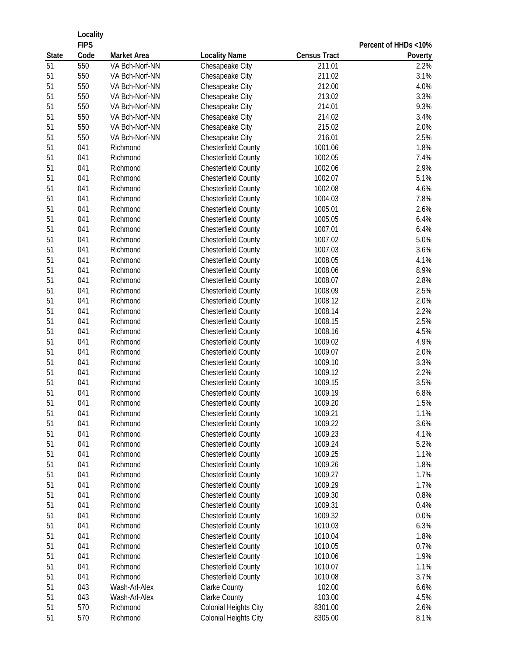|              | Locality<br><b>FIPS</b> |                    |                            |                     |                                 |  |
|--------------|-------------------------|--------------------|----------------------------|---------------------|---------------------------------|--|
| <b>State</b> | Code                    | <b>Market Area</b> | <b>Locality Name</b>       | <b>Census Tract</b> | Percent of HHDs <10%<br>Poverty |  |
| 51           | 550                     | VA Bch-Norf-NN     | Chesapeake City            | 211.01              | 2.2%                            |  |
| 51           | 550                     | VA Bch-Norf-NN     | Chesapeake City            | 211.02              | 3.1%                            |  |
| 51           | 550                     | VA Bch-Norf-NN     | Chesapeake City            | 212.00              | 4.0%                            |  |
| 51           | 550                     | VA Bch-Norf-NN     | Chesapeake City            | 213.02              | 3.3%                            |  |
| 51           | 550                     | VA Bch-Norf-NN     | Chesapeake City            | 214.01              | 9.3%                            |  |
| 51           | 550                     | VA Bch-Norf-NN     | Chesapeake City            | 214.02              | 3.4%                            |  |
| 51           | 550                     | VA Bch-Norf-NN     | Chesapeake City            | 215.02              | 2.0%                            |  |
| 51           | 550                     | VA Bch-Norf-NN     | Chesapeake City            | 216.01              | 2.5%                            |  |
| 51           | 041                     | Richmond           | Chesterfield County        | 1001.06             | 1.8%                            |  |
| 51           | 041                     | Richmond           | Chesterfield County        | 1002.05             | 7.4%                            |  |
| 51           | 041                     | Richmond           | <b>Chesterfield County</b> | 1002.06             | 2.9%                            |  |
| 51           | 041                     | Richmond           | <b>Chesterfield County</b> | 1002.07             | 5.1%                            |  |
| 51           | 041                     | Richmond           | <b>Chesterfield County</b> | 1002.08             | 4.6%                            |  |
| 51           | 041                     | Richmond           | <b>Chesterfield County</b> | 1004.03             | 7.8%                            |  |
| 51           | 041                     | Richmond           | <b>Chesterfield County</b> | 1005.01             | 2.6%                            |  |
| 51           | 041                     | Richmond           | <b>Chesterfield County</b> | 1005.05             | 6.4%                            |  |
| 51           | 041                     | Richmond           | <b>Chesterfield County</b> | 1007.01             | 6.4%                            |  |
| 51           | 041                     | Richmond           | <b>Chesterfield County</b> | 1007.02             | 5.0%                            |  |
| 51           | 041                     | Richmond           | <b>Chesterfield County</b> | 1007.03             | 3.6%                            |  |
| 51           | 041                     | Richmond           | <b>Chesterfield County</b> | 1008.05             | 4.1%                            |  |
| 51           | 041                     | Richmond           | <b>Chesterfield County</b> | 1008.06             | 8.9%                            |  |
| 51           | 041                     | Richmond           | <b>Chesterfield County</b> | 1008.07             | 2.8%                            |  |
| 51           | 041                     | Richmond           | <b>Chesterfield County</b> | 1008.09             | 2.5%                            |  |
| 51           | 041                     | Richmond           | <b>Chesterfield County</b> | 1008.12             | 2.0%                            |  |
| 51           | 041                     | Richmond           | <b>Chesterfield County</b> | 1008.14             | 2.2%                            |  |
| 51           | 041                     | Richmond           | <b>Chesterfield County</b> | 1008.15             | 2.5%                            |  |
| 51           | 041                     | Richmond           | <b>Chesterfield County</b> | 1008.16             | 4.5%                            |  |
| 51           | 041                     | Richmond           | <b>Chesterfield County</b> | 1009.02             | 4.9%                            |  |
| 51           | 041                     | Richmond           | <b>Chesterfield County</b> | 1009.07             | 2.0%                            |  |
| 51           | 041                     | Richmond           | <b>Chesterfield County</b> | 1009.10             | 3.3%                            |  |
| 51           | 041                     | Richmond           | <b>Chesterfield County</b> | 1009.12             | 2.2%                            |  |
| 51           | 041                     | Richmond           | <b>Chesterfield County</b> | 1009.15             | 3.5%                            |  |
| 51           | 041                     | Richmond           | <b>Chesterfield County</b> | 1009.19             | 6.8%                            |  |
| 51           | 041                     | Richmond           | <b>Chesterfield County</b> | 1009.20             | 1.5%                            |  |
| 51           | 041                     | Richmond           | <b>Chesterfield County</b> | 1009.21             | 1.1%                            |  |
| 51           | 041                     | Richmond           | <b>Chesterfield County</b> | 1009.22             | 3.6%                            |  |
| 51           | 041                     | Richmond           | <b>Chesterfield County</b> | 1009.23             | 4.1%                            |  |
| 51           | 041                     | Richmond           | <b>Chesterfield County</b> | 1009.24             | 5.2%                            |  |
| 51           | 041                     | Richmond           | Chesterfield County        | 1009.25             | 1.1%                            |  |
| 51           | 041                     | Richmond           | <b>Chesterfield County</b> | 1009.26             | 1.8%                            |  |
| 51           | 041                     | Richmond           | <b>Chesterfield County</b> | 1009.27             | 1.7%                            |  |
| 51           | 041                     | Richmond           | <b>Chesterfield County</b> | 1009.29             | 1.7%                            |  |
| 51           | 041                     | Richmond           | <b>Chesterfield County</b> | 1009.30             | 0.8%                            |  |
| 51           | 041                     | Richmond           | <b>Chesterfield County</b> | 1009.31             | 0.4%                            |  |
| 51           | 041                     | Richmond           | <b>Chesterfield County</b> | 1009.32             | 0.0%                            |  |
| 51           | 041                     | Richmond           | <b>Chesterfield County</b> | 1010.03             | 6.3%                            |  |
| 51           | 041                     | Richmond           | <b>Chesterfield County</b> | 1010.04             | 1.8%                            |  |
| 51           | 041                     | Richmond           | <b>Chesterfield County</b> | 1010.05             | 0.7%                            |  |
| 51           | 041                     | Richmond           | <b>Chesterfield County</b> | 1010.06             | 1.9%                            |  |
| 51           | 041                     | Richmond           | <b>Chesterfield County</b> | 1010.07             | 1.1%                            |  |
| 51           | 041                     | Richmond           | <b>Chesterfield County</b> | 1010.08             | 3.7%                            |  |
| 51           | 043                     | Wash-Arl-Alex      | Clarke County              | 102.00              | 6.6%                            |  |
| 51           | 043                     | Wash-Arl-Alex      | Clarke County              | 103.00              | 4.5%                            |  |
| 51           | 570                     | Richmond           | Colonial Heights City      | 8301.00             | 2.6%                            |  |
| 51           | 570                     | Richmond           | Colonial Heights City      | 8305.00             | 8.1%                            |  |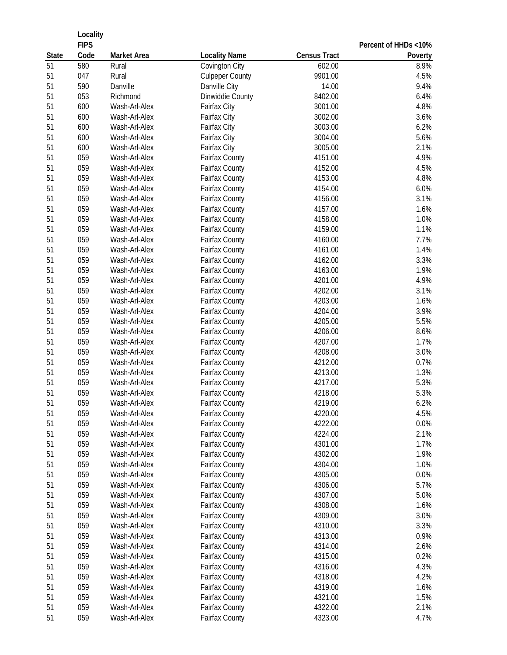| Code<br><b>Census Tract</b><br><b>State</b><br>Market Area<br><b>Locality Name</b><br>Poverty<br>51<br>580<br><b>Covington City</b><br>8.9%<br>Rural<br>602.00<br>51<br>047<br>Rural<br><b>Culpeper County</b><br>9901.00<br>4.5%<br>51<br>590<br>Danville<br>Danville City<br>14.00<br>9.4%<br>51<br>053<br>Richmond<br>Dinwiddie County<br>8402.00<br>6.4%<br>4.8%<br>51<br>600<br>Wash-Arl-Alex<br>3001.00<br><b>Fairfax City</b><br>600<br>51<br>Wash-Arl-Alex<br>Fairfax City<br>3002.00<br>3.6%<br>51<br>600<br>Fairfax City<br>3003.00<br>6.2%<br>Wash-Arl-Alex<br>5.6%<br>51<br>600<br>Fairfax City<br>Wash-Arl-Alex<br>3004.00<br>51<br>600<br>Fairfax City<br>2.1%<br>Wash-Arl-Alex<br>3005.00<br>059<br>51<br>Wash-Arl-Alex<br>Fairfax County<br>4151.00<br>4.9%<br>059<br>51<br>Wash-Arl-Alex<br>Fairfax County<br>4152.00<br>4.5%<br>51<br>059<br>Wash-Arl-Alex<br>Fairfax County<br>4153.00<br>4.8%<br>059<br>51<br>Fairfax County<br>4154.00<br>6.0%<br>Wash-Arl-Alex<br>51<br>059<br>3.1%<br>Wash-Arl-Alex<br>Fairfax County<br>4156.00<br>51<br>059<br>Wash-Arl-Alex<br>Fairfax County<br>4157.00<br>1.6%<br>51<br>059<br>Wash-Arl-Alex<br>Fairfax County<br>4158.00<br>1.0%<br>51<br>059<br>Fairfax County<br>1.1%<br>Wash-Arl-Alex<br>4159.00<br>059<br>51<br>Wash-Arl-Alex<br>Fairfax County<br>4160.00<br>7.7%<br>51<br>059<br>Wash-Arl-Alex<br>Fairfax County<br>4161.00<br>1.4%<br>51<br>059<br>Wash-Arl-Alex<br>Fairfax County<br>4162.00<br>3.3%<br>059<br>51<br>Fairfax County<br>4163.00<br>1.9%<br>Wash-Arl-Alex<br>059<br>51<br>Fairfax County<br>4201.00<br>4.9%<br>Wash-Arl-Alex<br>059<br>51<br>4202.00<br>3.1%<br>Wash-Arl-Alex<br><b>Fairfax County</b><br>059<br>51<br>Fairfax County<br>4203.00<br>1.6%<br>Wash-Arl-Alex<br>51<br>059<br>Fairfax County<br>3.9%<br>Wash-Arl-Alex<br>4204.00<br>51<br>059<br>5.5%<br>Wash-Arl-Alex<br><b>Fairfax County</b><br>4205.00<br>51<br>059<br>8.6%<br>Wash-Arl-Alex<br><b>Fairfax County</b><br>4206.00<br>059<br>51<br>Fairfax County<br>4207.00<br>1.7%<br>Wash-Arl-Alex<br>51<br>059<br>Fairfax County<br>3.0%<br>Wash-Arl-Alex<br>4208.00<br>059<br>51<br>Fairfax County<br>4212.00<br>0.7%<br>Wash-Arl-Alex<br>51<br>059<br>Fairfax County<br>4213.00<br>1.3%<br>Wash-Arl-Alex<br>51<br>059<br>5.3%<br>Fairfax County<br>4217.00<br>Wash-Arl-Alex<br>51<br>059<br>5.3%<br><b>Fairfax County</b><br>Wash-Arl-Alex<br>4218.00<br>51<br>059<br>Wash-Arl-Alex<br><b>Fairfax County</b><br>4219.00<br>6.2%<br>51<br>059<br>Wash-Arl-Alex<br>Fairfax County<br>4220.00<br>4.5%<br>51<br>059<br>Fairfax County<br>4222.00<br>0.0%<br>Wash-Arl-Alex<br>059<br>51<br>Fairfax County<br>2.1%<br>Wash-Arl-Alex<br>4224.00<br>059<br>Fairfax County<br>1.7%<br>51<br>Wash-Arl-Alex<br>4301.00<br>059<br>51<br>4302.00<br>1.9%<br>Wash-Arl-Alex<br><b>Fairfax County</b><br>059<br>51<br>1.0%<br>Wash-Arl-Alex<br><b>Fairfax County</b><br>4304.00<br>059<br>51<br>Fairfax County<br>0.0%<br>Wash-Arl-Alex<br>4305.00<br>059<br>5.7%<br>51<br>Wash-Arl-Alex<br><b>Fairfax County</b><br>4306.00<br>059<br>51<br>Fairfax County<br>4307.00<br>5.0%<br>Wash-Arl-Alex<br>51<br>059<br>Fairfax County<br>1.6%<br>Wash-Arl-Alex<br>4308.00<br>059<br>51<br>Fairfax County<br>3.0%<br>Wash-Arl-Alex<br>4309.00<br>059<br>51<br>3.3%<br>Wash-Arl-Alex<br><b>Fairfax County</b><br>4310.00<br>059<br>51<br>0.9%<br>Wash-Arl-Alex<br><b>Fairfax County</b><br>4313.00<br>51<br>059<br>2.6%<br>Wash-Arl-Alex<br><b>Fairfax County</b><br>4314.00<br>51<br>059<br>Fairfax County<br>0.2%<br>Wash-Arl-Alex<br>4315.00<br>51<br>059<br>4.3%<br>Wash-Arl-Alex<br><b>Fairfax County</b><br>4316.00<br>51<br>059<br>Wash-Arl-Alex<br><b>Fairfax County</b><br>4318.00<br>4.2%<br>51<br>059<br>Wash-Arl-Alex<br><b>Fairfax County</b><br>4319.00<br>1.6%<br>51<br>059<br>1.5%<br>Wash-Arl-Alex<br><b>Fairfax County</b><br>4321.00<br>059<br>51<br>Wash-Arl-Alex<br>Fairfax County<br>4322.00<br>2.1% | Locality<br><b>FIPS</b> |               |                |         | Percent of HHDs <10% |
|----------------------------------------------------------------------------------------------------------------------------------------------------------------------------------------------------------------------------------------------------------------------------------------------------------------------------------------------------------------------------------------------------------------------------------------------------------------------------------------------------------------------------------------------------------------------------------------------------------------------------------------------------------------------------------------------------------------------------------------------------------------------------------------------------------------------------------------------------------------------------------------------------------------------------------------------------------------------------------------------------------------------------------------------------------------------------------------------------------------------------------------------------------------------------------------------------------------------------------------------------------------------------------------------------------------------------------------------------------------------------------------------------------------------------------------------------------------------------------------------------------------------------------------------------------------------------------------------------------------------------------------------------------------------------------------------------------------------------------------------------------------------------------------------------------------------------------------------------------------------------------------------------------------------------------------------------------------------------------------------------------------------------------------------------------------------------------------------------------------------------------------------------------------------------------------------------------------------------------------------------------------------------------------------------------------------------------------------------------------------------------------------------------------------------------------------------------------------------------------------------------------------------------------------------------------------------------------------------------------------------------------------------------------------------------------------------------------------------------------------------------------------------------------------------------------------------------------------------------------------------------------------------------------------------------------------------------------------------------------------------------------------------------------------------------------------------------------------------------------------------------------------------------------------------------------------------------------------------------------------------------------------------------------------------------------------------------------------------------------------------------------------------------------------------------------------------------------------------------------------------------------------------------------------------------------------------------------------------------------------------------------------------------------------------------------------------------------------------------------------------------------------------------------------------------------------------------------------------------------------------------------------------------------------------------------------------------|-------------------------|---------------|----------------|---------|----------------------|
|                                                                                                                                                                                                                                                                                                                                                                                                                                                                                                                                                                                                                                                                                                                                                                                                                                                                                                                                                                                                                                                                                                                                                                                                                                                                                                                                                                                                                                                                                                                                                                                                                                                                                                                                                                                                                                                                                                                                                                                                                                                                                                                                                                                                                                                                                                                                                                                                                                                                                                                                                                                                                                                                                                                                                                                                                                                                                                                                                                                                                                                                                                                                                                                                                                                                                                                                                                                                                                                                                                                                                                                                                                                                                                                                                                                                                                                                                                                                                          |                         |               |                |         |                      |
|                                                                                                                                                                                                                                                                                                                                                                                                                                                                                                                                                                                                                                                                                                                                                                                                                                                                                                                                                                                                                                                                                                                                                                                                                                                                                                                                                                                                                                                                                                                                                                                                                                                                                                                                                                                                                                                                                                                                                                                                                                                                                                                                                                                                                                                                                                                                                                                                                                                                                                                                                                                                                                                                                                                                                                                                                                                                                                                                                                                                                                                                                                                                                                                                                                                                                                                                                                                                                                                                                                                                                                                                                                                                                                                                                                                                                                                                                                                                                          |                         |               |                |         |                      |
|                                                                                                                                                                                                                                                                                                                                                                                                                                                                                                                                                                                                                                                                                                                                                                                                                                                                                                                                                                                                                                                                                                                                                                                                                                                                                                                                                                                                                                                                                                                                                                                                                                                                                                                                                                                                                                                                                                                                                                                                                                                                                                                                                                                                                                                                                                                                                                                                                                                                                                                                                                                                                                                                                                                                                                                                                                                                                                                                                                                                                                                                                                                                                                                                                                                                                                                                                                                                                                                                                                                                                                                                                                                                                                                                                                                                                                                                                                                                                          |                         |               |                |         |                      |
|                                                                                                                                                                                                                                                                                                                                                                                                                                                                                                                                                                                                                                                                                                                                                                                                                                                                                                                                                                                                                                                                                                                                                                                                                                                                                                                                                                                                                                                                                                                                                                                                                                                                                                                                                                                                                                                                                                                                                                                                                                                                                                                                                                                                                                                                                                                                                                                                                                                                                                                                                                                                                                                                                                                                                                                                                                                                                                                                                                                                                                                                                                                                                                                                                                                                                                                                                                                                                                                                                                                                                                                                                                                                                                                                                                                                                                                                                                                                                          |                         |               |                |         |                      |
|                                                                                                                                                                                                                                                                                                                                                                                                                                                                                                                                                                                                                                                                                                                                                                                                                                                                                                                                                                                                                                                                                                                                                                                                                                                                                                                                                                                                                                                                                                                                                                                                                                                                                                                                                                                                                                                                                                                                                                                                                                                                                                                                                                                                                                                                                                                                                                                                                                                                                                                                                                                                                                                                                                                                                                                                                                                                                                                                                                                                                                                                                                                                                                                                                                                                                                                                                                                                                                                                                                                                                                                                                                                                                                                                                                                                                                                                                                                                                          |                         |               |                |         |                      |
|                                                                                                                                                                                                                                                                                                                                                                                                                                                                                                                                                                                                                                                                                                                                                                                                                                                                                                                                                                                                                                                                                                                                                                                                                                                                                                                                                                                                                                                                                                                                                                                                                                                                                                                                                                                                                                                                                                                                                                                                                                                                                                                                                                                                                                                                                                                                                                                                                                                                                                                                                                                                                                                                                                                                                                                                                                                                                                                                                                                                                                                                                                                                                                                                                                                                                                                                                                                                                                                                                                                                                                                                                                                                                                                                                                                                                                                                                                                                                          |                         |               |                |         |                      |
|                                                                                                                                                                                                                                                                                                                                                                                                                                                                                                                                                                                                                                                                                                                                                                                                                                                                                                                                                                                                                                                                                                                                                                                                                                                                                                                                                                                                                                                                                                                                                                                                                                                                                                                                                                                                                                                                                                                                                                                                                                                                                                                                                                                                                                                                                                                                                                                                                                                                                                                                                                                                                                                                                                                                                                                                                                                                                                                                                                                                                                                                                                                                                                                                                                                                                                                                                                                                                                                                                                                                                                                                                                                                                                                                                                                                                                                                                                                                                          |                         |               |                |         |                      |
|                                                                                                                                                                                                                                                                                                                                                                                                                                                                                                                                                                                                                                                                                                                                                                                                                                                                                                                                                                                                                                                                                                                                                                                                                                                                                                                                                                                                                                                                                                                                                                                                                                                                                                                                                                                                                                                                                                                                                                                                                                                                                                                                                                                                                                                                                                                                                                                                                                                                                                                                                                                                                                                                                                                                                                                                                                                                                                                                                                                                                                                                                                                                                                                                                                                                                                                                                                                                                                                                                                                                                                                                                                                                                                                                                                                                                                                                                                                                                          |                         |               |                |         |                      |
|                                                                                                                                                                                                                                                                                                                                                                                                                                                                                                                                                                                                                                                                                                                                                                                                                                                                                                                                                                                                                                                                                                                                                                                                                                                                                                                                                                                                                                                                                                                                                                                                                                                                                                                                                                                                                                                                                                                                                                                                                                                                                                                                                                                                                                                                                                                                                                                                                                                                                                                                                                                                                                                                                                                                                                                                                                                                                                                                                                                                                                                                                                                                                                                                                                                                                                                                                                                                                                                                                                                                                                                                                                                                                                                                                                                                                                                                                                                                                          |                         |               |                |         |                      |
|                                                                                                                                                                                                                                                                                                                                                                                                                                                                                                                                                                                                                                                                                                                                                                                                                                                                                                                                                                                                                                                                                                                                                                                                                                                                                                                                                                                                                                                                                                                                                                                                                                                                                                                                                                                                                                                                                                                                                                                                                                                                                                                                                                                                                                                                                                                                                                                                                                                                                                                                                                                                                                                                                                                                                                                                                                                                                                                                                                                                                                                                                                                                                                                                                                                                                                                                                                                                                                                                                                                                                                                                                                                                                                                                                                                                                                                                                                                                                          |                         |               |                |         |                      |
|                                                                                                                                                                                                                                                                                                                                                                                                                                                                                                                                                                                                                                                                                                                                                                                                                                                                                                                                                                                                                                                                                                                                                                                                                                                                                                                                                                                                                                                                                                                                                                                                                                                                                                                                                                                                                                                                                                                                                                                                                                                                                                                                                                                                                                                                                                                                                                                                                                                                                                                                                                                                                                                                                                                                                                                                                                                                                                                                                                                                                                                                                                                                                                                                                                                                                                                                                                                                                                                                                                                                                                                                                                                                                                                                                                                                                                                                                                                                                          |                         |               |                |         |                      |
|                                                                                                                                                                                                                                                                                                                                                                                                                                                                                                                                                                                                                                                                                                                                                                                                                                                                                                                                                                                                                                                                                                                                                                                                                                                                                                                                                                                                                                                                                                                                                                                                                                                                                                                                                                                                                                                                                                                                                                                                                                                                                                                                                                                                                                                                                                                                                                                                                                                                                                                                                                                                                                                                                                                                                                                                                                                                                                                                                                                                                                                                                                                                                                                                                                                                                                                                                                                                                                                                                                                                                                                                                                                                                                                                                                                                                                                                                                                                                          |                         |               |                |         |                      |
|                                                                                                                                                                                                                                                                                                                                                                                                                                                                                                                                                                                                                                                                                                                                                                                                                                                                                                                                                                                                                                                                                                                                                                                                                                                                                                                                                                                                                                                                                                                                                                                                                                                                                                                                                                                                                                                                                                                                                                                                                                                                                                                                                                                                                                                                                                                                                                                                                                                                                                                                                                                                                                                                                                                                                                                                                                                                                                                                                                                                                                                                                                                                                                                                                                                                                                                                                                                                                                                                                                                                                                                                                                                                                                                                                                                                                                                                                                                                                          |                         |               |                |         |                      |
|                                                                                                                                                                                                                                                                                                                                                                                                                                                                                                                                                                                                                                                                                                                                                                                                                                                                                                                                                                                                                                                                                                                                                                                                                                                                                                                                                                                                                                                                                                                                                                                                                                                                                                                                                                                                                                                                                                                                                                                                                                                                                                                                                                                                                                                                                                                                                                                                                                                                                                                                                                                                                                                                                                                                                                                                                                                                                                                                                                                                                                                                                                                                                                                                                                                                                                                                                                                                                                                                                                                                                                                                                                                                                                                                                                                                                                                                                                                                                          |                         |               |                |         |                      |
|                                                                                                                                                                                                                                                                                                                                                                                                                                                                                                                                                                                                                                                                                                                                                                                                                                                                                                                                                                                                                                                                                                                                                                                                                                                                                                                                                                                                                                                                                                                                                                                                                                                                                                                                                                                                                                                                                                                                                                                                                                                                                                                                                                                                                                                                                                                                                                                                                                                                                                                                                                                                                                                                                                                                                                                                                                                                                                                                                                                                                                                                                                                                                                                                                                                                                                                                                                                                                                                                                                                                                                                                                                                                                                                                                                                                                                                                                                                                                          |                         |               |                |         |                      |
|                                                                                                                                                                                                                                                                                                                                                                                                                                                                                                                                                                                                                                                                                                                                                                                                                                                                                                                                                                                                                                                                                                                                                                                                                                                                                                                                                                                                                                                                                                                                                                                                                                                                                                                                                                                                                                                                                                                                                                                                                                                                                                                                                                                                                                                                                                                                                                                                                                                                                                                                                                                                                                                                                                                                                                                                                                                                                                                                                                                                                                                                                                                                                                                                                                                                                                                                                                                                                                                                                                                                                                                                                                                                                                                                                                                                                                                                                                                                                          |                         |               |                |         |                      |
|                                                                                                                                                                                                                                                                                                                                                                                                                                                                                                                                                                                                                                                                                                                                                                                                                                                                                                                                                                                                                                                                                                                                                                                                                                                                                                                                                                                                                                                                                                                                                                                                                                                                                                                                                                                                                                                                                                                                                                                                                                                                                                                                                                                                                                                                                                                                                                                                                                                                                                                                                                                                                                                                                                                                                                                                                                                                                                                                                                                                                                                                                                                                                                                                                                                                                                                                                                                                                                                                                                                                                                                                                                                                                                                                                                                                                                                                                                                                                          |                         |               |                |         |                      |
|                                                                                                                                                                                                                                                                                                                                                                                                                                                                                                                                                                                                                                                                                                                                                                                                                                                                                                                                                                                                                                                                                                                                                                                                                                                                                                                                                                                                                                                                                                                                                                                                                                                                                                                                                                                                                                                                                                                                                                                                                                                                                                                                                                                                                                                                                                                                                                                                                                                                                                                                                                                                                                                                                                                                                                                                                                                                                                                                                                                                                                                                                                                                                                                                                                                                                                                                                                                                                                                                                                                                                                                                                                                                                                                                                                                                                                                                                                                                                          |                         |               |                |         |                      |
|                                                                                                                                                                                                                                                                                                                                                                                                                                                                                                                                                                                                                                                                                                                                                                                                                                                                                                                                                                                                                                                                                                                                                                                                                                                                                                                                                                                                                                                                                                                                                                                                                                                                                                                                                                                                                                                                                                                                                                                                                                                                                                                                                                                                                                                                                                                                                                                                                                                                                                                                                                                                                                                                                                                                                                                                                                                                                                                                                                                                                                                                                                                                                                                                                                                                                                                                                                                                                                                                                                                                                                                                                                                                                                                                                                                                                                                                                                                                                          |                         |               |                |         |                      |
|                                                                                                                                                                                                                                                                                                                                                                                                                                                                                                                                                                                                                                                                                                                                                                                                                                                                                                                                                                                                                                                                                                                                                                                                                                                                                                                                                                                                                                                                                                                                                                                                                                                                                                                                                                                                                                                                                                                                                                                                                                                                                                                                                                                                                                                                                                                                                                                                                                                                                                                                                                                                                                                                                                                                                                                                                                                                                                                                                                                                                                                                                                                                                                                                                                                                                                                                                                                                                                                                                                                                                                                                                                                                                                                                                                                                                                                                                                                                                          |                         |               |                |         |                      |
|                                                                                                                                                                                                                                                                                                                                                                                                                                                                                                                                                                                                                                                                                                                                                                                                                                                                                                                                                                                                                                                                                                                                                                                                                                                                                                                                                                                                                                                                                                                                                                                                                                                                                                                                                                                                                                                                                                                                                                                                                                                                                                                                                                                                                                                                                                                                                                                                                                                                                                                                                                                                                                                                                                                                                                                                                                                                                                                                                                                                                                                                                                                                                                                                                                                                                                                                                                                                                                                                                                                                                                                                                                                                                                                                                                                                                                                                                                                                                          |                         |               |                |         |                      |
|                                                                                                                                                                                                                                                                                                                                                                                                                                                                                                                                                                                                                                                                                                                                                                                                                                                                                                                                                                                                                                                                                                                                                                                                                                                                                                                                                                                                                                                                                                                                                                                                                                                                                                                                                                                                                                                                                                                                                                                                                                                                                                                                                                                                                                                                                                                                                                                                                                                                                                                                                                                                                                                                                                                                                                                                                                                                                                                                                                                                                                                                                                                                                                                                                                                                                                                                                                                                                                                                                                                                                                                                                                                                                                                                                                                                                                                                                                                                                          |                         |               |                |         |                      |
|                                                                                                                                                                                                                                                                                                                                                                                                                                                                                                                                                                                                                                                                                                                                                                                                                                                                                                                                                                                                                                                                                                                                                                                                                                                                                                                                                                                                                                                                                                                                                                                                                                                                                                                                                                                                                                                                                                                                                                                                                                                                                                                                                                                                                                                                                                                                                                                                                                                                                                                                                                                                                                                                                                                                                                                                                                                                                                                                                                                                                                                                                                                                                                                                                                                                                                                                                                                                                                                                                                                                                                                                                                                                                                                                                                                                                                                                                                                                                          |                         |               |                |         |                      |
|                                                                                                                                                                                                                                                                                                                                                                                                                                                                                                                                                                                                                                                                                                                                                                                                                                                                                                                                                                                                                                                                                                                                                                                                                                                                                                                                                                                                                                                                                                                                                                                                                                                                                                                                                                                                                                                                                                                                                                                                                                                                                                                                                                                                                                                                                                                                                                                                                                                                                                                                                                                                                                                                                                                                                                                                                                                                                                                                                                                                                                                                                                                                                                                                                                                                                                                                                                                                                                                                                                                                                                                                                                                                                                                                                                                                                                                                                                                                                          |                         |               |                |         |                      |
|                                                                                                                                                                                                                                                                                                                                                                                                                                                                                                                                                                                                                                                                                                                                                                                                                                                                                                                                                                                                                                                                                                                                                                                                                                                                                                                                                                                                                                                                                                                                                                                                                                                                                                                                                                                                                                                                                                                                                                                                                                                                                                                                                                                                                                                                                                                                                                                                                                                                                                                                                                                                                                                                                                                                                                                                                                                                                                                                                                                                                                                                                                                                                                                                                                                                                                                                                                                                                                                                                                                                                                                                                                                                                                                                                                                                                                                                                                                                                          |                         |               |                |         |                      |
|                                                                                                                                                                                                                                                                                                                                                                                                                                                                                                                                                                                                                                                                                                                                                                                                                                                                                                                                                                                                                                                                                                                                                                                                                                                                                                                                                                                                                                                                                                                                                                                                                                                                                                                                                                                                                                                                                                                                                                                                                                                                                                                                                                                                                                                                                                                                                                                                                                                                                                                                                                                                                                                                                                                                                                                                                                                                                                                                                                                                                                                                                                                                                                                                                                                                                                                                                                                                                                                                                                                                                                                                                                                                                                                                                                                                                                                                                                                                                          |                         |               |                |         |                      |
|                                                                                                                                                                                                                                                                                                                                                                                                                                                                                                                                                                                                                                                                                                                                                                                                                                                                                                                                                                                                                                                                                                                                                                                                                                                                                                                                                                                                                                                                                                                                                                                                                                                                                                                                                                                                                                                                                                                                                                                                                                                                                                                                                                                                                                                                                                                                                                                                                                                                                                                                                                                                                                                                                                                                                                                                                                                                                                                                                                                                                                                                                                                                                                                                                                                                                                                                                                                                                                                                                                                                                                                                                                                                                                                                                                                                                                                                                                                                                          |                         |               |                |         |                      |
|                                                                                                                                                                                                                                                                                                                                                                                                                                                                                                                                                                                                                                                                                                                                                                                                                                                                                                                                                                                                                                                                                                                                                                                                                                                                                                                                                                                                                                                                                                                                                                                                                                                                                                                                                                                                                                                                                                                                                                                                                                                                                                                                                                                                                                                                                                                                                                                                                                                                                                                                                                                                                                                                                                                                                                                                                                                                                                                                                                                                                                                                                                                                                                                                                                                                                                                                                                                                                                                                                                                                                                                                                                                                                                                                                                                                                                                                                                                                                          |                         |               |                |         |                      |
|                                                                                                                                                                                                                                                                                                                                                                                                                                                                                                                                                                                                                                                                                                                                                                                                                                                                                                                                                                                                                                                                                                                                                                                                                                                                                                                                                                                                                                                                                                                                                                                                                                                                                                                                                                                                                                                                                                                                                                                                                                                                                                                                                                                                                                                                                                                                                                                                                                                                                                                                                                                                                                                                                                                                                                                                                                                                                                                                                                                                                                                                                                                                                                                                                                                                                                                                                                                                                                                                                                                                                                                                                                                                                                                                                                                                                                                                                                                                                          |                         |               |                |         |                      |
|                                                                                                                                                                                                                                                                                                                                                                                                                                                                                                                                                                                                                                                                                                                                                                                                                                                                                                                                                                                                                                                                                                                                                                                                                                                                                                                                                                                                                                                                                                                                                                                                                                                                                                                                                                                                                                                                                                                                                                                                                                                                                                                                                                                                                                                                                                                                                                                                                                                                                                                                                                                                                                                                                                                                                                                                                                                                                                                                                                                                                                                                                                                                                                                                                                                                                                                                                                                                                                                                                                                                                                                                                                                                                                                                                                                                                                                                                                                                                          |                         |               |                |         |                      |
|                                                                                                                                                                                                                                                                                                                                                                                                                                                                                                                                                                                                                                                                                                                                                                                                                                                                                                                                                                                                                                                                                                                                                                                                                                                                                                                                                                                                                                                                                                                                                                                                                                                                                                                                                                                                                                                                                                                                                                                                                                                                                                                                                                                                                                                                                                                                                                                                                                                                                                                                                                                                                                                                                                                                                                                                                                                                                                                                                                                                                                                                                                                                                                                                                                                                                                                                                                                                                                                                                                                                                                                                                                                                                                                                                                                                                                                                                                                                                          |                         |               |                |         |                      |
|                                                                                                                                                                                                                                                                                                                                                                                                                                                                                                                                                                                                                                                                                                                                                                                                                                                                                                                                                                                                                                                                                                                                                                                                                                                                                                                                                                                                                                                                                                                                                                                                                                                                                                                                                                                                                                                                                                                                                                                                                                                                                                                                                                                                                                                                                                                                                                                                                                                                                                                                                                                                                                                                                                                                                                                                                                                                                                                                                                                                                                                                                                                                                                                                                                                                                                                                                                                                                                                                                                                                                                                                                                                                                                                                                                                                                                                                                                                                                          |                         |               |                |         |                      |
|                                                                                                                                                                                                                                                                                                                                                                                                                                                                                                                                                                                                                                                                                                                                                                                                                                                                                                                                                                                                                                                                                                                                                                                                                                                                                                                                                                                                                                                                                                                                                                                                                                                                                                                                                                                                                                                                                                                                                                                                                                                                                                                                                                                                                                                                                                                                                                                                                                                                                                                                                                                                                                                                                                                                                                                                                                                                                                                                                                                                                                                                                                                                                                                                                                                                                                                                                                                                                                                                                                                                                                                                                                                                                                                                                                                                                                                                                                                                                          |                         |               |                |         |                      |
|                                                                                                                                                                                                                                                                                                                                                                                                                                                                                                                                                                                                                                                                                                                                                                                                                                                                                                                                                                                                                                                                                                                                                                                                                                                                                                                                                                                                                                                                                                                                                                                                                                                                                                                                                                                                                                                                                                                                                                                                                                                                                                                                                                                                                                                                                                                                                                                                                                                                                                                                                                                                                                                                                                                                                                                                                                                                                                                                                                                                                                                                                                                                                                                                                                                                                                                                                                                                                                                                                                                                                                                                                                                                                                                                                                                                                                                                                                                                                          |                         |               |                |         |                      |
|                                                                                                                                                                                                                                                                                                                                                                                                                                                                                                                                                                                                                                                                                                                                                                                                                                                                                                                                                                                                                                                                                                                                                                                                                                                                                                                                                                                                                                                                                                                                                                                                                                                                                                                                                                                                                                                                                                                                                                                                                                                                                                                                                                                                                                                                                                                                                                                                                                                                                                                                                                                                                                                                                                                                                                                                                                                                                                                                                                                                                                                                                                                                                                                                                                                                                                                                                                                                                                                                                                                                                                                                                                                                                                                                                                                                                                                                                                                                                          |                         |               |                |         |                      |
|                                                                                                                                                                                                                                                                                                                                                                                                                                                                                                                                                                                                                                                                                                                                                                                                                                                                                                                                                                                                                                                                                                                                                                                                                                                                                                                                                                                                                                                                                                                                                                                                                                                                                                                                                                                                                                                                                                                                                                                                                                                                                                                                                                                                                                                                                                                                                                                                                                                                                                                                                                                                                                                                                                                                                                                                                                                                                                                                                                                                                                                                                                                                                                                                                                                                                                                                                                                                                                                                                                                                                                                                                                                                                                                                                                                                                                                                                                                                                          |                         |               |                |         |                      |
|                                                                                                                                                                                                                                                                                                                                                                                                                                                                                                                                                                                                                                                                                                                                                                                                                                                                                                                                                                                                                                                                                                                                                                                                                                                                                                                                                                                                                                                                                                                                                                                                                                                                                                                                                                                                                                                                                                                                                                                                                                                                                                                                                                                                                                                                                                                                                                                                                                                                                                                                                                                                                                                                                                                                                                                                                                                                                                                                                                                                                                                                                                                                                                                                                                                                                                                                                                                                                                                                                                                                                                                                                                                                                                                                                                                                                                                                                                                                                          |                         |               |                |         |                      |
|                                                                                                                                                                                                                                                                                                                                                                                                                                                                                                                                                                                                                                                                                                                                                                                                                                                                                                                                                                                                                                                                                                                                                                                                                                                                                                                                                                                                                                                                                                                                                                                                                                                                                                                                                                                                                                                                                                                                                                                                                                                                                                                                                                                                                                                                                                                                                                                                                                                                                                                                                                                                                                                                                                                                                                                                                                                                                                                                                                                                                                                                                                                                                                                                                                                                                                                                                                                                                                                                                                                                                                                                                                                                                                                                                                                                                                                                                                                                                          |                         |               |                |         |                      |
|                                                                                                                                                                                                                                                                                                                                                                                                                                                                                                                                                                                                                                                                                                                                                                                                                                                                                                                                                                                                                                                                                                                                                                                                                                                                                                                                                                                                                                                                                                                                                                                                                                                                                                                                                                                                                                                                                                                                                                                                                                                                                                                                                                                                                                                                                                                                                                                                                                                                                                                                                                                                                                                                                                                                                                                                                                                                                                                                                                                                                                                                                                                                                                                                                                                                                                                                                                                                                                                                                                                                                                                                                                                                                                                                                                                                                                                                                                                                                          |                         |               |                |         |                      |
|                                                                                                                                                                                                                                                                                                                                                                                                                                                                                                                                                                                                                                                                                                                                                                                                                                                                                                                                                                                                                                                                                                                                                                                                                                                                                                                                                                                                                                                                                                                                                                                                                                                                                                                                                                                                                                                                                                                                                                                                                                                                                                                                                                                                                                                                                                                                                                                                                                                                                                                                                                                                                                                                                                                                                                                                                                                                                                                                                                                                                                                                                                                                                                                                                                                                                                                                                                                                                                                                                                                                                                                                                                                                                                                                                                                                                                                                                                                                                          |                         |               |                |         |                      |
|                                                                                                                                                                                                                                                                                                                                                                                                                                                                                                                                                                                                                                                                                                                                                                                                                                                                                                                                                                                                                                                                                                                                                                                                                                                                                                                                                                                                                                                                                                                                                                                                                                                                                                                                                                                                                                                                                                                                                                                                                                                                                                                                                                                                                                                                                                                                                                                                                                                                                                                                                                                                                                                                                                                                                                                                                                                                                                                                                                                                                                                                                                                                                                                                                                                                                                                                                                                                                                                                                                                                                                                                                                                                                                                                                                                                                                                                                                                                                          |                         |               |                |         |                      |
|                                                                                                                                                                                                                                                                                                                                                                                                                                                                                                                                                                                                                                                                                                                                                                                                                                                                                                                                                                                                                                                                                                                                                                                                                                                                                                                                                                                                                                                                                                                                                                                                                                                                                                                                                                                                                                                                                                                                                                                                                                                                                                                                                                                                                                                                                                                                                                                                                                                                                                                                                                                                                                                                                                                                                                                                                                                                                                                                                                                                                                                                                                                                                                                                                                                                                                                                                                                                                                                                                                                                                                                                                                                                                                                                                                                                                                                                                                                                                          |                         |               |                |         |                      |
|                                                                                                                                                                                                                                                                                                                                                                                                                                                                                                                                                                                                                                                                                                                                                                                                                                                                                                                                                                                                                                                                                                                                                                                                                                                                                                                                                                                                                                                                                                                                                                                                                                                                                                                                                                                                                                                                                                                                                                                                                                                                                                                                                                                                                                                                                                                                                                                                                                                                                                                                                                                                                                                                                                                                                                                                                                                                                                                                                                                                                                                                                                                                                                                                                                                                                                                                                                                                                                                                                                                                                                                                                                                                                                                                                                                                                                                                                                                                                          |                         |               |                |         |                      |
|                                                                                                                                                                                                                                                                                                                                                                                                                                                                                                                                                                                                                                                                                                                                                                                                                                                                                                                                                                                                                                                                                                                                                                                                                                                                                                                                                                                                                                                                                                                                                                                                                                                                                                                                                                                                                                                                                                                                                                                                                                                                                                                                                                                                                                                                                                                                                                                                                                                                                                                                                                                                                                                                                                                                                                                                                                                                                                                                                                                                                                                                                                                                                                                                                                                                                                                                                                                                                                                                                                                                                                                                                                                                                                                                                                                                                                                                                                                                                          |                         |               |                |         |                      |
|                                                                                                                                                                                                                                                                                                                                                                                                                                                                                                                                                                                                                                                                                                                                                                                                                                                                                                                                                                                                                                                                                                                                                                                                                                                                                                                                                                                                                                                                                                                                                                                                                                                                                                                                                                                                                                                                                                                                                                                                                                                                                                                                                                                                                                                                                                                                                                                                                                                                                                                                                                                                                                                                                                                                                                                                                                                                                                                                                                                                                                                                                                                                                                                                                                                                                                                                                                                                                                                                                                                                                                                                                                                                                                                                                                                                                                                                                                                                                          |                         |               |                |         |                      |
|                                                                                                                                                                                                                                                                                                                                                                                                                                                                                                                                                                                                                                                                                                                                                                                                                                                                                                                                                                                                                                                                                                                                                                                                                                                                                                                                                                                                                                                                                                                                                                                                                                                                                                                                                                                                                                                                                                                                                                                                                                                                                                                                                                                                                                                                                                                                                                                                                                                                                                                                                                                                                                                                                                                                                                                                                                                                                                                                                                                                                                                                                                                                                                                                                                                                                                                                                                                                                                                                                                                                                                                                                                                                                                                                                                                                                                                                                                                                                          |                         |               |                |         |                      |
|                                                                                                                                                                                                                                                                                                                                                                                                                                                                                                                                                                                                                                                                                                                                                                                                                                                                                                                                                                                                                                                                                                                                                                                                                                                                                                                                                                                                                                                                                                                                                                                                                                                                                                                                                                                                                                                                                                                                                                                                                                                                                                                                                                                                                                                                                                                                                                                                                                                                                                                                                                                                                                                                                                                                                                                                                                                                                                                                                                                                                                                                                                                                                                                                                                                                                                                                                                                                                                                                                                                                                                                                                                                                                                                                                                                                                                                                                                                                                          |                         |               |                |         |                      |
|                                                                                                                                                                                                                                                                                                                                                                                                                                                                                                                                                                                                                                                                                                                                                                                                                                                                                                                                                                                                                                                                                                                                                                                                                                                                                                                                                                                                                                                                                                                                                                                                                                                                                                                                                                                                                                                                                                                                                                                                                                                                                                                                                                                                                                                                                                                                                                                                                                                                                                                                                                                                                                                                                                                                                                                                                                                                                                                                                                                                                                                                                                                                                                                                                                                                                                                                                                                                                                                                                                                                                                                                                                                                                                                                                                                                                                                                                                                                                          |                         |               |                |         |                      |
|                                                                                                                                                                                                                                                                                                                                                                                                                                                                                                                                                                                                                                                                                                                                                                                                                                                                                                                                                                                                                                                                                                                                                                                                                                                                                                                                                                                                                                                                                                                                                                                                                                                                                                                                                                                                                                                                                                                                                                                                                                                                                                                                                                                                                                                                                                                                                                                                                                                                                                                                                                                                                                                                                                                                                                                                                                                                                                                                                                                                                                                                                                                                                                                                                                                                                                                                                                                                                                                                                                                                                                                                                                                                                                                                                                                                                                                                                                                                                          |                         |               |                |         |                      |
|                                                                                                                                                                                                                                                                                                                                                                                                                                                                                                                                                                                                                                                                                                                                                                                                                                                                                                                                                                                                                                                                                                                                                                                                                                                                                                                                                                                                                                                                                                                                                                                                                                                                                                                                                                                                                                                                                                                                                                                                                                                                                                                                                                                                                                                                                                                                                                                                                                                                                                                                                                                                                                                                                                                                                                                                                                                                                                                                                                                                                                                                                                                                                                                                                                                                                                                                                                                                                                                                                                                                                                                                                                                                                                                                                                                                                                                                                                                                                          |                         |               |                |         |                      |
|                                                                                                                                                                                                                                                                                                                                                                                                                                                                                                                                                                                                                                                                                                                                                                                                                                                                                                                                                                                                                                                                                                                                                                                                                                                                                                                                                                                                                                                                                                                                                                                                                                                                                                                                                                                                                                                                                                                                                                                                                                                                                                                                                                                                                                                                                                                                                                                                                                                                                                                                                                                                                                                                                                                                                                                                                                                                                                                                                                                                                                                                                                                                                                                                                                                                                                                                                                                                                                                                                                                                                                                                                                                                                                                                                                                                                                                                                                                                                          |                         |               |                |         |                      |
|                                                                                                                                                                                                                                                                                                                                                                                                                                                                                                                                                                                                                                                                                                                                                                                                                                                                                                                                                                                                                                                                                                                                                                                                                                                                                                                                                                                                                                                                                                                                                                                                                                                                                                                                                                                                                                                                                                                                                                                                                                                                                                                                                                                                                                                                                                                                                                                                                                                                                                                                                                                                                                                                                                                                                                                                                                                                                                                                                                                                                                                                                                                                                                                                                                                                                                                                                                                                                                                                                                                                                                                                                                                                                                                                                                                                                                                                                                                                                          |                         |               |                |         |                      |
|                                                                                                                                                                                                                                                                                                                                                                                                                                                                                                                                                                                                                                                                                                                                                                                                                                                                                                                                                                                                                                                                                                                                                                                                                                                                                                                                                                                                                                                                                                                                                                                                                                                                                                                                                                                                                                                                                                                                                                                                                                                                                                                                                                                                                                                                                                                                                                                                                                                                                                                                                                                                                                                                                                                                                                                                                                                                                                                                                                                                                                                                                                                                                                                                                                                                                                                                                                                                                                                                                                                                                                                                                                                                                                                                                                                                                                                                                                                                                          |                         |               |                |         |                      |
|                                                                                                                                                                                                                                                                                                                                                                                                                                                                                                                                                                                                                                                                                                                                                                                                                                                                                                                                                                                                                                                                                                                                                                                                                                                                                                                                                                                                                                                                                                                                                                                                                                                                                                                                                                                                                                                                                                                                                                                                                                                                                                                                                                                                                                                                                                                                                                                                                                                                                                                                                                                                                                                                                                                                                                                                                                                                                                                                                                                                                                                                                                                                                                                                                                                                                                                                                                                                                                                                                                                                                                                                                                                                                                                                                                                                                                                                                                                                                          |                         |               |                |         |                      |
|                                                                                                                                                                                                                                                                                                                                                                                                                                                                                                                                                                                                                                                                                                                                                                                                                                                                                                                                                                                                                                                                                                                                                                                                                                                                                                                                                                                                                                                                                                                                                                                                                                                                                                                                                                                                                                                                                                                                                                                                                                                                                                                                                                                                                                                                                                                                                                                                                                                                                                                                                                                                                                                                                                                                                                                                                                                                                                                                                                                                                                                                                                                                                                                                                                                                                                                                                                                                                                                                                                                                                                                                                                                                                                                                                                                                                                                                                                                                                          |                         |               |                |         |                      |
| 51                                                                                                                                                                                                                                                                                                                                                                                                                                                                                                                                                                                                                                                                                                                                                                                                                                                                                                                                                                                                                                                                                                                                                                                                                                                                                                                                                                                                                                                                                                                                                                                                                                                                                                                                                                                                                                                                                                                                                                                                                                                                                                                                                                                                                                                                                                                                                                                                                                                                                                                                                                                                                                                                                                                                                                                                                                                                                                                                                                                                                                                                                                                                                                                                                                                                                                                                                                                                                                                                                                                                                                                                                                                                                                                                                                                                                                                                                                                                                       | 059                     | Wash-Arl-Alex | Fairfax County | 4323.00 | 4.7%                 |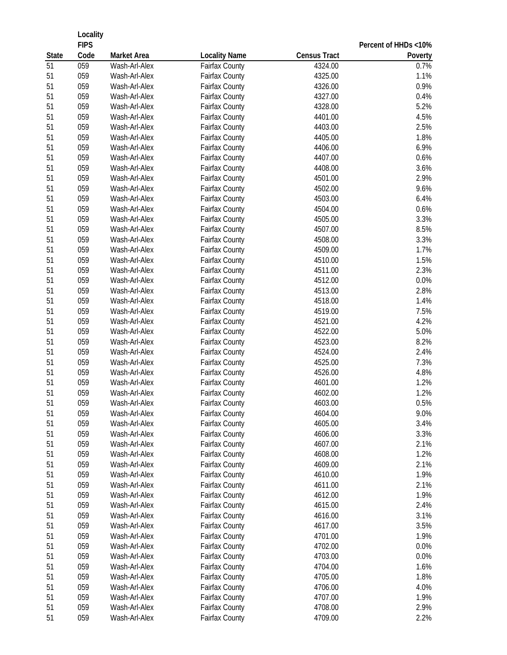|              | Locality    |                    |                       |                     |                      |
|--------------|-------------|--------------------|-----------------------|---------------------|----------------------|
|              | <b>FIPS</b> |                    |                       |                     | Percent of HHDs <10% |
| <b>State</b> | Code        | <b>Market Area</b> | <b>Locality Name</b>  | <b>Census Tract</b> | Poverty              |
| 51           | 059         | Wash-Arl-Alex      | <b>Fairfax County</b> | 4324.00             | 0.7%                 |
| 51           | 059         | Wash-Arl-Alex      | <b>Fairfax County</b> | 4325.00             | 1.1%                 |
| 51           | 059         | Wash-Arl-Alex      | <b>Fairfax County</b> | 4326.00             | 0.9%                 |
| 51           | 059         | Wash-Arl-Alex      | <b>Fairfax County</b> | 4327.00             | 0.4%                 |
| 51           | 059         | Wash-Arl-Alex      | <b>Fairfax County</b> | 4328.00             | 5.2%                 |
| 51           | 059         | Wash-Arl-Alex      | <b>Fairfax County</b> | 4401.00             | 4.5%                 |
| 51           | 059         | Wash-Arl-Alex      | <b>Fairfax County</b> | 4403.00             | 2.5%                 |
| 51           | 059         | Wash-Arl-Alex      | <b>Fairfax County</b> | 4405.00             | 1.8%                 |
| 51           | 059         | Wash-Arl-Alex      | <b>Fairfax County</b> | 4406.00             | 6.9%                 |
| 51           | 059         | Wash-Arl-Alex      | <b>Fairfax County</b> | 4407.00             | 0.6%                 |
| 51           | 059         | Wash-Arl-Alex      | <b>Fairfax County</b> | 4408.00             | 3.6%                 |
| 51           | 059         | Wash-Arl-Alex      | <b>Fairfax County</b> | 4501.00             | 2.9%                 |
| 51           | 059         | Wash-Arl-Alex      | <b>Fairfax County</b> | 4502.00             | 9.6%                 |
| 51           | 059         | Wash-Arl-Alex      | <b>Fairfax County</b> | 4503.00             | 6.4%                 |
| 51           | 059         | Wash-Arl-Alex      | <b>Fairfax County</b> | 4504.00             | 0.6%                 |
| 51           | 059         | Wash-Arl-Alex      | <b>Fairfax County</b> | 4505.00             | 3.3%                 |
| 51           | 059         | Wash-Arl-Alex      | <b>Fairfax County</b> | 4507.00             | 8.5%                 |
| 51           | 059         | Wash-Arl-Alex      | <b>Fairfax County</b> | 4508.00             | 3.3%                 |
| 51           | 059         | Wash-Arl-Alex      | <b>Fairfax County</b> | 4509.00             | 1.7%                 |
| 51           | 059         | Wash-Arl-Alex      | <b>Fairfax County</b> | 4510.00             | 1.5%                 |
| 51           | 059         | Wash-Arl-Alex      | <b>Fairfax County</b> | 4511.00             | 2.3%                 |
| 51           | 059         | Wash-Arl-Alex      | <b>Fairfax County</b> | 4512.00             | 0.0%                 |
| 51           | 059         | Wash-Arl-Alex      | <b>Fairfax County</b> | 4513.00             | 2.8%                 |
| 51           | 059         | Wash-Arl-Alex      | <b>Fairfax County</b> | 4518.00             | 1.4%                 |
| 51           | 059         | Wash-Arl-Alex      | Fairfax County        | 4519.00             | 7.5%                 |
| 51           | 059         | Wash-Arl-Alex      | <b>Fairfax County</b> | 4521.00             | 4.2%                 |
| 51           | 059         | Wash-Arl-Alex      | <b>Fairfax County</b> | 4522.00             | 5.0%                 |
| 51           | 059         | Wash-Arl-Alex      | <b>Fairfax County</b> | 4523.00             | 8.2%                 |
| 51           | 059         | Wash-Arl-Alex      | <b>Fairfax County</b> | 4524.00             | 2.4%                 |
| 51           | 059         | Wash-Arl-Alex      | <b>Fairfax County</b> | 4525.00             | 7.3%                 |
| 51           | 059         | Wash-Arl-Alex      | <b>Fairfax County</b> | 4526.00             | 4.8%                 |
| 51           | 059         | Wash-Arl-Alex      | <b>Fairfax County</b> | 4601.00             | 1.2%                 |
| 51           | 059         | Wash-Arl-Alex      | Fairfax County        | 4602.00             | 1.2%                 |
| 51           | 059         | Wash-Arl-Alex      | Fairfax County        | 4603.00             | $0.5\%$              |
| 51           | 059         | Wash-Arl-Alex      | <b>Fairfax County</b> | 4604.00             | 9.0%                 |
| 51           | 059         | Wash-Arl-Alex      | <b>Fairfax County</b> | 4605.00             | 3.4%                 |
| 51           | 059         | Wash-Arl-Alex      | <b>Fairfax County</b> | 4606.00             | 3.3%                 |
| 51           | 059         | Wash-Arl-Alex      | <b>Fairfax County</b> | 4607.00             | 2.1%                 |
| 51           | 059         | Wash-Arl-Alex      | <b>Fairfax County</b> | 4608.00             | 1.2%                 |
| 51           | 059         | Wash-Arl-Alex      | <b>Fairfax County</b> | 4609.00             | 2.1%                 |
| 51           | 059         | Wash-Arl-Alex      | <b>Fairfax County</b> | 4610.00             | 1.9%                 |
| 51           | 059         | Wash-Arl-Alex      | <b>Fairfax County</b> | 4611.00             | 2.1%                 |
| 51           | 059         | Wash-Arl-Alex      | Fairfax County        | 4612.00             | 1.9%                 |
| 51           | 059         | Wash-Arl-Alex      | <b>Fairfax County</b> | 4615.00             | 2.4%                 |
| 51           | 059         | Wash-Arl-Alex      | <b>Fairfax County</b> | 4616.00             | 3.1%                 |
| 51           | 059         | Wash-Arl-Alex      | <b>Fairfax County</b> | 4617.00             | 3.5%                 |
| 51           | 059         | Wash-Arl-Alex      | <b>Fairfax County</b> | 4701.00             | 1.9%                 |
| 51           | 059         | Wash-Arl-Alex      | <b>Fairfax County</b> | 4702.00             | 0.0%                 |
| 51           | 059         | Wash-Arl-Alex      | Fairfax County        | 4703.00             | 0.0%                 |
| 51           | 059         | Wash-Arl-Alex      | <b>Fairfax County</b> | 4704.00             | 1.6%                 |
| 51           | 059         | Wash-Arl-Alex      | <b>Fairfax County</b> | 4705.00             | 1.8%                 |
| 51           | 059         | Wash-Arl-Alex      | <b>Fairfax County</b> | 4706.00             | 4.0%                 |
| 51           | 059         | Wash-Arl-Alex      | <b>Fairfax County</b> | 4707.00             | 1.9%                 |
| 51           | 059<br>059  | Wash-Arl-Alex      | <b>Fairfax County</b> | 4708.00             | 2.9%                 |
| 51           |             | Wash-Arl-Alex      | <b>Fairfax County</b> | 4709.00             | 2.2%                 |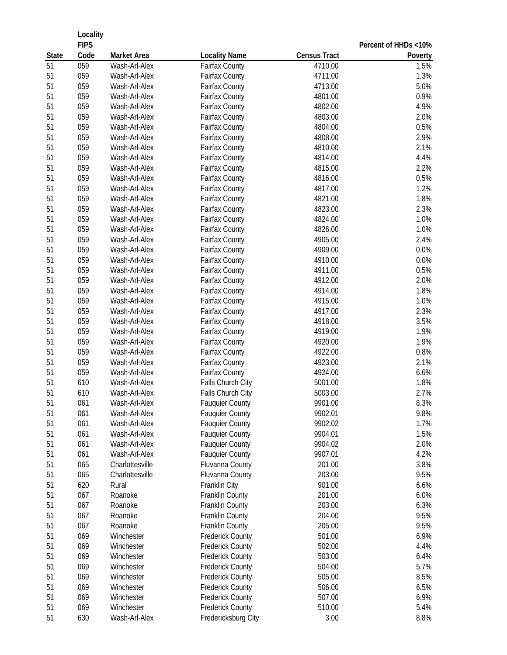|              | Locality            |                    |                                        |                     |                      |
|--------------|---------------------|--------------------|----------------------------------------|---------------------|----------------------|
| <b>State</b> | <b>FIPS</b><br>Code | <b>Market Area</b> |                                        | <b>Census Tract</b> | Percent of HHDs <10% |
| 51           | 059                 | Wash-Arl-Alex      | <b>Locality Name</b><br>Fairfax County | 4710.00             | Poverty<br>1.5%      |
| 51           | 059                 | Wash-Arl-Alex      | Fairfax County                         | 4711.00             | 1.3%                 |
| 51           | 059                 | Wash-Arl-Alex      | Fairfax County                         | 4713.00             | 5.0%                 |
| 51           | 059                 | Wash-Arl-Alex      | Fairfax County                         | 4801.00             | 0.9%                 |
| 51           | 059                 | Wash-Arl-Alex      | Fairfax County                         | 4802.00             | 4.9%                 |
| 51           | 059                 | Wash-Arl-Alex      | Fairfax County                         | 4803.00             | 2.0%                 |
| 51           | 059                 | Wash-Arl-Alex      | Fairfax County                         | 4804.00             | 0.5%                 |
| 51           | 059                 | Wash-Arl-Alex      | Fairfax County                         | 4808.00             | 2.9%                 |
| 51           | 059                 | Wash-Arl-Alex      | Fairfax County                         | 4810.00             | 2.1%                 |
| 51           | 059                 | Wash-Arl-Alex      | Fairfax County                         | 4814.00             | 4.4%                 |
| 51           | 059                 | Wash-Arl-Alex      | Fairfax County                         | 4815.00             | 2.2%                 |
| 51           | 059                 | Wash-Arl-Alex      | Fairfax County                         | 4816.00             | 0.5%                 |
| 51           | 059                 | Wash-Arl-Alex      | Fairfax County                         | 4817.00             | 1.2%                 |
| 51           | 059                 | Wash-Arl-Alex      | Fairfax County                         | 4821.00             | 1.8%                 |
| 51           | 059                 | Wash-Arl-Alex      | Fairfax County                         | 4823.00             | 2.3%                 |
| 51           | 059                 | Wash-Arl-Alex      | Fairfax County                         | 4824.00             | 1.0%                 |
| 51           | 059                 | Wash-Arl-Alex      | Fairfax County                         | 4826.00             | 1.0%                 |
| 51           | 059                 | Wash-Arl-Alex      | Fairfax County                         | 4905.00             | 2.4%                 |
| 51           | 059                 | Wash-Arl-Alex      | Fairfax County                         | 4909.00             | 0.0%                 |
| 51           | 059                 | Wash-Arl-Alex      | <b>Fairfax County</b>                  | 4910.00             | 0.0%                 |
| 51           | 059                 | Wash-Arl-Alex      | <b>Fairfax County</b>                  | 4911.00             | 0.5%                 |
| 51           | 059                 | Wash-Arl-Alex      | Fairfax County                         | 4912.00             | 2.0%                 |
| 51           | 059                 | Wash-Arl-Alex      | <b>Fairfax County</b>                  | 4914.00             | 1.8%                 |
| 51           | 059                 | Wash-Arl-Alex      | Fairfax County                         | 4915.00             | 1.0%                 |
| 51           | 059                 | Wash-Arl-Alex      | Fairfax County                         | 4917.00             | 2.3%                 |
| 51           | 059                 | Wash-Arl-Alex      | <b>Fairfax County</b>                  | 4918.00             | 3.5%                 |
| 51           | 059                 | Wash-Arl-Alex      | Fairfax County                         | 4919.00             | 1.9%                 |
| 51           | 059                 | Wash-Arl-Alex      | Fairfax County                         | 4920.00             | 1.9%                 |
| 51           | 059                 | Wash-Arl-Alex      | Fairfax County                         | 4922.00             | 0.8%                 |
| 51           | 059                 | Wash-Arl-Alex      | Fairfax County                         | 4923.00             | 2.1%                 |
| 51           | 059                 | Wash-Arl-Alex      | Fairfax County                         | 4924.00             | 6.6%                 |
| 51           | 610                 | Wash-Arl-Alex      | Falls Church City                      | 5001.00             | 1.8%                 |
| 51           | 610                 | Wash-Arl-Alex      | Falls Church City                      | 5003.00             | 2.7%                 |
| 51           | 061                 | Wash-Arl-Alex      | <b>Fauquier County</b>                 | 9901.00             | 8.3%                 |
| 51           | 061                 | Wash-Arl-Alex      | <b>Fauquier County</b>                 | 9902.01             | 9.8%                 |
| 51           | 061                 | Wash-Arl-Alex      | <b>Fauquier County</b>                 | 9902.02             | 1.7%                 |
| 51           | 061                 | Wash-Arl-Alex      | <b>Fauquier County</b>                 | 9904.01             | 1.5%                 |
| 51           | 061                 | Wash-Arl-Alex      | <b>Fauquier County</b>                 | 9904.02             | 2.0%                 |
| 51           | 061                 | Wash-Arl-Alex      | <b>Fauquier County</b>                 | 9907.01             | 4.2%                 |
| 51           | 065                 | Charlottesville    | Fluvanna County                        | 201.00              | 3.8%                 |
| 51           | 065                 | Charlottesville    | Fluvanna County                        | 203.00              | 9.5%                 |
| 51           | 620                 | Rural              | Franklin City                          | 901.00              | 6.6%                 |
| 51           | 067                 | Roanoke            | Franklin County                        | 201.00              | 6.0%                 |
| 51           | 067                 | Roanoke            | Franklin County                        | 203.00              | 6.3%                 |
| 51           | 067                 | Roanoke            | Franklin County                        | 204.00              | 9.5%                 |
| 51           | 067                 | Roanoke            | Franklin County                        | 205.00              | 9.5%                 |
| 51           | 069                 | Winchester         | <b>Frederick County</b>                | 501.00              | 6.9%                 |
| 51           | 069                 | Winchester         | <b>Frederick County</b>                | 502.00              | 4.4%                 |
| 51           | 069                 | Winchester         | <b>Frederick County</b>                | 503.00              | 6.4%                 |
| 51           | 069                 | Winchester         | <b>Frederick County</b>                | 504.00              | 5.7%                 |
| 51           | 069                 | Winchester         | <b>Frederick County</b>                | 505.00              | 8.5%                 |
| 51           | 069                 | Winchester         | <b>Frederick County</b>                | 506.00              | 6.5%                 |
| 51           | 069                 | Winchester         | <b>Frederick County</b>                | 507.00              | 6.9%                 |
| 51           | 069                 | Winchester         | <b>Frederick County</b>                | 510.00              | 5.4%                 |
| 51           | 630                 | Wash-Arl-Alex      | Fredericksburg City                    | 3.00                | 8.8%                 |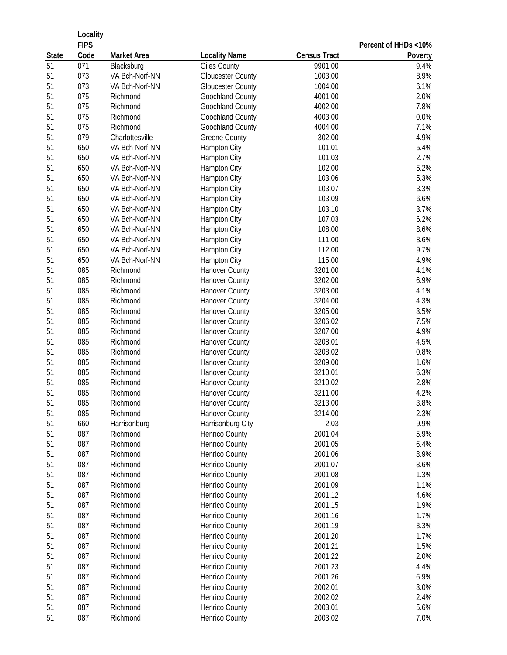|              | Locality            |                    |                          |                     |                      |
|--------------|---------------------|--------------------|--------------------------|---------------------|----------------------|
| <b>State</b> | <b>FIPS</b><br>Code | <b>Market Area</b> | <b>Locality Name</b>     | <b>Census Tract</b> | Percent of HHDs <10% |
| 51           | $\overline{071}$    | Blacksburg         | <b>Giles County</b>      | 9901.00             | Poverty<br>9.4%      |
| 51           | 073                 | VA Bch-Norf-NN     | <b>Gloucester County</b> | 1003.00             | 8.9%                 |
| 51           | 073                 | VA Bch-Norf-NN     | <b>Gloucester County</b> | 1004.00             | 6.1%                 |
| 51           | 075                 | Richmond           | Goochland County         | 4001.00             | 2.0%                 |
| 51           | 075                 | Richmond           | Goochland County         | 4002.00             | 7.8%                 |
| 51           | 075                 | Richmond           | Goochland County         | 4003.00             | 0.0%                 |
| 51           | 075                 | Richmond           | Goochland County         | 4004.00             | 7.1%                 |
| 51           | 079                 | Charlottesville    | <b>Greene County</b>     | 302.00              | 4.9%                 |
| 51           | 650                 | VA Bch-Norf-NN     | Hampton City             | 101.01              | 5.4%                 |
| 51           | 650                 | VA Bch-Norf-NN     | Hampton City             | 101.03              | 2.7%                 |
| 51           | 650                 | VA Bch-Norf-NN     | Hampton City             | 102.00              | 5.2%                 |
| 51           | 650                 | VA Bch-Norf-NN     | Hampton City             | 103.06              | 5.3%                 |
| 51           | 650                 | VA Bch-Norf-NN     | Hampton City             | 103.07              | 3.3%                 |
| 51           | 650                 | VA Bch-Norf-NN     | Hampton City             | 103.09              | 6.6%                 |
| 51           | 650                 | VA Bch-Norf-NN     | Hampton City             | 103.10              | 3.7%                 |
| 51           | 650                 | VA Bch-Norf-NN     | Hampton City             | 107.03              | 6.2%                 |
| 51           | 650                 | VA Bch-Norf-NN     | Hampton City             | 108.00              | 8.6%                 |
| 51           | 650                 | VA Bch-Norf-NN     | Hampton City             | 111.00              | 8.6%                 |
| 51           | 650                 | VA Bch-Norf-NN     | <b>Hampton City</b>      | 112.00              | 9.7%                 |
| 51           | 650                 | VA Bch-Norf-NN     | Hampton City             | 115.00              | 4.9%                 |
| 51           | 085                 | Richmond           | Hanover County           | 3201.00             | 4.1%                 |
| 51           | 085                 | Richmond           | <b>Hanover County</b>    | 3202.00             | 6.9%                 |
| 51           | 085                 | Richmond           | <b>Hanover County</b>    | 3203.00             | 4.1%                 |
| 51           | 085                 | Richmond           | <b>Hanover County</b>    | 3204.00             | 4.3%                 |
| 51           | 085                 | Richmond           | <b>Hanover County</b>    | 3205.00             | 3.5%                 |
| 51           | 085                 | Richmond           | Hanover County           | 3206.02             | 7.5%                 |
| 51           | 085                 | Richmond           | <b>Hanover County</b>    | 3207.00             | 4.9%                 |
| 51           | 085                 | Richmond           | <b>Hanover County</b>    | 3208.01             | 4.5%                 |
| 51           | 085                 | Richmond           | <b>Hanover County</b>    | 3208.02             | 0.8%                 |
| 51           | 085                 | Richmond           | <b>Hanover County</b>    | 3209.00             | 1.6%                 |
| 51           | 085                 | Richmond           | <b>Hanover County</b>    | 3210.01             | 6.3%                 |
| 51           | 085                 | Richmond           | <b>Hanover County</b>    | 3210.02             | 2.8%                 |
| 51           | 085                 | Richmond           | <b>Hanover County</b>    | 3211.00             | 4.2%                 |
| 51           | 085                 | Richmond           | Hanover County           | 3213.00             | 3.8%                 |
| 51           | 085                 | Richmond           | <b>Hanover County</b>    | 3214.00             | 2.3%                 |
| 51           | 660                 | Harrisonburg       | Harrisonburg City        | 2.03                | 9.9%                 |
| 51           | 087                 | Richmond           | Henrico County           | 2001.04             | 5.9%                 |
| 51           | 087                 | Richmond           | Henrico County           | 2001.05             | 6.4%                 |
| 51           | 087                 | Richmond           | Henrico County           | 2001.06             | 8.9%                 |
| 51           | 087                 | Richmond           | Henrico County           | 2001.07             | 3.6%                 |
| 51           | 087                 | Richmond           | <b>Henrico County</b>    | 2001.08             | 1.3%                 |
| 51           | 087                 | Richmond           | Henrico County           | 2001.09             | 1.1%                 |
| 51           | 087                 | Richmond           | Henrico County           | 2001.12             | 4.6%                 |
| 51           | 087                 | Richmond           | Henrico County           | 2001.15             | 1.9%                 |
| 51           | 087                 | Richmond           | Henrico County           | 2001.16             | 1.7%                 |
| 51           | 087                 | Richmond           | <b>Henrico County</b>    | 2001.19             | 3.3%                 |
| 51           | 087                 | Richmond           | Henrico County           | 2001.20             | 1.7%                 |
| 51           | 087                 | Richmond           | Henrico County           | 2001.21             | 1.5%                 |
| 51           | 087                 | Richmond           | Henrico County           | 2001.22             | 2.0%                 |
| 51           | 087                 | Richmond           | Henrico County           | 2001.23             | 4.4%                 |
| 51           | 087                 | Richmond           | Henrico County           | 2001.26             | 6.9%                 |
| 51           | 087                 | Richmond           | Henrico County           | 2002.01             | 3.0%                 |
| 51           | 087                 | Richmond           | Henrico County           | 2002.02             | 2.4%                 |
| 51           | 087                 | Richmond           | Henrico County           | 2003.01             | 5.6%                 |
| 51           | 087                 | Richmond           | Henrico County           | 2003.02             | 7.0%                 |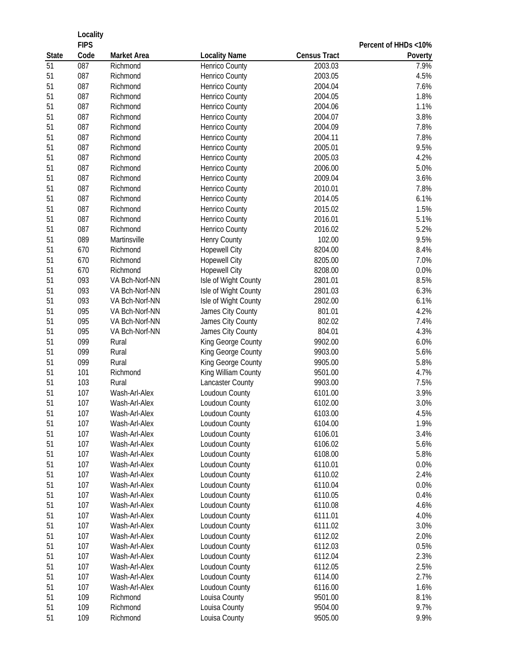|                    | Locality    |                      |                                         |                     |                      |
|--------------------|-------------|----------------------|-----------------------------------------|---------------------|----------------------|
|                    | <b>FIPS</b> |                      |                                         |                     | Percent of HHDs <10% |
| <b>State</b><br>51 | Code        | <b>Market Area</b>   | <b>Locality Name</b>                    | <b>Census Tract</b> | Poverty              |
|                    | 087<br>087  | Richmond<br>Richmond | Henrico County                          | 2003.03<br>2003.05  | 7.9%                 |
| 51<br>51           | 087         | Richmond             | Henrico County<br>Henrico County        | 2004.04             | 4.5%<br>7.6%         |
| 51                 | 087         | Richmond             | Henrico County                          | 2004.05             | 1.8%                 |
| 51                 | 087         | Richmond             |                                         | 2004.06             | 1.1%                 |
| 51                 | 087         | Richmond             | Henrico County                          | 2004.07             | 3.8%                 |
| 51                 | 087         | Richmond             | Henrico County<br><b>Henrico County</b> | 2004.09             | 7.8%                 |
|                    | 087         | Richmond             |                                         |                     | 7.8%                 |
| 51<br>51           | 087         |                      | Henrico County                          | 2004.11<br>2005.01  | 9.5%                 |
| 51                 | 087         | Richmond             | Henrico County                          |                     |                      |
|                    |             | Richmond             | Henrico County                          | 2005.03             | 4.2%                 |
| 51                 | 087         | Richmond             | Henrico County                          | 2006.00             | 5.0%                 |
| 51                 | 087         | Richmond             | Henrico County                          | 2009.04             | 3.6%                 |
| 51                 | 087         | Richmond             | <b>Henrico County</b>                   | 2010.01             | 7.8%                 |
| 51                 | 087         | Richmond             | Henrico County                          | 2014.05             | 6.1%                 |
| 51                 | 087         | Richmond             | Henrico County                          | 2015.02             | 1.5%                 |
| 51                 | 087         | Richmond             | <b>Henrico County</b>                   | 2016.01             | 5.1%                 |
| 51                 | 087         | Richmond             | Henrico County                          | 2016.02             | 5.2%                 |
| 51                 | 089         | Martinsville         | <b>Henry County</b>                     | 102.00              | 9.5%                 |
| 51                 | 670         | Richmond             | <b>Hopewell City</b>                    | 8204.00             | 8.4%                 |
| 51                 | 670         | Richmond             | <b>Hopewell City</b>                    | 8205.00             | 7.0%                 |
| 51                 | 670         | Richmond             | <b>Hopewell City</b>                    | 8208.00             | 0.0%                 |
| 51                 | 093         | VA Bch-Norf-NN       | Isle of Wight County                    | 2801.01             | 8.5%                 |
| 51                 | 093         | VA Bch-Norf-NN       | Isle of Wight County                    | 2801.03             | 6.3%                 |
| 51                 | 093         | VA Bch-Norf-NN       | Isle of Wight County                    | 2802.00             | 6.1%                 |
| 51                 | 095         | VA Bch-Norf-NN       | James City County                       | 801.01              | 4.2%                 |
| 51                 | 095         | VA Bch-Norf-NN       | James City County                       | 802.02              | 7.4%                 |
| 51                 | 095         | VA Bch-Norf-NN       | James City County                       | 804.01              | 4.3%                 |
| 51                 | 099         | Rural                | King George County                      | 9902.00             | 6.0%                 |
| 51                 | 099         | Rural                | King George County                      | 9903.00             | 5.6%                 |
| 51                 | 099         | Rural                | King George County                      | 9905.00             | 5.8%                 |
| 51                 | 101         | Richmond             | King William County                     | 9501.00             | 4.7%                 |
| 51                 | 103         | Rural                | Lancaster County                        | 9903.00             | 7.5%                 |
| 51                 | 107         | Wash-Arl-Alex        | Loudoun County                          | 6101.00             | 3.9%                 |
| 51                 | 107         | Wash-Arl-Alex        | Loudoun County                          | 6102.00             | 3.0%                 |
| 51                 | 107         | Wash-Arl-Alex        | Loudoun County                          | 6103.00             | 4.5%                 |
| 51                 | 107         | Wash-Arl-Alex        | Loudoun County                          | 6104.00             | 1.9%                 |
| 51                 | 107         | Wash-Arl-Alex        | Loudoun County                          | 6106.01             | 3.4%                 |
| 51                 | 107         | Wash-Arl-Alex        | Loudoun County                          | 6106.02             | 5.6%                 |
| 51                 | 107         | Wash-Arl-Alex        | Loudoun County                          | 6108.00             | 5.8%                 |
| 51                 | 107         | Wash-Arl-Alex        | Loudoun County                          | 6110.01             | 0.0%                 |
| 51                 | 107         | Wash-Arl-Alex        | Loudoun County                          | 6110.02             | 2.4%                 |
| 51                 | 107         | Wash-Arl-Alex        | Loudoun County                          | 6110.04             | 0.0%                 |
| 51                 | 107         | Wash-Arl-Alex        | Loudoun County                          | 6110.05             | 0.4%                 |
| 51                 | 107         | Wash-Arl-Alex        | Loudoun County                          | 6110.08             | 4.6%                 |
| 51                 | 107         | Wash-Arl-Alex        | Loudoun County                          | 6111.01             | 4.0%                 |
| 51                 | 107         | Wash-Arl-Alex        | Loudoun County                          | 6111.02             | 3.0%                 |
| 51                 | 107         | Wash-Arl-Alex        | Loudoun County                          | 6112.02             | 2.0%                 |
| 51                 | 107         | Wash-Arl-Alex        | Loudoun County                          | 6112.03             | 0.5%                 |
| 51                 | 107         | Wash-Arl-Alex        | Loudoun County                          | 6112.04             | 2.3%                 |
| 51                 | 107         | Wash-Arl-Alex        | Loudoun County                          | 6112.05             | 2.5%                 |
| 51                 | 107         | Wash-Arl-Alex        | Loudoun County                          | 6114.00             | 2.7%                 |
| 51                 | 107         | Wash-Arl-Alex        | Loudoun County                          | 6116.00             | 1.6%                 |
| 51                 | 109         | Richmond             | Louisa County                           | 9501.00             | 8.1%                 |
| 51                 | 109         | Richmond             | Louisa County                           | 9504.00             | 9.7%                 |
| 51                 | 109         | Richmond             | Louisa County                           | 9505.00             | 9.9%                 |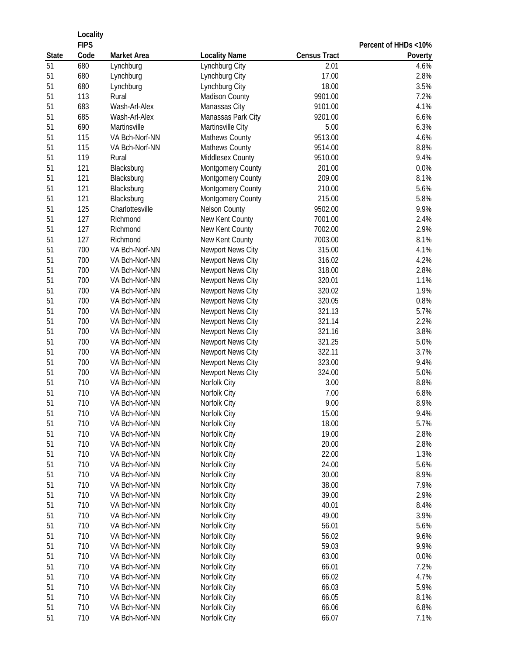|              | Locality    |                        |                                  |                     |                      |
|--------------|-------------|------------------------|----------------------------------|---------------------|----------------------|
|              | <b>FIPS</b> |                        |                                  |                     | Percent of HHDs <10% |
| <b>State</b> | Code        | <b>Market Area</b>     | <b>Locality Name</b>             | <b>Census Tract</b> | Poverty              |
| 51           | 680<br>680  | Lynchburg<br>Lynchburg | Lynchburg City                   | 2.01<br>17.00       | 4.6%<br>2.8%         |
| 51<br>51     | 680         | Lynchburg              | Lynchburg City<br>Lynchburg City | 18.00               | 3.5%                 |
| 51           | 113         | Rural                  | <b>Madison County</b>            | 9901.00             | 7.2%                 |
| 51           | 683         | Wash-Arl-Alex          | Manassas City                    | 9101.00             | 4.1%                 |
| 51           | 685         | Wash-Arl-Alex          | Manassas Park City               | 9201.00             | 6.6%                 |
| 51           | 690         | Martinsville           | Martinsville City                | 5.00                | 6.3%                 |
| 51           | 115         | VA Bch-Norf-NN         | Mathews County                   | 9513.00             | 4.6%                 |
| 51           | 115         | VA Bch-Norf-NN         | Mathews County                   | 9514.00             | 8.8%                 |
| 51           | 119         | Rural                  | Middlesex County                 | 9510.00             | 9.4%                 |
| 51           | 121         | Blacksburg             | Montgomery County                | 201.00              | 0.0%                 |
| 51           | 121         | Blacksburg             | Montgomery County                | 209.00              | 8.1%                 |
| 51           | 121         | Blacksburg             | Montgomery County                | 210.00              | 5.6%                 |
| 51           | 121         | Blacksburg             | Montgomery County                | 215.00              | 5.8%                 |
| 51           | 125         | Charlottesville        | <b>Nelson County</b>             | 9502.00             | 9.9%                 |
| 51           | 127         | Richmond               | New Kent County                  | 7001.00             | 2.4%                 |
| 51           | 127         | Richmond               | New Kent County                  | 7002.00             | 2.9%                 |
| 51           | 127         | Richmond               | New Kent County                  | 7003.00             | 8.1%                 |
| 51           | 700         | VA Bch-Norf-NN         | Newport News City                | 315.00              | 4.1%                 |
| 51           | 700         | VA Bch-Norf-NN         | Newport News City                | 316.02              | 4.2%                 |
| 51           | 700         | VA Bch-Norf-NN         | Newport News City                | 318.00              | 2.8%                 |
| 51           | 700         | VA Bch-Norf-NN         | Newport News City                | 320.01              | 1.1%                 |
| 51           | 700         | VA Bch-Norf-NN         | Newport News City                | 320.02              | 1.9%                 |
| 51           | 700         | VA Bch-Norf-NN         | Newport News City                | 320.05              | 0.8%                 |
| 51           | 700         | VA Bch-Norf-NN         | Newport News City                | 321.13              | 5.7%                 |
| 51           | 700         | VA Bch-Norf-NN         | Newport News City                | 321.14              | 2.2%                 |
| 51           | 700         | VA Bch-Norf-NN         | Newport News City                | 321.16              | 3.8%                 |
| 51           | 700         | VA Bch-Norf-NN         | Newport News City                | 321.25              | 5.0%                 |
| 51           | 700         | VA Bch-Norf-NN         | Newport News City                | 322.11              | 3.7%                 |
| 51           | 700         | VA Bch-Norf-NN         | Newport News City                | 323.00              | 9.4%                 |
| 51           | 700         | VA Bch-Norf-NN         | Newport News City                | 324.00              | 5.0%                 |
| 51           | 710         | VA Bch-Norf-NN         | Norfolk City                     | 3.00                | 8.8%                 |
| 51           | 710         | VA Bch-Norf-NN         | Norfolk City                     | 7.00                | 6.8%                 |
| 51           | 710         | VA Bch-Norf-NN         | Norfolk City                     | 9.00                | 8.9%                 |
| 51           | 710         | VA Bch-Norf-NN         | Norfolk City                     | 15.00               | 9.4%                 |
| 51           | 710         | VA Bch-Norf-NN         | Norfolk City                     | 18.00               | 5.7%                 |
| 51           | 710         | VA Bch-Norf-NN         | Norfolk City                     | 19.00               | 2.8%                 |
| 51           | 710         | VA Bch-Norf-NN         | Norfolk City                     | 20.00               | 2.8%                 |
| 51           | 710         | VA Bch-Norf-NN         | Norfolk City                     | 22.00               | 1.3%                 |
| 51           | 710         | VA Bch-Norf-NN         | Norfolk City                     | 24.00               | 5.6%                 |
| 51           | 710         | VA Bch-Norf-NN         | Norfolk City                     | 30.00               | 8.9%                 |
| 51           | 710         | VA Bch-Norf-NN         | Norfolk City                     | 38.00               | 7.9%                 |
| 51           | 710         | VA Bch-Norf-NN         | Norfolk City                     | 39.00               | 2.9%                 |
| 51           | 710         | VA Bch-Norf-NN         | Norfolk City                     | 40.01               | 8.4%                 |
| 51           | 710         | VA Bch-Norf-NN         | Norfolk City                     | 49.00               | 3.9%                 |
| 51           | 710         | VA Bch-Norf-NN         | Norfolk City                     | 56.01               | 5.6%                 |
| 51           | 710         | VA Bch-Norf-NN         | Norfolk City                     | 56.02               | 9.6%                 |
| 51           | 710         | VA Bch-Norf-NN         | Norfolk City                     | 59.03               | 9.9%                 |
| 51           | 710         | VA Bch-Norf-NN         | Norfolk City                     | 63.00               | 0.0%                 |
| 51           | 710         | VA Bch-Norf-NN         | Norfolk City                     | 66.01               | 7.2%                 |
| 51           | 710         | VA Bch-Norf-NN         | Norfolk City                     | 66.02               | 4.7%                 |
| 51           | 710         | VA Bch-Norf-NN         | Norfolk City                     | 66.03               | 5.9%                 |
| 51           | 710         | VA Bch-Norf-NN         | Norfolk City                     | 66.05               | 8.1%                 |
| 51           | 710         | VA Bch-Norf-NN         | Norfolk City                     | 66.06               | 6.8%                 |
| 51           | 710         | VA Bch-Norf-NN         | Norfolk City                     | 66.07               | 7.1%                 |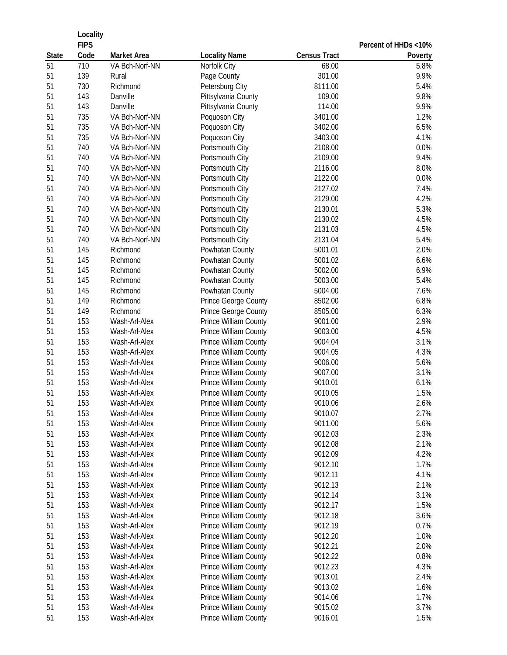|              | Locality    |                         |                                |                     |                      |  |
|--------------|-------------|-------------------------|--------------------------------|---------------------|----------------------|--|
|              | <b>FIPS</b> |                         |                                |                     | Percent of HHDs <10% |  |
| <b>State</b> | Code        | <b>Market Area</b>      | <b>Locality Name</b>           | <b>Census Tract</b> | Poverty              |  |
| 51           | 710<br>139  | VA Bch-Norf-NN<br>Rural | Norfolk City                   | 68.00<br>301.00     | 5.8%<br>9.9%         |  |
| 51<br>51     | 730         | Richmond                | Page County<br>Petersburg City | 8111.00             | 5.4%                 |  |
| 51           | 143         | Danville                | Pittsylvania County            | 109.00              | 9.8%                 |  |
| 51           | 143         | Danville                | Pittsylvania County            | 114.00              | 9.9%                 |  |
| 51           | 735         | VA Bch-Norf-NN          | Poquoson City                  | 3401.00             | 1.2%                 |  |
| 51           | 735         | VA Bch-Norf-NN          | Poquoson City                  | 3402.00             | 6.5%                 |  |
| 51           | 735         | VA Bch-Norf-NN          | Poquoson City                  | 3403.00             | 4.1%                 |  |
| 51           | 740         | VA Bch-Norf-NN          | Portsmouth City                | 2108.00             | 0.0%                 |  |
| 51           | 740         | VA Bch-Norf-NN          | Portsmouth City                | 2109.00             | 9.4%                 |  |
| 51           | 740         | VA Bch-Norf-NN          | Portsmouth City                | 2116.00             | 8.0%                 |  |
| 51           | 740         | VA Bch-Norf-NN          | Portsmouth City                | 2122.00             | 0.0%                 |  |
| 51           | 740         | VA Bch-Norf-NN          | Portsmouth City                | 2127.02             | 7.4%                 |  |
| 51           | 740         | VA Bch-Norf-NN          | Portsmouth City                | 2129.00             | 4.2%                 |  |
| 51           | 740         | VA Bch-Norf-NN          | Portsmouth City                | 2130.01             | 5.3%                 |  |
| 51           | 740         | VA Bch-Norf-NN          | Portsmouth City                | 2130.02             | 4.5%                 |  |
| 51           | 740         | VA Bch-Norf-NN          | Portsmouth City                | 2131.03             | 4.5%                 |  |
| 51           | 740         | VA Bch-Norf-NN          | Portsmouth City                | 2131.04             | 5.4%                 |  |
| 51           | 145         | Richmond                | Powhatan County                | 5001.01             | 2.0%                 |  |
| 51           | 145         | Richmond                | Powhatan County                | 5001.02             | 6.6%                 |  |
| 51           | 145         | Richmond                | Powhatan County                | 5002.00             | 6.9%                 |  |
| 51           | 145         | Richmond                | Powhatan County                | 5003.00             | 5.4%                 |  |
| 51           | 145         | Richmond                | Powhatan County                | 5004.00             | 7.6%                 |  |
| 51           | 149         | Richmond                | Prince George County           | 8502.00             | 6.8%                 |  |
| 51           | 149         | Richmond                | Prince George County           | 8505.00             | 6.3%                 |  |
| 51           | 153         | Wash-Arl-Alex           | Prince William County          | 9001.00             | 2.9%                 |  |
| 51           | 153         | Wash-Arl-Alex           | Prince William County          | 9003.00             | 4.5%                 |  |
| 51           | 153         | Wash-Arl-Alex           | Prince William County          | 9004.04             | 3.1%                 |  |
| 51           | 153         | Wash-Arl-Alex           | Prince William County          | 9004.05             | 4.3%                 |  |
| 51           | 153         | Wash-Arl-Alex           | Prince William County          | 9006.00             | 5.6%                 |  |
| 51           | 153         | Wash-Arl-Alex           | Prince William County          | 9007.00             | 3.1%                 |  |
| 51           | 153         | Wash-Arl-Alex           | Prince William County          | 9010.01             | 6.1%                 |  |
| 51           | 153         | Wash-Arl-Alex           | Prince William County          | 9010.05             | 1.5%                 |  |
| 51           | 153         | Wash-Arl-Alex           | Prince William County          | 9010.06             | 2.6%                 |  |
| 51           | 153         | Wash-Arl-Alex           | Prince William County          | 9010.07             | 2.7%                 |  |
| 51           | 153         | Wash-Arl-Alex           | Prince William County          | 9011.00             | 5.6%                 |  |
| 51           | 153         | Wash-Arl-Alex           | Prince William County          | 9012.03             | 2.3%                 |  |
| 51           | 153         | Wash-Arl-Alex           | Prince William County          | 9012.08             | 2.1%                 |  |
| 51           | 153         | Wash-Arl-Alex           | Prince William County          | 9012.09             | 4.2%                 |  |
| 51           | 153         | Wash-Arl-Alex           | Prince William County          | 9012.10             | 1.7%                 |  |
| 51           | 153         | Wash-Arl-Alex           | Prince William County          | 9012.11             | 4.1%                 |  |
| 51           | 153         | Wash-Arl-Alex           | Prince William County          | 9012.13             | 2.1%                 |  |
| 51           | 153         | Wash-Arl-Alex           | Prince William County          | 9012.14             | 3.1%                 |  |
| 51           | 153         | Wash-Arl-Alex           | Prince William County          | 9012.17             | 1.5%                 |  |
| 51           | 153         | Wash-Arl-Alex           | Prince William County          | 9012.18             | 3.6%                 |  |
| 51           | 153         | Wash-Arl-Alex           | Prince William County          | 9012.19             | 0.7%                 |  |
| 51           | 153         | Wash-Arl-Alex           | Prince William County          | 9012.20             | 1.0%                 |  |
| 51           | 153         | Wash-Arl-Alex           | Prince William County          | 9012.21             | 2.0%                 |  |
| 51           | 153         | Wash-Arl-Alex           | Prince William County          | 9012.22             | 0.8%                 |  |
| 51           | 153         | Wash-Arl-Alex           | Prince William County          | 9012.23             | 4.3%                 |  |
| 51           | 153         | Wash-Arl-Alex           | Prince William County          | 9013.01             | 2.4%                 |  |
| 51           | 153         | Wash-Arl-Alex           | Prince William County          | 9013.02             | 1.6%                 |  |
| 51           | 153         | Wash-Arl-Alex           | Prince William County          | 9014.06             | 1.7%                 |  |
| 51           | 153         | Wash-Arl-Alex           | Prince William County          | 9015.02             | 3.7%                 |  |
| 51           | 153         | Wash-Arl-Alex           | Prince William County          | 9016.01             | 1.5%                 |  |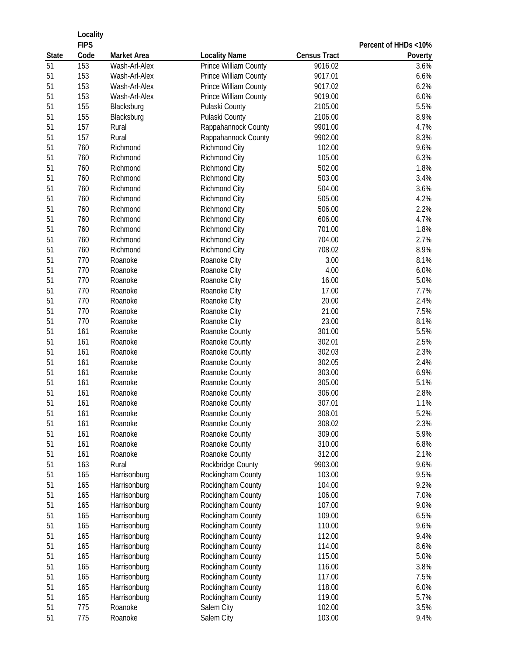|              | Locality    |               |                              |                     |                      |
|--------------|-------------|---------------|------------------------------|---------------------|----------------------|
|              | <b>FIPS</b> |               |                              |                     | Percent of HHDs <10% |
| <b>State</b> | Code        | Market Area   | <b>Locality Name</b>         | <b>Census Tract</b> | Poverty              |
| 51           | 153         | Wash-Arl-Alex | <b>Prince William County</b> | 9016.02             | 3.6%                 |
| 51           | 153         | Wash-Arl-Alex | Prince William County        | 9017.01             | 6.6%                 |
| 51           | 153         | Wash-Arl-Alex | Prince William County        | 9017.02             | 6.2%                 |
| 51           | 153         | Wash-Arl-Alex | Prince William County        | 9019.00             | 6.0%                 |
| 51           | 155         | Blacksburg    | Pulaski County               | 2105.00             | 5.5%                 |
| 51           | 155         | Blacksburg    | Pulaski County               | 2106.00             | 8.9%                 |
| 51           | 157         | Rural         | Rappahannock County          | 9901.00             | 4.7%                 |
| 51           | 157         | Rural         | Rappahannock County          | 9902.00             | 8.3%                 |
| 51           | 760         | Richmond      | Richmond City                | 102.00              | 9.6%                 |
| 51           | 760         | Richmond      | Richmond City                | 105.00              | 6.3%                 |
| 51           | 760         | Richmond      | Richmond City                | 502.00              | 1.8%                 |
| 51           | 760         | Richmond      | Richmond City                | 503.00              | 3.4%                 |
| 51           | 760         | Richmond      | Richmond City                | 504.00              | 3.6%                 |
| 51           | 760         | Richmond      | Richmond City                | 505.00              | 4.2%                 |
| 51           | 760         | Richmond      | Richmond City                | 506.00              | 2.2%                 |
| 51           | 760         | Richmond      | Richmond City                | 606.00              | 4.7%                 |
| 51           | 760         | Richmond      | Richmond City                | 701.00              | 1.8%                 |
| 51           | 760         | Richmond      | Richmond City                | 704.00              | 2.7%                 |
| 51           | 760         | Richmond      | Richmond City                | 708.02              | 8.9%                 |
| 51           | 770         | Roanoke       | Roanoke City                 | 3.00                | 8.1%                 |
| 51           | 770         | Roanoke       | Roanoke City                 | 4.00                | 6.0%                 |
| 51           | 770         | Roanoke       | Roanoke City                 | 16.00               | 5.0%                 |
| 51           | 770         | Roanoke       | Roanoke City                 | 17.00               | 7.7%                 |
| 51           | 770         | Roanoke       | Roanoke City                 | 20.00               | 2.4%                 |
| 51           | 770         | Roanoke       | Roanoke City                 | 21.00               | 7.5%                 |
| 51           | 770         | Roanoke       | Roanoke City                 | 23.00               | 8.1%                 |
| 51           | 161         | Roanoke       | Roanoke County               | 301.00              | 5.5%                 |
| 51           | 161         | Roanoke       | Roanoke County               | 302.01              | 2.5%                 |
| 51           | 161         | Roanoke       | Roanoke County               | 302.03              | 2.3%                 |
| 51           | 161         | Roanoke       | Roanoke County               | 302.05              | 2.4%                 |
| 51           | 161         | Roanoke       | Roanoke County               | 303.00              | 6.9%                 |
| 51           | 161         | Roanoke       | Roanoke County               | 305.00              | 5.1%                 |
| 51           | 161         | Roanoke       | Roanoke County               | 306.00              | 2.8%                 |
| 51           | 161         | Roanoke       | Roanoke County               | 307.01              | 1.1%                 |
| 51           | 161         | Roanoke       | Roanoke County               | 308.01              | 5.2%                 |
| 51           | 161         | Roanoke       | Roanoke County               | 308.02              | 2.3%                 |
| 51           | 161         | Roanoke       | Roanoke County               | 309.00              | 5.9%                 |
| 51           | 161         | Roanoke       | Roanoke County               | 310.00              | 6.8%                 |
| 51           | 161         | Roanoke       | Roanoke County               | 312.00              | 2.1%                 |
| 51           | 163         | Rural         | Rockbridge County            | 9903.00             | 9.6%                 |
| 51           | 165         | Harrisonburg  | Rockingham County            | 103.00              | 9.5%                 |
| 51           | 165         | Harrisonburg  | Rockingham County            | 104.00              | 9.2%                 |
| 51           | 165         | Harrisonburg  | Rockingham County            | 106.00              | 7.0%                 |
| 51           | 165         | Harrisonburg  | Rockingham County            | 107.00              | 9.0%                 |
| 51           | 165         | Harrisonburg  | Rockingham County            | 109.00              | 6.5%                 |
| 51           | 165         | Harrisonburg  | Rockingham County            | 110.00              | 9.6%                 |
| 51           | 165         | Harrisonburg  | Rockingham County            | 112.00              | 9.4%                 |
| 51           | 165         | Harrisonburg  | Rockingham County            | 114.00              | 8.6%                 |
| 51           | 165         | Harrisonburg  | Rockingham County            | 115.00              | 5.0%                 |
| 51           | 165         | Harrisonburg  | Rockingham County            | 116.00              | 3.8%                 |
| 51           | 165         | Harrisonburg  | Rockingham County            | 117.00              | 7.5%                 |
| 51           | 165         | Harrisonburg  | Rockingham County            | 118.00              | 6.0%                 |
| 51           | 165         | Harrisonburg  | Rockingham County            | 119.00              | 5.7%                 |
| 51           | 775         | Roanoke       | Salem City                   | 102.00              | 3.5%                 |
| 51           | 775         | Roanoke       | Salem City                   | 103.00              | 9.4%                 |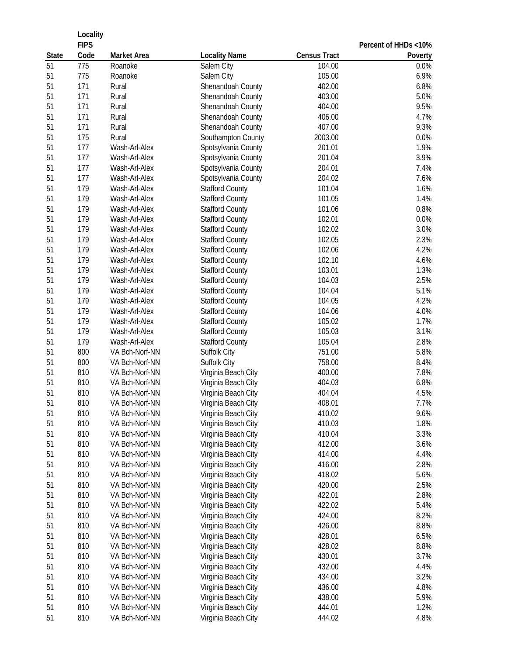|              | Locality    |                |                        |                     |                      |
|--------------|-------------|----------------|------------------------|---------------------|----------------------|
|              | <b>FIPS</b> |                |                        |                     | Percent of HHDs <10% |
| <b>State</b> | Code        | Market Area    | <b>Locality Name</b>   | <b>Census Tract</b> | Poverty              |
| 51           | 775         | Roanoke        | Salem City             | 104.00              | 0.0%                 |
| 51           | 775         | Roanoke        | Salem City             | 105.00              | 6.9%                 |
| 51           | 171         | Rural          | Shenandoah County      | 402.00              | 6.8%                 |
| 51           | 171         | Rural          | Shenandoah County      | 403.00              | 5.0%                 |
| 51           | 171         | Rural          | Shenandoah County      | 404.00              | 9.5%                 |
| 51           | 171         | Rural          | Shenandoah County      | 406.00              | 4.7%                 |
| 51           | 171         | Rural          | Shenandoah County      | 407.00              | 9.3%                 |
| 51           | 175         | Rural          | Southampton County     | 2003.00             | 0.0%                 |
| 51           | 177         | Wash-Arl-Alex  | Spotsylvania County    | 201.01              | 1.9%                 |
| 51           | 177         | Wash-Arl-Alex  | Spotsylvania County    | 201.04              | 3.9%                 |
| 51           | 177         | Wash-Arl-Alex  | Spotsylvania County    | 204.01              | 7.4%                 |
| 51           | 177         | Wash-Arl-Alex  | Spotsylvania County    | 204.02              | 7.6%                 |
| 51           | 179         | Wash-Arl-Alex  | <b>Stafford County</b> | 101.04              | 1.6%                 |
| 51           | 179         | Wash-Arl-Alex  | <b>Stafford County</b> | 101.05              | 1.4%                 |
| 51           | 179         | Wash-Arl-Alex  | <b>Stafford County</b> | 101.06              | 0.8%                 |
| 51           | 179         | Wash-Arl-Alex  | <b>Stafford County</b> | 102.01              | 0.0%                 |
| 51           | 179         | Wash-Arl-Alex  | <b>Stafford County</b> | 102.02              | 3.0%                 |
| 51           | 179         | Wash-Arl-Alex  | <b>Stafford County</b> | 102.05              | 2.3%                 |
| 51           | 179         | Wash-Arl-Alex  | <b>Stafford County</b> | 102.06              | 4.2%                 |
| 51           | 179         | Wash-Arl-Alex  | <b>Stafford County</b> | 102.10              | 4.6%                 |
| 51           | 179         | Wash-Arl-Alex  | <b>Stafford County</b> | 103.01              | 1.3%                 |
| 51           | 179         | Wash-Arl-Alex  | <b>Stafford County</b> | 104.03              | 2.5%                 |
| 51           | 179         | Wash-Arl-Alex  | <b>Stafford County</b> | 104.04              | 5.1%                 |
| 51           | 179         | Wash-Arl-Alex  | <b>Stafford County</b> | 104.05              | 4.2%                 |
| 51           | 179         | Wash-Arl-Alex  | <b>Stafford County</b> | 104.06              | 4.0%                 |
| 51           | 179         | Wash-Arl-Alex  | <b>Stafford County</b> | 105.02              | 1.7%                 |
| 51           | 179         | Wash-Arl-Alex  | <b>Stafford County</b> | 105.03              | 3.1%                 |
| 51           | 179         | Wash-Arl-Alex  | <b>Stafford County</b> | 105.04              | 2.8%                 |
| 51           | 800         | VA Bch-Norf-NN | Suffolk City           | 751.00              | 5.8%                 |
| 51           | 800         | VA Bch-Norf-NN | Suffolk City           | 758.00              | 8.4%                 |
| 51           | 810         | VA Bch-Norf-NN | Virginia Beach City    | 400.00              | 7.8%                 |
| 51           | 810         | VA Bch-Norf-NN | Virginia Beach City    | 404.03              | 6.8%                 |
| 51           | 810         | VA Bch-Norf-NN | Virginia Beach City    | 404.04              | 4.5%                 |
| 51           | 810         | VA Bch-Norf-NN | Virginia Beach City    | 408.01              | 7.7%                 |
| 51           | 810         | VA Bch-Norf-NN | Virginia Beach City    | 410.02              | 9.6%                 |
| 51           | 810         | VA Bch-Norf-NN | Virginia Beach City    | 410.03              | 1.8%                 |
| 51           | 810         | VA Bch-Norf-NN | Virginia Beach City    | 410.04              | 3.3%                 |
| 51           | 810         | VA Bch-Norf-NN | Virginia Beach City    | 412.00              | 3.6%                 |
| 51           | 810         | VA Bch-Norf-NN | Virginia Beach City    | 414.00              | 4.4%                 |
| 51           | 810         | VA Bch-Norf-NN | Virginia Beach City    | 416.00              | 2.8%                 |
| 51           | 810         | VA Bch-Norf-NN | Virginia Beach City    | 418.02              | 5.6%                 |
| 51           | 810         | VA Bch-Norf-NN | Virginia Beach City    | 420.00              | 2.5%                 |
| 51           | 810         | VA Bch-Norf-NN | Virginia Beach City    | 422.01              | 2.8%                 |
| 51           | 810         | VA Bch-Norf-NN | Virginia Beach City    | 422.02              | 5.4%                 |
| 51           | 810         | VA Bch-Norf-NN | Virginia Beach City    | 424.00              | 8.2%                 |
| 51           | 810         | VA Bch-Norf-NN | Virginia Beach City    | 426.00              | 8.8%                 |
| 51           | 810         | VA Bch-Norf-NN | Virginia Beach City    | 428.01              | 6.5%                 |
| 51           | 810         | VA Bch-Norf-NN | Virginia Beach City    | 428.02              | 8.8%                 |
| 51           | 810         | VA Bch-Norf-NN | Virginia Beach City    | 430.01              | 3.7%                 |
| 51           | 810         | VA Bch-Norf-NN | Virginia Beach City    | 432.00              | 4.4%                 |
| 51           | 810         | VA Bch-Norf-NN | Virginia Beach City    | 434.00              | 3.2%                 |
| 51           | 810         | VA Bch-Norf-NN | Virginia Beach City    | 436.00              | 4.8%                 |
| 51           | 810         | VA Bch-Norf-NN | Virginia Beach City    | 438.00              | 5.9%                 |
| 51           | 810         | VA Bch-Norf-NN | Virginia Beach City    | 444.01              | 1.2%                 |
| 51           | 810         | VA Bch-Norf-NN | Virginia Beach City    | 444.02              | 4.8%                 |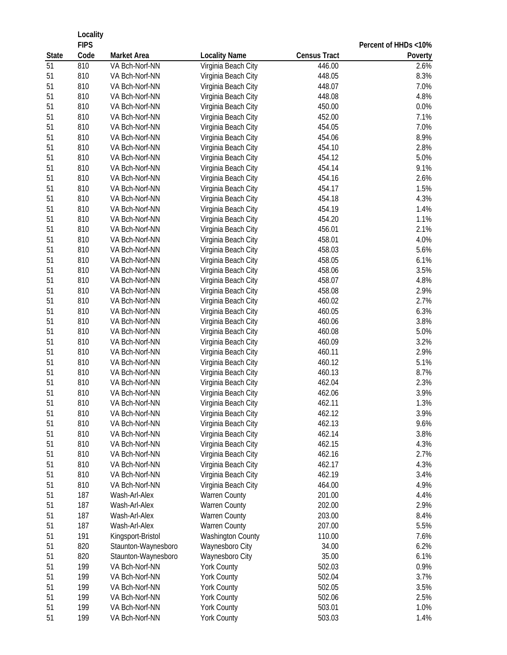|              | Locality<br><b>FIPS</b> |                     |                      |                     |                                 |
|--------------|-------------------------|---------------------|----------------------|---------------------|---------------------------------|
| <b>State</b> | Code                    | <b>Market Area</b>  | <b>Locality Name</b> | <b>Census Tract</b> | Percent of HHDs <10%<br>Poverty |
| 51           | 810                     | VA Bch-Norf-NN      | Virginia Beach City  | 446.00              | 2.6%                            |
| 51           | 810                     | VA Bch-Norf-NN      | Virginia Beach City  | 448.05              | 8.3%                            |
| 51           | 810                     | VA Bch-Norf-NN      | Virginia Beach City  | 448.07              | 7.0%                            |
| 51           | 810                     | VA Bch-Norf-NN      | Virginia Beach City  | 448.08              | 4.8%                            |
| 51           | 810                     | VA Bch-Norf-NN      | Virginia Beach City  | 450.00              | 0.0%                            |
| 51           | 810                     | VA Bch-Norf-NN      | Virginia Beach City  | 452.00              | 7.1%                            |
| 51           | 810                     | VA Bch-Norf-NN      | Virginia Beach City  | 454.05              | 7.0%                            |
| 51           | 810                     | VA Bch-Norf-NN      | Virginia Beach City  | 454.06              | 8.9%                            |
| 51           | 810                     | VA Bch-Norf-NN      | Virginia Beach City  | 454.10              | 2.8%                            |
| 51           | 810                     | VA Bch-Norf-NN      | Virginia Beach City  | 454.12              | 5.0%                            |
| 51           | 810                     | VA Bch-Norf-NN      | Virginia Beach City  | 454.14              | 9.1%                            |
| 51           | 810                     | VA Bch-Norf-NN      | Virginia Beach City  | 454.16              | 2.6%                            |
| 51           | 810                     | VA Bch-Norf-NN      | Virginia Beach City  | 454.17              | 1.5%                            |
| 51           | 810                     | VA Bch-Norf-NN      | Virginia Beach City  | 454.18              | 4.3%                            |
| 51           | 810                     | VA Bch-Norf-NN      | Virginia Beach City  | 454.19              | 1.4%                            |
| 51           | 810                     | VA Bch-Norf-NN      | Virginia Beach City  | 454.20              | 1.1%                            |
| 51           | 810                     | VA Bch-Norf-NN      | Virginia Beach City  | 456.01              | 2.1%                            |
| 51           | 810                     | VA Bch-Norf-NN      | Virginia Beach City  | 458.01              | 4.0%                            |
| 51           | 810                     | VA Bch-Norf-NN      | Virginia Beach City  | 458.03              | 5.6%                            |
| 51           | 810                     | VA Bch-Norf-NN      | Virginia Beach City  | 458.05              | 6.1%                            |
| 51           | 810                     | VA Bch-Norf-NN      | Virginia Beach City  | 458.06              | 3.5%                            |
| 51           | 810                     | VA Bch-Norf-NN      | Virginia Beach City  | 458.07              | 4.8%                            |
| 51           | 810                     | VA Bch-Norf-NN      | Virginia Beach City  | 458.08              | 2.9%                            |
| 51           | 810                     | VA Bch-Norf-NN      | Virginia Beach City  | 460.02              | 2.7%                            |
| 51           | 810                     | VA Bch-Norf-NN      | Virginia Beach City  | 460.05              | 6.3%                            |
| 51           | 810                     | VA Bch-Norf-NN      | Virginia Beach City  | 460.06              | 3.8%                            |
| 51           | 810                     | VA Bch-Norf-NN      | Virginia Beach City  | 460.08              | 5.0%                            |
| 51           | 810                     | VA Bch-Norf-NN      | Virginia Beach City  | 460.09              | 3.2%                            |
| 51           | 810                     | VA Bch-Norf-NN      | Virginia Beach City  | 460.11              | 2.9%                            |
| 51           | 810                     | VA Bch-Norf-NN      | Virginia Beach City  | 460.12              | 5.1%                            |
| 51           | 810                     | VA Bch-Norf-NN      | Virginia Beach City  | 460.13              | 8.7%                            |
| 51           | 810                     | VA Bch-Norf-NN      | Virginia Beach City  | 462.04              | 2.3%                            |
| 51           | 810                     | VA Bch-Norf-NN      | Virginia Beach City  | 462.06              | 3.9%                            |
| 51           | 810                     | VA Bch-Norf-NN      | Virginia Beach City  | 462.11              | 1.3%                            |
| 51           | 810                     | VA Bch-Norf-NN      | Virginia Beach City  | 462.12              | 3.9%                            |
| 51           | 810                     | VA Bch-Norf-NN      | Virginia Beach City  | 462.13              | 9.6%                            |
| 51           | 810                     | VA Bch-Norf-NN      | Virginia Beach City  | 462.14              | 3.8%                            |
| 51           | 810                     | VA Bch-Norf-NN      | Virginia Beach City  | 462.15              | 4.3%                            |
| 51           | 810                     | VA Bch-Norf-NN      | Virginia Beach City  | 462.16              | 2.7%                            |
| 51           | 810                     | VA Bch-Norf-NN      | Virginia Beach City  | 462.17              | 4.3%                            |
| 51           | 810                     | VA Bch-Norf-NN      | Virginia Beach City  | 462.19              | 3.4%                            |
| 51           | 810                     | VA Bch-Norf-NN      | Virginia Beach City  | 464.00              | 4.9%                            |
| 51           | 187                     | Wash-Arl-Alex       | Warren County        | 201.00              | 4.4%                            |
| 51           | 187                     | Wash-Arl-Alex       | Warren County        | 202.00              | 2.9%                            |
| 51           | 187                     | Wash-Arl-Alex       | Warren County        | 203.00              | 8.4%                            |
| 51           | 187                     | Wash-Arl-Alex       | Warren County        | 207.00              | 5.5%                            |
| 51           | 191                     | Kingsport-Bristol   | Washington County    | 110.00              | 7.6%                            |
| 51           | 820                     | Staunton-Waynesboro | Waynesboro City      | 34.00               | 6.2%                            |
| 51           | 820                     | Staunton-Waynesboro | Waynesboro City      | 35.00               | 6.1%                            |
| 51           | 199                     | VA Bch-Norf-NN      | York County          | 502.03              | 0.9%                            |
| 51           | 199                     | VA Bch-Norf-NN      | <b>York County</b>   | 502.04              | 3.7%                            |
| 51           | 199                     | VA Bch-Norf-NN      | <b>York County</b>   | 502.05              | 3.5%                            |
| 51           | 199                     | VA Bch-Norf-NN      | <b>York County</b>   | 502.06              | 2.5%                            |
| 51           | 199                     | VA Bch-Norf-NN      | York County          | 503.01              | 1.0%                            |
| 51           | 199                     | VA Bch-Norf-NN      | York County          | 503.03              | 1.4%                            |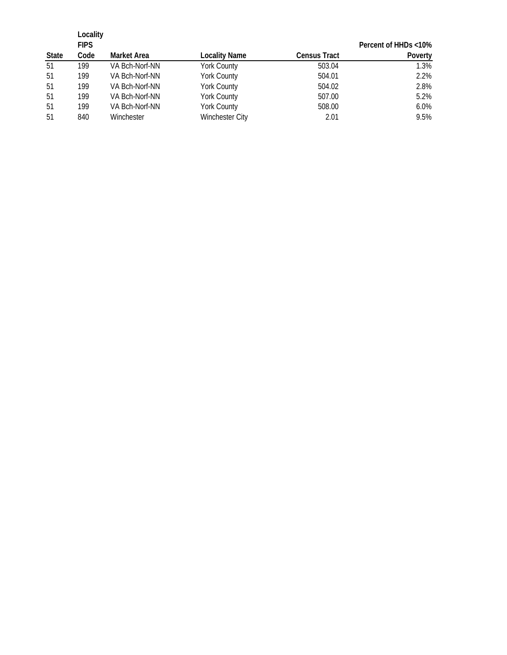|              | Locality    |                    |                        |                     |                      |
|--------------|-------------|--------------------|------------------------|---------------------|----------------------|
|              | <b>FIPS</b> |                    |                        |                     | Percent of HHDs <10% |
| <b>State</b> | Code        | <b>Market Area</b> | <b>Locality Name</b>   | <b>Census Tract</b> | Poverty              |
| 51           | 199         | VA Bch-Norf-NN     | <b>York County</b>     | 503.04              | 1.3%                 |
| 51           | 199         | VA Bch-Norf-NN     | <b>York County</b>     | 504.01              | 2.2%                 |
| 51           | 199         | VA Bch-Norf-NN     | <b>York County</b>     | 504.02              | 2.8%                 |
| 51           | 199         | VA Bch-Norf-NN     | <b>York County</b>     | 507.00              | 5.2%                 |
| 51           | 199         | VA Bch-Norf-NN     | <b>York County</b>     | 508.00              | 6.0%                 |
| 51           | 840         | Winchester         | <b>Winchester City</b> | 2.01                | 9.5%                 |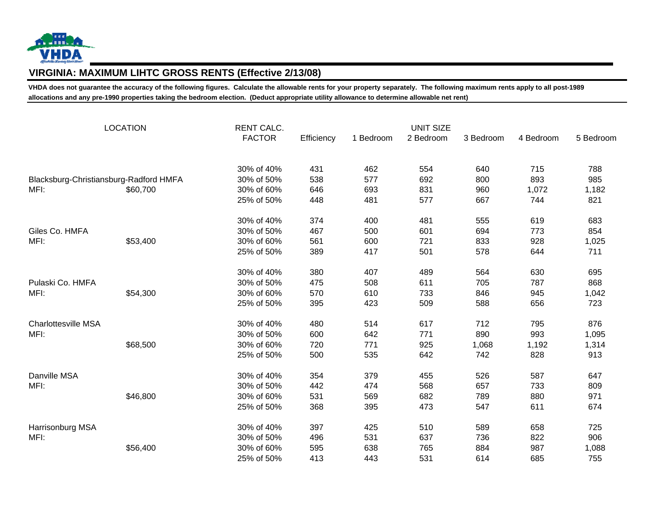

## **VIRGINIA: MAXIMUM LIHTC GROSS RENTS (Effective 2/13/08)**

**VHDA does not guarantee the accuracy of the following figures. Calculate the allowable rents for your property separately. The following maximum rents apply to all post-1989 allocations and any pre-1990 properties taking the bedroom election. (Deduct appropriate utility allowance to determine allowable net rent)**

| <b>LOCATION</b>                        |          | <b>RENT CALC.</b> |            |           | <b>UNIT SIZE</b> |           |           |           |
|----------------------------------------|----------|-------------------|------------|-----------|------------------|-----------|-----------|-----------|
|                                        |          | <b>FACTOR</b>     | Efficiency | 1 Bedroom | 2 Bedroom        | 3 Bedroom | 4 Bedroom | 5 Bedroom |
|                                        |          | 30% of 40%        | 431        | 462       | 554              | 640       | 715       | 788       |
| Blacksburg-Christiansburg-Radford HMFA |          | 30% of 50%        | 538        | 577       | 692              | 800       | 893       | 985       |
| MFI:                                   | \$60,700 | 30% of 60%        | 646        | 693       | 831              | 960       | 1,072     | 1,182     |
|                                        |          | 25% of 50%        | 448        | 481       | 577              | 667       | 744       | 821       |
|                                        |          | 30% of 40%        | 374        | 400       | 481              | 555       | 619       | 683       |
| Giles Co. HMFA                         |          | 30% of 50%        | 467        | 500       | 601              | 694       | 773       | 854       |
| MFI:                                   | \$53,400 | 30% of 60%        | 561        | 600       | 721              | 833       | 928       | 1,025     |
|                                        |          | 25% of 50%        | 389        | 417       | 501              | 578       | 644       | 711       |
|                                        |          | 30% of 40%        | 380        | 407       | 489              | 564       | 630       | 695       |
| Pulaski Co. HMFA                       |          | 30% of 50%        | 475        | 508       | 611              | 705       | 787       | 868       |
| MFI:                                   | \$54,300 | 30% of 60%        | 570        | 610       | 733              | 846       | 945       | 1,042     |
|                                        |          | 25% of 50%        | 395        | 423       | 509              | 588       | 656       | 723       |
| Charlottesville MSA                    |          | 30% of 40%        | 480        | 514       | 617              | 712       | 795       | 876       |
| MFI:                                   |          | 30% of 50%        | 600        | 642       | 771              | 890       | 993       | 1,095     |
|                                        | \$68,500 | 30% of 60%        | 720        | 771       | 925              | 1,068     | 1,192     | 1,314     |
|                                        |          | 25% of 50%        | 500        | 535       | 642              | 742       | 828       | 913       |
| Danville MSA                           |          | 30% of 40%        | 354        | 379       | 455              | 526       | 587       | 647       |
| MFI:                                   |          | 30% of 50%        | 442        | 474       | 568              | 657       | 733       | 809       |
|                                        | \$46,800 | 30% of 60%        | 531        | 569       | 682              | 789       | 880       | 971       |
|                                        |          | 25% of 50%        | 368        | 395       | 473              | 547       | 611       | 674       |
| Harrisonburg MSA                       |          | 30% of 40%        | 397        | 425       | 510              | 589       | 658       | 725       |
| MFI:                                   |          | 30% of 50%        | 496        | 531       | 637              | 736       | 822       | 906       |
|                                        | \$56,400 | 30% of 60%        | 595        | 638       | 765              | 884       | 987       | 1,088     |
|                                        |          | 25% of 50%        | 413        | 443       | 531              | 614       | 685       | 755       |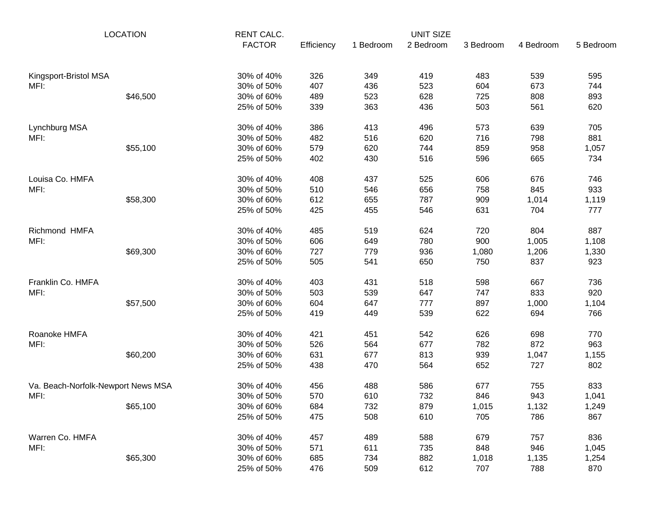| <b>LOCATION</b>                    |          | RENT CALC. |            |           | <b>UNIT SIZE</b> |           |           |           |
|------------------------------------|----------|------------|------------|-----------|------------------|-----------|-----------|-----------|
|                                    |          |            | Efficiency | 1 Bedroom | 2 Bedroom        | 3 Bedroom | 4 Bedroom | 5 Bedroom |
| Kingsport-Bristol MSA              |          | 30% of 40% | 326        | 349       | 419              | 483       | 539       | 595       |
| MFI:                               |          | 30% of 50% | 407        | 436       | 523              | 604       | 673       | 744       |
|                                    | \$46,500 | 30% of 60% | 489        | 523       | 628              | 725       | 808       | 893       |
|                                    |          | 25% of 50% | 339        | 363       | 436              | 503       | 561       | 620       |
| Lynchburg MSA                      |          | 30% of 40% | 386        | 413       | 496              | 573       | 639       | 705       |
| MFI:                               |          | 30% of 50% | 482        | 516       | 620              | 716       | 798       | 881       |
|                                    | \$55,100 | 30% of 60% | 579        | 620       | 744              | 859       | 958       | 1,057     |
|                                    |          | 25% of 50% | 402        | 430       | 516              | 596       | 665       | 734       |
| Louisa Co. HMFA                    |          | 30% of 40% | 408        | 437       | 525              | 606       | 676       | 746       |
| MFI:                               |          | 30% of 50% | 510        | 546       | 656              | 758       | 845       | 933       |
|                                    | \$58,300 | 30% of 60% | 612        | 655       | 787              | 909       | 1,014     | 1,119     |
|                                    |          | 25% of 50% | 425        | 455       | 546              | 631       | 704       | 777       |
| Richmond HMFA                      |          | 30% of 40% | 485        | 519       | 624              | 720       | 804       | 887       |
| MFI:                               |          | 30% of 50% | 606        | 649       | 780              | 900       | 1,005     | 1,108     |
|                                    | \$69,300 | 30% of 60% | 727        | 779       | 936              | 1,080     | 1,206     | 1,330     |
|                                    |          | 25% of 50% | 505        | 541       | 650              | 750       | 837       | 923       |
| Franklin Co. HMFA                  |          | 30% of 40% | 403        | 431       | 518              | 598       | 667       | 736       |
| MFI:                               |          | 30% of 50% | 503        | 539       | 647              | 747       | 833       | 920       |
|                                    | \$57,500 | 30% of 60% | 604        | 647       | 777              | 897       | 1,000     | 1,104     |
|                                    |          | 25% of 50% | 419        | 449       | 539              | 622       | 694       | 766       |
| Roanoke HMFA                       |          | 30% of 40% | 421        | 451       | 542              | 626       | 698       | 770       |
| MFI:                               |          | 30% of 50% | 526        | 564       | 677              | 782       | 872       | 963       |
|                                    | \$60,200 | 30% of 60% | 631        | 677       | 813              | 939       | 1,047     | 1,155     |
|                                    |          | 25% of 50% | 438        | 470       | 564              | 652       | 727       | 802       |
| Va. Beach-Norfolk-Newport News MSA |          | 30% of 40% | 456        | 488       | 586              | 677       | 755       | 833       |
| MFI:                               |          | 30% of 50% | 570        | 610       | 732              | 846       | 943       | 1,041     |
|                                    | \$65,100 | 30% of 60% | 684        | 732       | 879              | 1,015     | 1,132     | 1,249     |
|                                    |          | 25% of 50% | 475        | 508       | 610              | 705       | 786       | 867       |
| Warren Co. HMFA                    |          | 30% of 40% | 457        | 489       | 588              | 679       | 757       | 836       |
| MFI:                               |          | 30% of 50% | 571        | 611       | 735              | 848       | 946       | 1,045     |
|                                    | \$65,300 | 30% of 60% | 685        | 734       | 882              | 1,018     | 1,135     | 1,254     |
|                                    |          | 25% of 50% | 476        | 509       | 612              | 707       | 788       | 870       |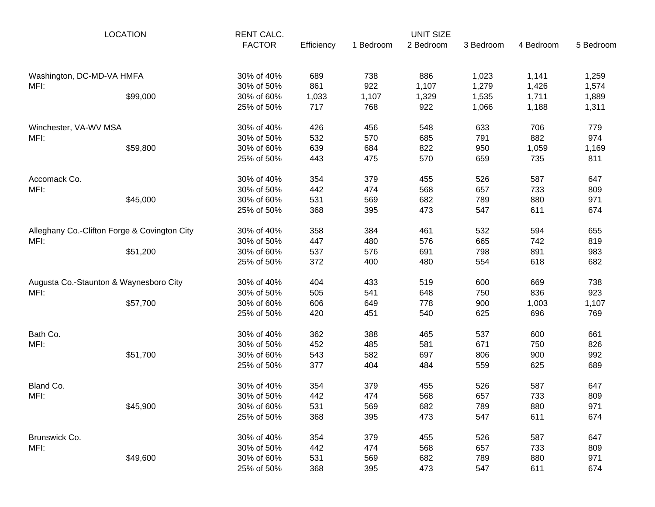| <b>LOCATION</b>                              |                                        | <b>RENT CALC.</b><br><b>FACTOR</b> | Efficiency | 1 Bedroom | <b>UNIT SIZE</b><br>2 Bedroom | 3 Bedroom | 4 Bedroom | 5 Bedroom |
|----------------------------------------------|----------------------------------------|------------------------------------|------------|-----------|-------------------------------|-----------|-----------|-----------|
| Washington, DC-MD-VA HMFA                    |                                        | 30% of 40%                         | 689        | 738       | 886                           | 1,023     | 1,141     | 1,259     |
| MFI:                                         |                                        | 30% of 50%                         | 861        | 922       | 1,107                         | 1,279     | 1,426     | 1,574     |
|                                              | \$99,000                               | 30% of 60%                         | 1,033      | 1,107     | 1,329                         | 1,535     | 1,711     | 1,889     |
|                                              |                                        | 25% of 50%                         | 717        | 768       | 922                           | 1,066     | 1,188     | 1,311     |
| Winchester, VA-WV MSA                        |                                        | 30% of 40%                         | 426        | 456       | 548                           | 633       | 706       | 779       |
| MFI:                                         |                                        | 30% of 50%                         | 532        | 570       | 685                           | 791       | 882       | 974       |
|                                              | \$59,800                               | 30% of 60%                         | 639        | 684       | 822                           | 950       | 1,059     | 1,169     |
|                                              |                                        | 25% of 50%                         | 443        | 475       | 570                           | 659       | 735       | 811       |
| Accomack Co.                                 |                                        | 30% of 40%                         | 354        | 379       | 455                           | 526       | 587       | 647       |
| MFI:                                         |                                        | 30% of 50%                         | 442        | 474       | 568                           | 657       | 733       | 809       |
|                                              | \$45,000                               | 30% of 60%                         | 531        | 569       | 682                           | 789       | 880       | 971       |
|                                              |                                        | 25% of 50%                         | 368        | 395       | 473                           | 547       | 611       | 674       |
| Alleghany Co.-Clifton Forge & Covington City |                                        | 30% of 40%                         | 358        | 384       | 461                           | 532       | 594       | 655       |
| MFI:                                         |                                        | 30% of 50%                         | 447        | 480       | 576                           | 665       | 742       | 819       |
|                                              | \$51,200                               | 30% of 60%                         | 537        | 576       | 691                           | 798       | 891       | 983       |
|                                              |                                        | 25% of 50%                         | 372        | 400       | 480                           | 554       | 618       | 682       |
|                                              | Augusta Co.-Staunton & Waynesboro City | 30% of 40%                         | 404        | 433       | 519                           | 600       | 669       | 738       |
| MFI:                                         |                                        | 30% of 50%                         | 505        | 541       | 648                           | 750       | 836       | 923       |
|                                              | \$57,700                               | 30% of 60%                         | 606        | 649       | 778                           | 900       | 1,003     | 1,107     |
|                                              |                                        | 25% of 50%                         | 420        | 451       | 540                           | 625       | 696       | 769       |
| Bath Co.                                     |                                        | 30% of 40%                         | 362        | 388       | 465                           | 537       | 600       | 661       |
| MFI:                                         |                                        | 30% of 50%                         | 452        | 485       | 581                           | 671       | 750       | 826       |
|                                              | \$51,700                               | 30% of 60%                         | 543        | 582       | 697                           | 806       | 900       | 992       |
|                                              |                                        | 25% of 50%                         | 377        | 404       | 484                           | 559       | 625       | 689       |
| Bland Co.                                    |                                        | 30% of 40%                         | 354        | 379       | 455                           | 526       | 587       | 647       |
| MFI:                                         |                                        | 30% of 50%                         | 442        | 474       | 568                           | 657       | 733       | 809       |
|                                              | \$45,900                               | 30% of 60%                         | 531        | 569       | 682                           | 789       | 880       | 971       |
|                                              |                                        | 25% of 50%                         | 368        | 395       | 473                           | 547       | 611       | 674       |
| Brunswick Co.                                |                                        | 30% of 40%                         | 354        | 379       | 455                           | 526       | 587       | 647       |
| MFI:                                         |                                        | 30% of 50%                         | 442        | 474       | 568                           | 657       | 733       | 809       |
|                                              | \$49,600                               | 30% of 60%                         | 531        | 569       | 682                           | 789       | 880       | 971       |
|                                              |                                        | 25% of 50%                         | 368        | 395       | 473                           | 547       | 611       | 674       |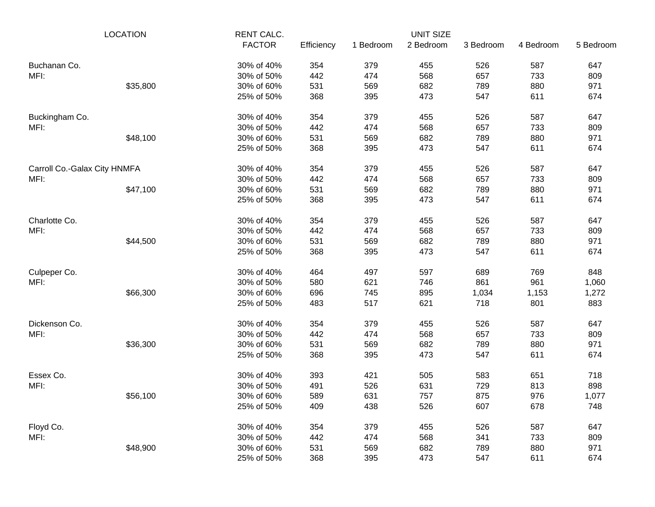| <b>LOCATION</b>              |          | <b>RENT CALC.</b> |            |           | UNIT SIZE |           |           |           |
|------------------------------|----------|-------------------|------------|-----------|-----------|-----------|-----------|-----------|
|                              |          | <b>FACTOR</b>     | Efficiency | 1 Bedroom | 2 Bedroom | 3 Bedroom | 4 Bedroom | 5 Bedroom |
| Buchanan Co.                 |          | 30% of 40%        | 354        | 379       | 455       | 526       | 587       | 647       |
| MFI:                         |          | 30% of 50%        | 442        | 474       | 568       | 657       | 733       | 809       |
|                              | \$35,800 | 30% of 60%        | 531        | 569       | 682       | 789       | 880       | 971       |
|                              |          | 25% of 50%        | 368        | 395       | 473       | 547       | 611       | 674       |
| Buckingham Co.               |          | 30% of 40%        | 354        | 379       | 455       | 526       | 587       | 647       |
| MFI:                         |          | 30% of 50%        | 442        | 474       | 568       | 657       | 733       | 809       |
|                              | \$48,100 | 30% of 60%        | 531        | 569       | 682       | 789       | 880       | 971       |
|                              |          | 25% of 50%        | 368        | 395       | 473       | 547       | 611       | 674       |
| Carroll Co.-Galax City HNMFA |          | 30% of 40%        | 354        | 379       | 455       | 526       | 587       | 647       |
| MFI:                         |          | 30% of 50%        | 442        | 474       | 568       | 657       | 733       | 809       |
|                              | \$47,100 | 30% of 60%        | 531        | 569       | 682       | 789       | 880       | 971       |
|                              |          | 25% of 50%        | 368        | 395       | 473       | 547       | 611       | 674       |
| Charlotte Co.                |          | 30% of 40%        | 354        | 379       | 455       | 526       | 587       | 647       |
| MFI:                         |          | 30% of 50%        | 442        | 474       | 568       | 657       | 733       | 809       |
|                              | \$44,500 | 30% of 60%        | 531        | 569       | 682       | 789       | 880       | 971       |
|                              |          | 25% of 50%        | 368        | 395       | 473       | 547       | 611       | 674       |
| Culpeper Co.                 |          | 30% of 40%        | 464        | 497       | 597       | 689       | 769       | 848       |
| MFI:                         |          | 30% of 50%        | 580        | 621       | 746       | 861       | 961       | 1,060     |
|                              | \$66,300 | 30% of 60%        | 696        | 745       | 895       | 1,034     | 1,153     | 1,272     |
|                              |          | 25% of 50%        | 483        | 517       | 621       | 718       | 801       | 883       |
| Dickenson Co.                |          | 30% of 40%        | 354        | 379       | 455       | 526       | 587       | 647       |
| MFI:                         |          | 30% of 50%        | 442        | 474       | 568       | 657       | 733       | 809       |
|                              | \$36,300 | 30% of 60%        | 531        | 569       | 682       | 789       | 880       | 971       |
|                              |          | 25% of 50%        | 368        | 395       | 473       | 547       | 611       | 674       |
| Essex Co.                    |          | 30% of 40%        | 393        | 421       | 505       | 583       | 651       | 718       |
| MFI:                         |          | 30% of 50%        | 491        | 526       | 631       | 729       | 813       | 898       |
|                              | \$56,100 | 30% of 60%        | 589        | 631       | 757       | 875       | 976       | 1,077     |
|                              |          | 25% of 50%        | 409        | 438       | 526       | 607       | 678       | 748       |
| Floyd Co.                    |          | 30% of 40%        | 354        | 379       | 455       | 526       | 587       | 647       |
| MFI:                         |          | 30% of 50%        | 442        | 474       | 568       | 341       | 733       | 809       |
|                              | \$48,900 | 30% of 60%        | 531        | 569       | 682       | 789       | 880       | 971       |
|                              |          | 25% of 50%        | 368        | 395       | 473       | 547       | 611       | 674       |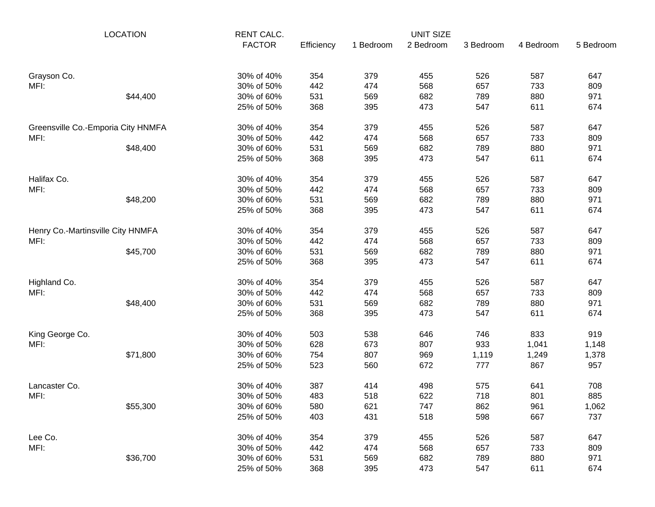| <b>LOCATION</b>                    |          | RENT CALC.    |            |           | <b>UNIT SIZE</b> |           |           |           |
|------------------------------------|----------|---------------|------------|-----------|------------------|-----------|-----------|-----------|
|                                    |          | <b>FACTOR</b> | Efficiency | 1 Bedroom | 2 Bedroom        | 3 Bedroom | 4 Bedroom | 5 Bedroom |
| Grayson Co.                        |          | 30% of 40%    | 354        | 379       | 455              | 526       | 587       | 647       |
| MFI:                               |          | 30% of 50%    | 442        | 474       | 568              | 657       | 733       | 809       |
|                                    | \$44,400 | 30% of 60%    | 531        | 569       | 682              | 789       | 880       | 971       |
|                                    |          | 25% of 50%    | 368        | 395       | 473              | 547       | 611       | 674       |
| Greensville Co.-Emporia City HNMFA |          | 30% of 40%    | 354        | 379       | 455              | 526       | 587       | 647       |
| MFI:                               |          | 30% of 50%    | 442        | 474       | 568              | 657       | 733       | 809       |
|                                    | \$48,400 | 30% of 60%    | 531        | 569       | 682              | 789       | 880       | 971       |
|                                    |          | 25% of 50%    | 368        | 395       | 473              | 547       | 611       | 674       |
| Halifax Co.                        |          | 30% of 40%    | 354        | 379       | 455              | 526       | 587       | 647       |
| MFI:                               |          | 30% of 50%    | 442        | 474       | 568              | 657       | 733       | 809       |
|                                    | \$48,200 | 30% of 60%    | 531        | 569       | 682              | 789       | 880       | 971       |
|                                    |          | 25% of 50%    | 368        | 395       | 473              | 547       | 611       | 674       |
| Henry Co.-Martinsville City HNMFA  |          | 30% of 40%    | 354        | 379       | 455              | 526       | 587       | 647       |
| MFI:                               |          | 30% of 50%    | 442        | 474       | 568              | 657       | 733       | 809       |
|                                    | \$45,700 | 30% of 60%    | 531        | 569       | 682              | 789       | 880       | 971       |
|                                    |          | 25% of 50%    | 368        | 395       | 473              | 547       | 611       | 674       |
| Highland Co.                       |          | 30% of 40%    | 354        | 379       | 455              | 526       | 587       | 647       |
| MFI:                               |          | 30% of 50%    | 442        | 474       | 568              | 657       | 733       | 809       |
|                                    | \$48,400 | 30% of 60%    | 531        | 569       | 682              | 789       | 880       | 971       |
|                                    |          | 25% of 50%    | 368        | 395       | 473              | 547       | 611       | 674       |
| King George Co.                    |          | 30% of 40%    | 503        | 538       | 646              | 746       | 833       | 919       |
| MFI:                               |          | 30% of 50%    | 628        | 673       | 807              | 933       | 1,041     | 1,148     |
|                                    | \$71,800 | 30% of 60%    | 754        | 807       | 969              | 1,119     | 1,249     | 1,378     |
|                                    |          | 25% of 50%    | 523        | 560       | 672              | 777       | 867       | 957       |
| Lancaster Co.                      |          | 30% of 40%    | 387        | 414       | 498              | 575       | 641       | 708       |
| MFI:                               |          | 30% of 50%    | 483        | 518       | 622              | 718       | 801       | 885       |
|                                    | \$55,300 | 30% of 60%    | 580        | 621       | 747              | 862       | 961       | 1,062     |
|                                    |          | 25% of 50%    | 403        | 431       | 518              | 598       | 667       | 737       |
| Lee Co.                            |          | 30% of 40%    | 354        | 379       | 455              | 526       | 587       | 647       |
| MFI:                               |          | 30% of 50%    | 442        | 474       | 568              | 657       | 733       | 809       |
|                                    | \$36,700 | 30% of 60%    | 531        | 569       | 682              | 789       | 880       | 971       |
|                                    |          | 25% of 50%    | 368        | 395       | 473              | 547       | 611       | 674       |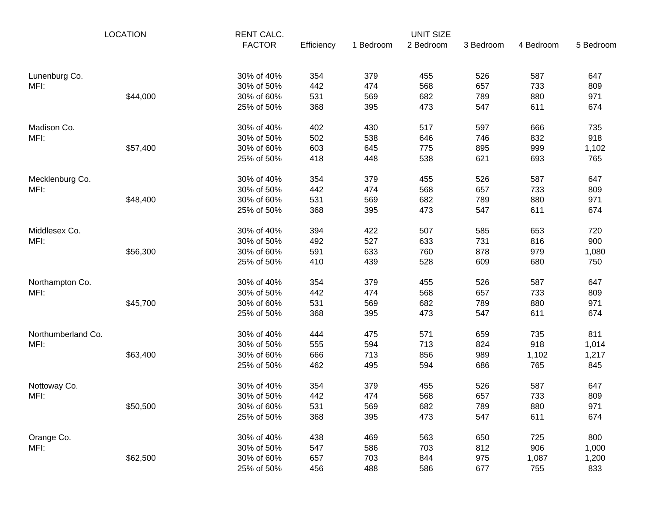| <b>LOCATION</b>    |          | RENT CALC.    |            |           | <b>UNIT SIZE</b> |           |           |           |
|--------------------|----------|---------------|------------|-----------|------------------|-----------|-----------|-----------|
|                    |          | <b>FACTOR</b> | Efficiency | 1 Bedroom | 2 Bedroom        | 3 Bedroom | 4 Bedroom | 5 Bedroom |
| Lunenburg Co.      |          | 30% of 40%    | 354        | 379       | 455              | 526       | 587       | 647       |
| MFI:               |          | 30% of 50%    | 442        | 474       | 568              | 657       | 733       | 809       |
|                    | \$44,000 | 30% of 60%    | 531        | 569       | 682              | 789       | 880       | 971       |
|                    |          | 25% of 50%    | 368        | 395       | 473              | 547       | 611       | 674       |
| Madison Co.        |          | 30% of 40%    | 402        | 430       | 517              | 597       | 666       | 735       |
| MFI:               |          | 30% of 50%    | 502        | 538       | 646              | 746       | 832       | 918       |
|                    | \$57,400 | 30% of 60%    | 603        | 645       | 775              | 895       | 999       | 1,102     |
|                    |          | 25% of 50%    | 418        | 448       | 538              | 621       | 693       | 765       |
| Mecklenburg Co.    |          | 30% of 40%    | 354        | 379       | 455              | 526       | 587       | 647       |
| MFI:               |          | 30% of 50%    | 442        | 474       | 568              | 657       | 733       | 809       |
|                    | \$48,400 | 30% of 60%    | 531        | 569       | 682              | 789       | 880       | 971       |
|                    |          | 25% of 50%    | 368        | 395       | 473              | 547       | 611       | 674       |
| Middlesex Co.      |          | 30% of 40%    | 394        | 422       | 507              | 585       | 653       | 720       |
| MFI:               |          | 30% of 50%    | 492        | 527       | 633              | 731       | 816       | 900       |
|                    | \$56,300 | 30% of 60%    | 591        | 633       | 760              | 878       | 979       | 1,080     |
|                    |          | 25% of 50%    | 410        | 439       | 528              | 609       | 680       | 750       |
| Northampton Co.    |          | 30% of 40%    | 354        | 379       | 455              | 526       | 587       | 647       |
| MFI:               |          | 30% of 50%    | 442        | 474       | 568              | 657       | 733       | 809       |
|                    | \$45,700 | 30% of 60%    | 531        | 569       | 682              | 789       | 880       | 971       |
|                    |          | 25% of 50%    | 368        | 395       | 473              | 547       | 611       | 674       |
| Northumberland Co. |          | 30% of 40%    | 444        | 475       | 571              | 659       | 735       | 811       |
| MFI:               |          | 30% of 50%    | 555        | 594       | 713              | 824       | 918       | 1,014     |
|                    | \$63,400 | 30% of 60%    | 666        | 713       | 856              | 989       | 1,102     | 1,217     |
|                    |          | 25% of 50%    | 462        | 495       | 594              | 686       | 765       | 845       |
| Nottoway Co.       |          | 30% of 40%    | 354        | 379       | 455              | 526       | 587       | 647       |
| MFI:               |          | 30% of 50%    | 442        | 474       | 568              | 657       | 733       | 809       |
|                    | \$50,500 | 30% of 60%    | 531        | 569       | 682              | 789       | 880       | 971       |
|                    |          | 25% of 50%    | 368        | 395       | 473              | 547       | 611       | 674       |
| Orange Co.         |          | 30% of 40%    | 438        | 469       | 563              | 650       | 725       | 800       |
| MFI:               |          | 30% of 50%    | 547        | 586       | 703              | 812       | 906       | 1,000     |
|                    | \$62,500 | 30% of 60%    | 657        | 703       | 844              | 975       | 1,087     | 1,200     |
|                    |          | 25% of 50%    | 456        | 488       | 586              | 677       | 755       | 833       |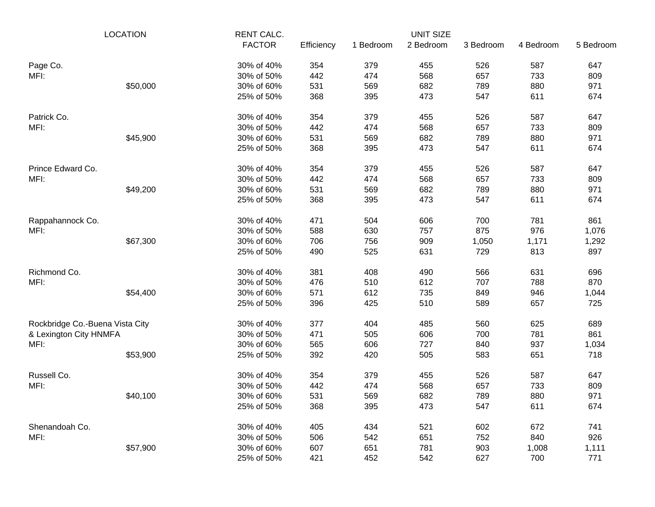| <b>LOCATION</b>                 |          | RENT CALC.    |            |           | <b>UNIT SIZE</b> |           |           |           |
|---------------------------------|----------|---------------|------------|-----------|------------------|-----------|-----------|-----------|
|                                 |          | <b>FACTOR</b> | Efficiency | 1 Bedroom | 2 Bedroom        | 3 Bedroom | 4 Bedroom | 5 Bedroom |
| Page Co.                        |          | 30% of 40%    | 354        | 379       | 455              | 526       | 587       | 647       |
| MFI:                            |          | 30% of 50%    | 442        | 474       | 568              | 657       | 733       | 809       |
|                                 | \$50,000 | 30% of 60%    | 531        | 569       | 682              | 789       | 880       | 971       |
|                                 |          | 25% of 50%    | 368        | 395       | 473              | 547       | 611       | 674       |
| Patrick Co.                     |          | 30% of 40%    | 354        | 379       | 455              | 526       | 587       | 647       |
| MFI:                            |          | 30% of 50%    | 442        | 474       | 568              | 657       | 733       | 809       |
|                                 | \$45,900 | 30% of 60%    | 531        | 569       | 682              | 789       | 880       | 971       |
|                                 |          | 25% of 50%    | 368        | 395       | 473              | 547       | 611       | 674       |
| Prince Edward Co.               |          | 30% of 40%    | 354        | 379       | 455              | 526       | 587       | 647       |
| MFI:                            |          | 30% of 50%    | 442        | 474       | 568              | 657       | 733       | 809       |
|                                 | \$49,200 | 30% of 60%    | 531        | 569       | 682              | 789       | 880       | 971       |
|                                 |          | 25% of 50%    | 368        | 395       | 473              | 547       | 611       | 674       |
| Rappahannock Co.                |          | 30% of 40%    | 471        | 504       | 606              | 700       | 781       | 861       |
| MFI:                            |          | 30% of 50%    | 588        | 630       | 757              | 875       | 976       | 1,076     |
|                                 | \$67,300 | 30% of 60%    | 706        | 756       | 909              | 1,050     | 1,171     | 1,292     |
|                                 |          | 25% of 50%    | 490        | 525       | 631              | 729       | 813       | 897       |
| Richmond Co.                    |          | 30% of 40%    | 381        | 408       | 490              | 566       | 631       | 696       |
| MFI:                            |          | 30% of 50%    | 476        | 510       | 612              | 707       | 788       | 870       |
|                                 | \$54,400 | 30% of 60%    | 571        | 612       | 735              | 849       | 946       | 1,044     |
|                                 |          | 25% of 50%    | 396        | 425       | 510              | 589       | 657       | 725       |
| Rockbridge Co.-Buena Vista City |          | 30% of 40%    | 377        | 404       | 485              | 560       | 625       | 689       |
| & Lexington City HNMFA          |          | 30% of 50%    | 471        | 505       | 606              | 700       | 781       | 861       |
| MFI:                            |          | 30% of 60%    | 565        | 606       | 727              | 840       | 937       | 1,034     |
|                                 | \$53,900 | 25% of 50%    | 392        | 420       | 505              | 583       | 651       | 718       |
| Russell Co.                     |          | 30% of 40%    | 354        | 379       | 455              | 526       | 587       | 647       |
| MFI:                            |          | 30% of 50%    | 442        | 474       | 568              | 657       | 733       | 809       |
|                                 | \$40,100 | 30% of 60%    | 531        | 569       | 682              | 789       | 880       | 971       |
|                                 |          | 25% of 50%    | 368        | 395       | 473              | 547       | 611       | 674       |
| Shenandoah Co.                  |          | 30% of 40%    | 405        | 434       | 521              | 602       | 672       | 741       |
| MFI:                            |          | 30% of 50%    | 506        | 542       | 651              | 752       | 840       | 926       |
|                                 | \$57,900 | 30% of 60%    | 607        | 651       | 781              | 903       | 1,008     | 1,111     |
|                                 |          | 25% of 50%    | 421        | 452       | 542              | 627       | 700       | 771       |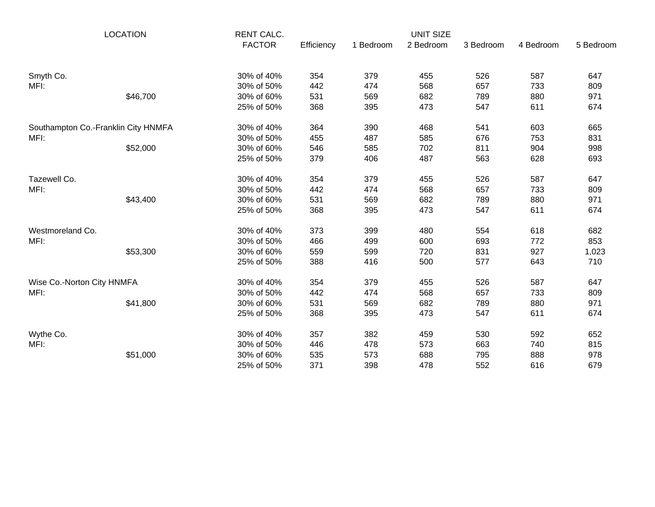| <b>LOCATION</b>                     |          | <b>RENT CALC.</b><br><b>FACTOR</b> |            |           | <b>UNIT SIZE</b> |           |           |           |
|-------------------------------------|----------|------------------------------------|------------|-----------|------------------|-----------|-----------|-----------|
|                                     |          |                                    | Efficiency | 1 Bedroom | 2 Bedroom        | 3 Bedroom | 4 Bedroom | 5 Bedroom |
| Smyth Co.                           |          | 30% of 40%                         | 354        | 379       | 455              | 526       | 587       | 647       |
| MFI:                                |          | 30% of 50%                         | 442        | 474       | 568              | 657       | 733       | 809       |
|                                     | \$46,700 | 30% of 60%                         | 531        | 569       | 682              | 789       | 880       | 971       |
|                                     |          | 25% of 50%                         | 368        | 395       | 473              | 547       | 611       | 674       |
| Southampton Co.-Franklin City HNMFA |          | 30% of 40%                         | 364        | 390       | 468              | 541       | 603       | 665       |
| MFI:                                |          | 30% of 50%                         | 455        | 487       | 585              | 676       | 753       | 831       |
|                                     | \$52,000 | 30% of 60%                         | 546        | 585       | 702              | 811       | 904       | 998       |
|                                     |          | 25% of 50%                         | 379        | 406       | 487              | 563       | 628       | 693       |
| Tazewell Co.                        |          | 30% of 40%                         | 354        | 379       | 455              | 526       | 587       | 647       |
| MFI:                                |          | 30% of 50%                         | 442        | 474       | 568              | 657       | 733       | 809       |
|                                     | \$43,400 | 30% of 60%                         | 531        | 569       | 682              | 789       | 880       | 971       |
|                                     |          | 25% of 50%                         | 368        | 395       | 473              | 547       | 611       | 674       |
| Westmoreland Co.                    |          | 30% of 40%                         | 373        | 399       | 480              | 554       | 618       | 682       |
| MFI:                                |          | 30% of 50%                         | 466        | 499       | 600              | 693       | 772       | 853       |
|                                     | \$53,300 | 30% of 60%                         | 559        | 599       | 720              | 831       | 927       | 1,023     |
|                                     |          | 25% of 50%                         | 388        | 416       | 500              | 577       | 643       | 710       |
| Wise Co.-Norton City HNMFA          |          | 30% of 40%                         | 354        | 379       | 455              | 526       | 587       | 647       |
| MFI:                                |          | 30% of 50%                         | 442        | 474       | 568              | 657       | 733       | 809       |
|                                     | \$41,800 | 30% of 60%                         | 531        | 569       | 682              | 789       | 880       | 971       |
|                                     |          | 25% of 50%                         | 368        | 395       | 473              | 547       | 611       | 674       |
| Wythe Co.                           |          | 30% of 40%                         | 357        | 382       | 459              | 530       | 592       | 652       |
| MFI:                                |          | 30% of 50%                         | 446        | 478       | 573              | 663       | 740       | 815       |
|                                     | \$51,000 | 30% of 60%                         | 535        | 573       | 688              | 795       | 888       | 978       |
|                                     |          | 25% of 50%                         | 371        | 398       | 478              | 552       | 616       | 679       |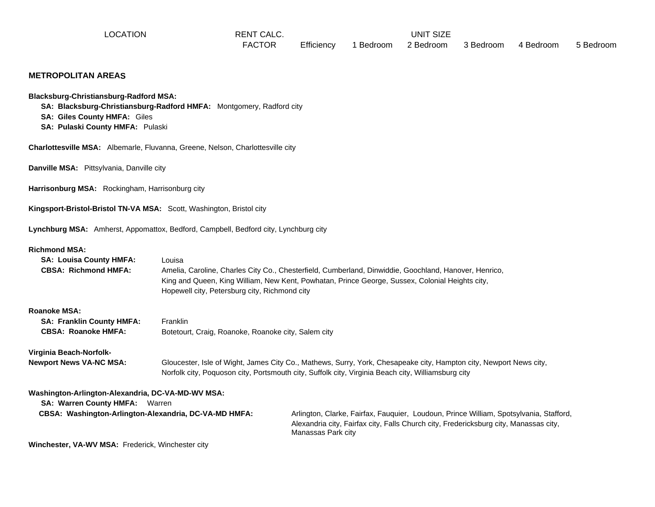LOCATION **RENT CALC.** THE RENT CALC **RENT CALC.** THE RENT ONLY A RENT CALC.

FACTOR Efficiency 1 Bedroom 2 Bedroom 3 Bedroom 4 Bedroom 5 Bedroom

#### **METROPOLITAN AREAS**

**Blacksburg-Christiansburg-Radford MSA:**

 **SA: Blacksburg-Christiansburg-Radford HMFA:** Montgomery, Radford city

 **SA: Giles County HMFA:** Giles

 **SA: Pulaski County HMFA:** Pulaski

**Charlottesville MSA:** Albemarle, Fluvanna, Greene, Nelson, Charlottesville city

**Danville MSA:** Pittsylvania, Danville city

**Harrisonburg MSA:** Rockingham, Harrisonburg city

**Kingsport-Bristol-Bristol TN-VA MSA:** Scott, Washington, Bristol city

**Lynchburg MSA:** Amherst, Appomattox, Bedford, Campbell, Bedford city, Lynchburg city

#### **Richmond MSA:**

| <b>SA: Louisa County HMFA:</b><br><b>CBSA: Richmond HMFA:</b>                              | Louisa<br>Hopewell city, Petersburg city, Richmond city | Amelia, Caroline, Charles City Co., Chesterfield, Cumberland, Dinwiddie, Goochland, Hanover, Henrico,<br>King and Queen, King William, New Kent, Powhatan, Prince George, Sussex, Colonial Heights city,                 |
|--------------------------------------------------------------------------------------------|---------------------------------------------------------|--------------------------------------------------------------------------------------------------------------------------------------------------------------------------------------------------------------------------|
| Roanoke MSA:                                                                               |                                                         |                                                                                                                                                                                                                          |
| <b>SA: Franklin County HMFA:</b>                                                           | <b>Franklin</b>                                         |                                                                                                                                                                                                                          |
| <b>CBSA: Roanoke HMFA:</b>                                                                 | Botetourt, Craig, Roanoke, Roanoke city, Salem city     |                                                                                                                                                                                                                          |
| Virginia Beach-Norfolk-                                                                    |                                                         |                                                                                                                                                                                                                          |
| <b>Newport News VA-NC MSA:</b>                                                             |                                                         | Gloucester, Isle of Wight, James City Co., Mathews, Surry, York, Chesapeake city, Hampton city, Newport News city,<br>Norfolk city, Poquoson city, Portsmouth city, Suffolk city, Virginia Beach city, Williamsburg city |
| Washington-Arlington-Alexandria, DC-VA-MD-WV MSA:<br><b>SA: Warren County HMFA: Warren</b> |                                                         |                                                                                                                                                                                                                          |
| CBSA: Washington-Arlington-Alexandria, DC-VA-MD HMFA:                                      |                                                         | Arlington, Clarke, Fairfax, Fauquier, Loudoun, Prince William, Spotsylvania, Stafford,<br>Alexandria city, Fairfax city, Falls Church city, Fredericksburg city, Manassas city,<br>Manassas Park city                    |

#### **Winchester, VA-WV M SA:** Frederick, Winchester city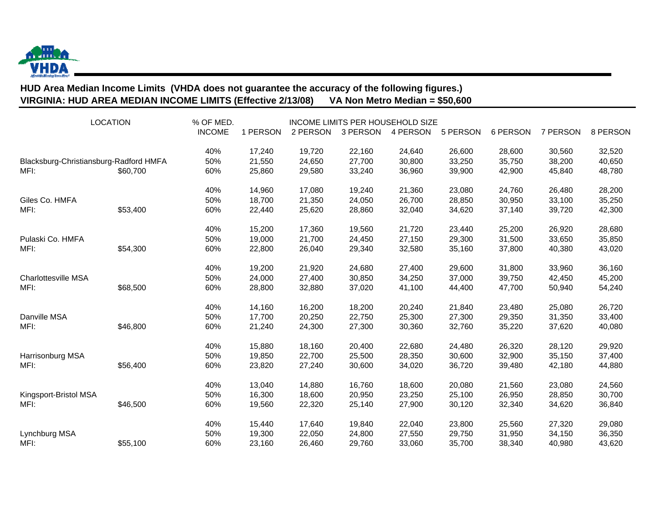

## **HUD Area Median Income Limits (VHDA does not guarantee the accuracy of the following figures.) VIRGINIA: HUD AREA MEDIAN INCOME LIMITS (Effective 2/13/08) VA Non Metro Median = \$50,600**

| <b>LOCATION</b>                                |          | % OF MED.<br><b>INCOME</b> | 1 PERSON                   | 2 PERSON                   | 3 PERSON                   | INCOME LIMITS PER HOUSEHOLD SIZE<br>4 PERSON | 5 PERSON                   | 6 PERSON                   | 7 PERSON                   | 8 PERSON                   |
|------------------------------------------------|----------|----------------------------|----------------------------|----------------------------|----------------------------|----------------------------------------------|----------------------------|----------------------------|----------------------------|----------------------------|
| Blacksburg-Christiansburg-Radford HMFA<br>MFI: | \$60,700 | 40%<br>50%<br>60%          | 17,240<br>21,550<br>25,860 | 19,720<br>24,650<br>29,580 | 22,160<br>27,700<br>33,240 | 24,640<br>30,800<br>36,960                   | 26,600<br>33,250<br>39,900 | 28,600<br>35,750<br>42,900 | 30,560<br>38,200<br>45,840 | 32,520<br>40,650<br>48,780 |
| Giles Co. HMFA<br>MFI:                         | \$53,400 | 40%<br>50%<br>60%          | 14,960<br>18,700<br>22,440 | 17,080<br>21,350<br>25,620 | 19,240<br>24,050<br>28,860 | 21,360<br>26,700<br>32,040                   | 23,080<br>28,850<br>34,620 | 24,760<br>30,950<br>37,140 | 26,480<br>33,100<br>39,720 | 28,200<br>35,250<br>42,300 |
| Pulaski Co. HMFA<br>MFI:                       | \$54,300 | 40%<br>50%<br>60%          | 15,200<br>19,000<br>22,800 | 17,360<br>21,700<br>26,040 | 19,560<br>24,450<br>29,340 | 21,720<br>27,150<br>32,580                   | 23,440<br>29,300<br>35,160 | 25,200<br>31,500<br>37,800 | 26,920<br>33,650<br>40,380 | 28,680<br>35,850<br>43,020 |
| <b>Charlottesville MSA</b><br>MFI:             | \$68,500 | 40%<br>50%<br>60%          | 19,200<br>24,000<br>28,800 | 21,920<br>27,400<br>32,880 | 24,680<br>30,850<br>37,020 | 27,400<br>34,250<br>41,100                   | 29,600<br>37,000<br>44,400 | 31,800<br>39,750<br>47,700 | 33,960<br>42,450<br>50,940 | 36,160<br>45,200<br>54,240 |
| Danville MSA<br>MFI:                           | \$46,800 | 40%<br>50%<br>60%          | 14,160<br>17,700<br>21,240 | 16,200<br>20,250<br>24,300 | 18,200<br>22,750<br>27,300 | 20,240<br>25,300<br>30,360                   | 21,840<br>27,300<br>32,760 | 23,480<br>29,350<br>35,220 | 25,080<br>31,350<br>37,620 | 26,720<br>33,400<br>40,080 |
| Harrisonburg MSA<br>MFI:                       | \$56,400 | 40%<br>50%<br>60%          | 15,880<br>19,850<br>23,820 | 18,160<br>22,700<br>27,240 | 20,400<br>25,500<br>30,600 | 22,680<br>28,350<br>34,020                   | 24,480<br>30,600<br>36,720 | 26,320<br>32,900<br>39,480 | 28,120<br>35,150<br>42,180 | 29,920<br>37,400<br>44,880 |
| Kingsport-Bristol MSA<br>MFI:                  | \$46,500 | 40%<br>50%<br>60%          | 13,040<br>16,300<br>19,560 | 14,880<br>18,600<br>22,320 | 16,760<br>20,950<br>25,140 | 18,600<br>23,250<br>27,900                   | 20,080<br>25,100<br>30,120 | 21,560<br>26,950<br>32,340 | 23,080<br>28,850<br>34,620 | 24,560<br>30,700<br>36,840 |
| Lynchburg MSA<br>MFI:                          | \$55,100 | 40%<br>50%<br>60%          | 15,440<br>19,300<br>23,160 | 17,640<br>22,050<br>26,460 | 19,840<br>24,800<br>29,760 | 22,040<br>27,550<br>33,060                   | 23,800<br>29,750<br>35,700 | 25,560<br>31,950<br>38,340 | 27,320<br>34,150<br>40,980 | 29,080<br>36,350<br>43,620 |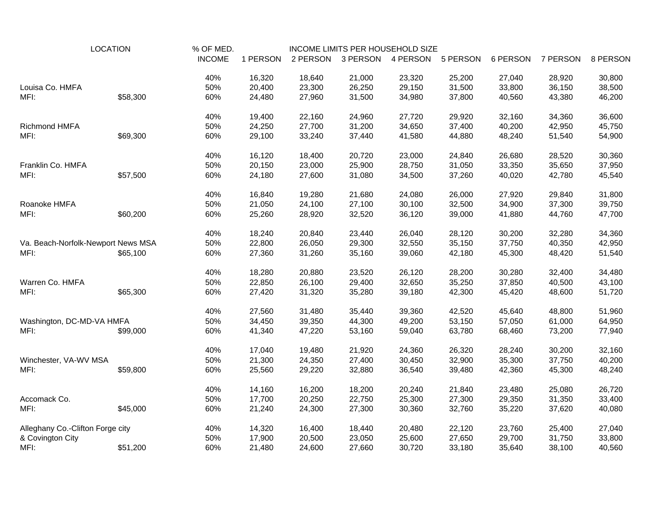| <b>LOCATION</b>                    |          | % OF MED.     |          |          |          | INCOME LIMITS PER HOUSEHOLD SIZE |          |          |          |          |
|------------------------------------|----------|---------------|----------|----------|----------|----------------------------------|----------|----------|----------|----------|
|                                    |          | <b>INCOME</b> | 1 PERSON | 2 PERSON | 3 PERSON | 4 PERSON                         | 5 PERSON | 6 PERSON | 7 PERSON | 8 PERSON |
|                                    |          | 40%           | 16,320   | 18,640   | 21,000   | 23,320                           | 25,200   | 27,040   | 28,920   | 30,800   |
| Louisa Co. HMFA                    |          | 50%           | 20,400   | 23,300   | 26,250   | 29,150                           | 31,500   | 33,800   | 36,150   | 38,500   |
| MFI:                               | \$58,300 | 60%           | 24,480   | 27,960   | 31,500   | 34,980                           | 37,800   | 40,560   | 43,380   | 46,200   |
|                                    |          | 40%           | 19,400   | 22,160   | 24,960   | 27,720                           | 29,920   | 32,160   | 34,360   | 36,600   |
| Richmond HMFA                      |          | 50%           | 24,250   | 27,700   | 31,200   | 34,650                           | 37,400   | 40,200   | 42,950   | 45,750   |
| MFI:                               | \$69,300 | 60%           | 29,100   | 33,240   | 37,440   | 41,580                           | 44,880   | 48,240   | 51,540   | 54,900   |
|                                    |          | 40%           | 16,120   | 18,400   | 20,720   | 23,000                           | 24,840   | 26,680   | 28,520   | 30,360   |
| Franklin Co. HMFA                  |          | 50%           | 20,150   | 23,000   | 25,900   | 28,750                           | 31,050   | 33,350   | 35,650   | 37,950   |
| MFI:                               | \$57,500 | 60%           | 24,180   | 27,600   | 31,080   | 34,500                           | 37,260   | 40,020   | 42,780   | 45,540   |
|                                    |          | 40%           | 16,840   | 19,280   | 21,680   | 24,080                           | 26,000   | 27,920   | 29,840   | 31,800   |
| Roanoke HMFA                       |          | 50%           | 21,050   | 24,100   | 27,100   | 30,100                           | 32,500   | 34,900   | 37,300   | 39,750   |
| MFI:                               | \$60,200 | 60%           | 25,260   | 28,920   | 32,520   | 36,120                           | 39,000   | 41,880   | 44,760   | 47,700   |
|                                    |          | 40%           | 18,240   | 20,840   | 23,440   | 26,040                           | 28,120   | 30,200   | 32,280   | 34,360   |
| Va. Beach-Norfolk-Newport News MSA |          | 50%           | 22,800   | 26,050   | 29,300   | 32,550                           | 35,150   | 37,750   | 40,350   | 42,950   |
| MFI:                               | \$65,100 | 60%           | 27,360   | 31,260   | 35,160   | 39,060                           | 42,180   | 45,300   | 48,420   | 51,540   |
|                                    |          | 40%           | 18,280   | 20,880   | 23,520   | 26,120                           | 28,200   | 30,280   | 32,400   | 34,480   |
| Warren Co. HMFA                    |          | 50%           | 22,850   | 26,100   | 29,400   | 32,650                           | 35,250   | 37,850   | 40,500   | 43,100   |
| MFI:                               | \$65,300 | 60%           | 27,420   | 31,320   | 35,280   | 39,180                           | 42,300   | 45,420   | 48,600   | 51,720   |
|                                    |          | 40%           | 27,560   | 31,480   | 35,440   | 39,360                           | 42,520   | 45,640   | 48,800   | 51,960   |
| Washington, DC-MD-VA HMFA          |          | 50%           | 34,450   | 39,350   | 44,300   | 49,200                           | 53,150   | 57,050   | 61,000   | 64,950   |
| MFI:                               | \$99,000 | 60%           | 41,340   | 47,220   | 53,160   | 59,040                           | 63,780   | 68,460   | 73,200   | 77,940   |
|                                    |          | 40%           | 17,040   | 19,480   | 21,920   | 24,360                           | 26,320   | 28,240   | 30,200   | 32,160   |
| Winchester, VA-WV MSA              |          | 50%           | 21,300   | 24,350   | 27,400   | 30,450                           | 32,900   | 35,300   | 37,750   | 40,200   |
| MFI:                               | \$59,800 | 60%           | 25,560   | 29,220   | 32,880   | 36,540                           | 39,480   | 42,360   | 45,300   | 48,240   |
|                                    |          | 40%           | 14,160   | 16,200   | 18,200   | 20,240                           | 21,840   | 23,480   | 25,080   | 26,720   |
| Accomack Co.                       |          | 50%           | 17,700   | 20,250   | 22,750   | 25,300                           | 27,300   | 29,350   | 31,350   | 33,400   |
| MFI:                               | \$45,000 | 60%           | 21,240   | 24,300   | 27,300   | 30,360                           | 32,760   | 35,220   | 37,620   | 40,080   |
| Alleghany Co.-Clifton Forge city   |          | 40%           | 14,320   | 16,400   | 18,440   | 20,480                           | 22,120   | 23,760   | 25,400   | 27,040   |
| & Covington City                   |          | 50%           | 17,900   | 20,500   | 23,050   | 25,600                           | 27,650   | 29,700   | 31,750   | 33,800   |
| MFI:                               | \$51,200 | 60%           | 21,480   | 24,600   | 27,660   | 30,720                           | 33,180   | 35,640   | 38,100   | 40,560   |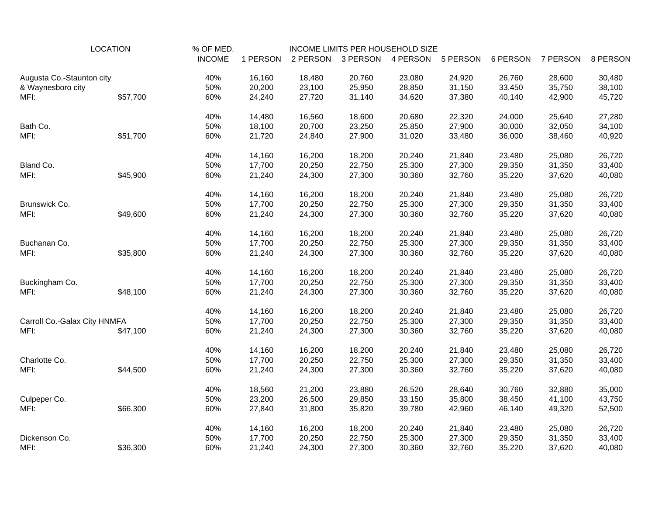| <b>LOCATION</b>              |          | % OF MED.     |          | INCOME LIMITS PER HOUSEHOLD SIZE |          |          |          |          |          |          |
|------------------------------|----------|---------------|----------|----------------------------------|----------|----------|----------|----------|----------|----------|
|                              |          | <b>INCOME</b> | 1 PERSON | 2 PERSON                         | 3 PERSON | 4 PERSON | 5 PERSON | 6 PERSON | 7 PERSON | 8 PERSON |
| Augusta Co.-Staunton city    |          | 40%           | 16,160   | 18,480                           | 20,760   | 23,080   | 24,920   | 26,760   | 28,600   | 30,480   |
| & Waynesboro city            |          | 50%           | 20,200   | 23,100                           | 25,950   | 28,850   | 31,150   | 33,450   | 35,750   | 38,100   |
| MFI:                         | \$57,700 | 60%           | 24,240   | 27,720                           | 31,140   | 34,620   | 37,380   | 40,140   | 42,900   | 45,720   |
|                              |          | 40%           | 14,480   | 16,560                           | 18,600   | 20,680   | 22,320   | 24,000   | 25,640   | 27,280   |
| Bath Co.                     |          | 50%           | 18,100   | 20,700                           | 23,250   | 25,850   | 27,900   | 30,000   | 32,050   | 34,100   |
| MFI:                         | \$51,700 | 60%           | 21,720   | 24,840                           | 27,900   | 31,020   | 33,480   | 36,000   | 38,460   | 40,920   |
|                              |          | 40%           | 14,160   | 16,200                           | 18,200   | 20,240   | 21,840   | 23,480   | 25,080   | 26,720   |
| Bland Co.                    |          | 50%           | 17,700   | 20,250                           | 22,750   | 25,300   | 27,300   | 29,350   | 31,350   | 33,400   |
| MFI:                         | \$45,900 | 60%           | 21,240   | 24,300                           | 27,300   | 30,360   | 32,760   | 35,220   | 37,620   | 40,080   |
|                              |          | 40%           | 14,160   | 16,200                           | 18,200   | 20,240   | 21,840   | 23,480   | 25,080   | 26,720   |
| Brunswick Co.                |          | 50%           | 17,700   | 20,250                           | 22,750   | 25,300   | 27,300   | 29,350   | 31,350   | 33,400   |
| MFI:                         | \$49,600 | 60%           | 21,240   | 24,300                           | 27,300   | 30,360   | 32,760   | 35,220   | 37,620   | 40,080   |
|                              |          | 40%           | 14,160   | 16,200                           | 18,200   | 20,240   | 21,840   | 23,480   | 25,080   | 26,720   |
| Buchanan Co.                 |          | 50%           | 17,700   | 20,250                           | 22,750   | 25,300   | 27,300   | 29,350   | 31,350   | 33,400   |
| MFI:                         | \$35,800 | 60%           | 21,240   | 24,300                           | 27,300   | 30,360   | 32,760   | 35,220   | 37,620   | 40,080   |
|                              |          | 40%           | 14,160   | 16,200                           | 18,200   | 20,240   | 21,840   | 23,480   | 25,080   | 26,720   |
| Buckingham Co.               |          | 50%           | 17,700   | 20,250                           | 22,750   | 25,300   | 27,300   | 29,350   | 31,350   | 33,400   |
| MFI:                         | \$48,100 | 60%           | 21,240   | 24,300                           | 27,300   | 30,360   | 32,760   | 35,220   | 37,620   | 40,080   |
|                              |          | 40%           | 14,160   | 16,200                           | 18,200   | 20,240   | 21,840   | 23,480   | 25,080   | 26,720   |
| Carroll Co.-Galax City HNMFA |          | 50%           | 17,700   | 20,250                           | 22,750   | 25,300   | 27,300   | 29,350   | 31,350   | 33,400   |
| MFI:                         | \$47,100 | 60%           | 21,240   | 24,300                           | 27,300   | 30,360   | 32,760   | 35,220   | 37,620   | 40,080   |
|                              |          | 40%           | 14,160   | 16,200                           | 18,200   | 20,240   | 21,840   | 23,480   | 25,080   | 26,720   |
| Charlotte Co.                |          | 50%           | 17,700   | 20,250                           | 22,750   | 25,300   | 27,300   | 29,350   | 31,350   | 33,400   |
| MFI:                         | \$44,500 | 60%           | 21,240   | 24,300                           | 27,300   | 30,360   | 32,760   | 35,220   | 37,620   | 40,080   |
|                              |          | 40%           | 18,560   | 21,200                           | 23,880   | 26,520   | 28,640   | 30,760   | 32,880   | 35,000   |
| Culpeper Co.                 |          | 50%           | 23,200   | 26,500                           | 29,850   | 33,150   | 35,800   | 38,450   | 41,100   | 43,750   |
| MFI:                         | \$66,300 | 60%           | 27,840   | 31,800                           | 35,820   | 39,780   | 42,960   | 46,140   | 49,320   | 52,500   |
|                              |          | 40%           | 14,160   | 16,200                           | 18,200   | 20,240   | 21,840   | 23,480   | 25,080   | 26,720   |
| Dickenson Co.                |          | 50%           | 17,700   | 20,250                           | 22,750   | 25,300   | 27,300   | 29,350   | 31,350   | 33,400   |
| MFI:                         | \$36,300 | 60%           | 21,240   | 24,300                           | 27,300   | 30,360   | 32,760   | 35,220   | 37,620   | 40,080   |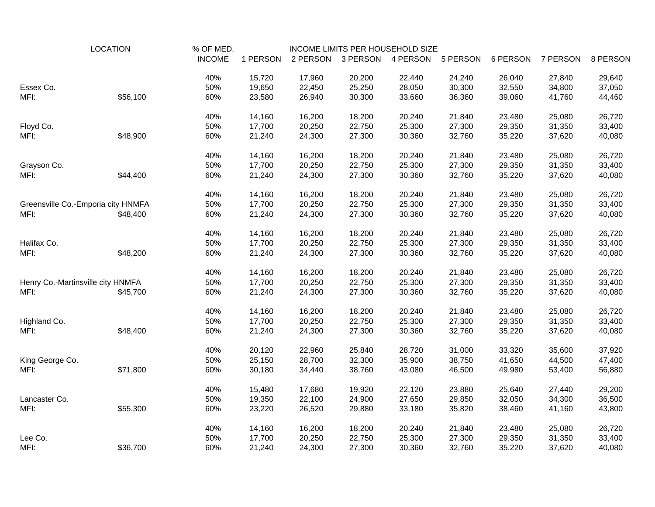| <b>LOCATION</b>                    |          | % OF MED.     |          |          |          | INCOME LIMITS PER HOUSEHOLD SIZE |          |          |          |          |
|------------------------------------|----------|---------------|----------|----------|----------|----------------------------------|----------|----------|----------|----------|
|                                    |          | <b>INCOME</b> | 1 PERSON | 2 PERSON | 3 PERSON | 4 PERSON                         | 5 PERSON | 6 PERSON | 7 PERSON | 8 PERSON |
|                                    |          | 40%           | 15,720   | 17,960   | 20,200   | 22,440                           | 24,240   | 26,040   | 27,840   | 29,640   |
| Essex Co.                          |          | 50%           | 19,650   | 22,450   | 25,250   | 28,050                           | 30,300   | 32,550   | 34,800   | 37,050   |
| MFI:                               | \$56,100 | 60%           | 23,580   | 26,940   | 30,300   | 33,660                           | 36,360   | 39,060   | 41,760   | 44,460   |
|                                    |          | 40%           | 14,160   | 16,200   | 18,200   | 20,240                           | 21,840   | 23,480   | 25,080   | 26,720   |
| Floyd Co.                          |          | 50%           | 17,700   | 20,250   | 22,750   | 25,300                           | 27,300   | 29,350   | 31,350   | 33,400   |
| MFI:                               | \$48,900 | 60%           | 21,240   | 24,300   | 27,300   | 30,360                           | 32,760   | 35,220   | 37,620   | 40,080   |
|                                    |          | 40%           | 14,160   | 16,200   | 18,200   | 20,240                           | 21,840   | 23,480   | 25,080   | 26,720   |
| Grayson Co.                        |          | 50%           | 17,700   | 20,250   | 22,750   | 25,300                           | 27,300   | 29,350   | 31,350   | 33,400   |
| MFI:                               | \$44,400 | 60%           | 21,240   | 24,300   | 27,300   | 30,360                           | 32,760   | 35,220   | 37,620   | 40,080   |
|                                    |          | 40%           | 14,160   | 16,200   | 18,200   | 20,240                           | 21,840   | 23,480   | 25,080   | 26,720   |
| Greensville Co.-Emporia city HNMFA |          | 50%           | 17,700   | 20,250   | 22,750   | 25,300                           | 27,300   | 29,350   | 31,350   | 33,400   |
| MFI:                               | \$48,400 | 60%           | 21,240   | 24,300   | 27,300   | 30,360                           | 32,760   | 35,220   | 37,620   | 40,080   |
|                                    |          | 40%           | 14,160   | 16,200   | 18,200   | 20,240                           | 21,840   | 23,480   | 25,080   | 26,720   |
| Halifax Co.                        |          | 50%           | 17,700   | 20,250   | 22,750   | 25,300                           | 27,300   | 29,350   | 31,350   | 33,400   |
| MFI:                               | \$48,200 | 60%           | 21,240   | 24,300   | 27,300   | 30,360                           | 32,760   | 35,220   | 37,620   | 40,080   |
|                                    |          | 40%           | 14,160   | 16,200   | 18,200   | 20,240                           | 21,840   | 23,480   | 25,080   | 26,720   |
| Henry Co.-Martinsville city HNMFA  |          | 50%           | 17,700   | 20,250   | 22,750   | 25,300                           | 27,300   | 29,350   | 31,350   | 33,400   |
| MFI:                               | \$45,700 | 60%           | 21,240   | 24,300   | 27,300   | 30,360                           | 32,760   | 35,220   | 37,620   | 40,080   |
|                                    |          | 40%           | 14,160   | 16,200   | 18,200   | 20,240                           | 21,840   | 23,480   | 25,080   | 26,720   |
| Highland Co.                       |          | 50%           | 17,700   | 20,250   | 22,750   | 25,300                           | 27,300   | 29,350   | 31,350   | 33,400   |
| MFI:                               | \$48,400 | 60%           | 21,240   | 24,300   | 27,300   | 30,360                           | 32,760   | 35,220   | 37,620   | 40,080   |
|                                    |          | 40%           | 20,120   | 22,960   | 25,840   | 28,720                           | 31,000   | 33,320   | 35,600   | 37,920   |
| King George Co.                    |          | 50%           | 25,150   | 28,700   | 32,300   | 35,900                           | 38,750   | 41,650   | 44,500   | 47,400   |
| MFI:                               | \$71,800 | 60%           | 30,180   | 34,440   | 38,760   | 43,080                           | 46,500   | 49,980   | 53,400   | 56,880   |
|                                    |          | 40%           | 15,480   | 17,680   | 19,920   | 22,120                           | 23,880   | 25,640   | 27,440   | 29,200   |
| Lancaster Co.                      |          | 50%           | 19,350   | 22,100   | 24,900   | 27,650                           | 29,850   | 32,050   | 34,300   | 36,500   |
| MFI:                               | \$55,300 | 60%           | 23,220   | 26,520   | 29,880   | 33,180                           | 35,820   | 38,460   | 41,160   | 43,800   |
|                                    |          | 40%           | 14,160   | 16,200   | 18,200   | 20,240                           | 21,840   | 23,480   | 25,080   | 26,720   |
| Lee Co.                            |          | 50%           | 17,700   | 20,250   | 22,750   | 25,300                           | 27,300   | 29,350   | 31,350   | 33,400   |
| MFI:                               | \$36,700 | 60%           | 21,240   | 24,300   | 27,300   | 30,360                           | 32,760   | 35,220   | 37,620   | 40,080   |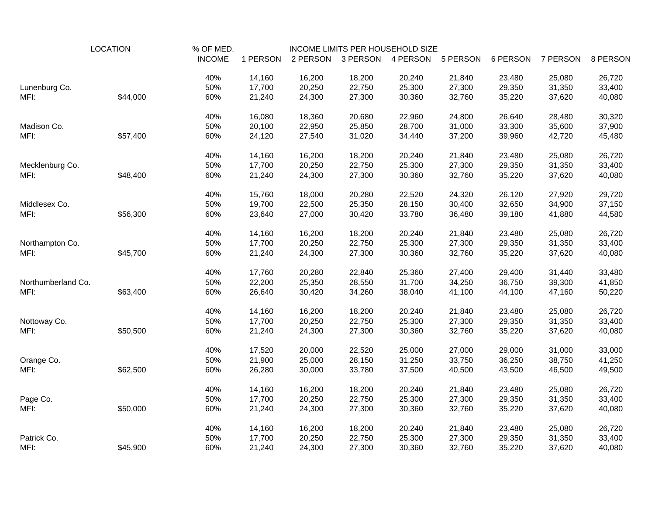| <b>LOCATION</b>    |          | % OF MED.     | INCOME LIMITS PER HOUSEHOLD SIZE |          |          |          |          |          |          |          |
|--------------------|----------|---------------|----------------------------------|----------|----------|----------|----------|----------|----------|----------|
|                    |          | <b>INCOME</b> | 1 PERSON                         | 2 PERSON | 3 PERSON | 4 PERSON | 5 PERSON | 6 PERSON | 7 PERSON | 8 PERSON |
|                    |          | 40%           | 14,160                           | 16,200   | 18,200   | 20,240   | 21,840   | 23,480   | 25,080   | 26,720   |
| Lunenburg Co.      |          | 50%           | 17,700                           | 20,250   | 22,750   | 25,300   | 27,300   | 29,350   | 31,350   | 33,400   |
| MFI:               | \$44,000 | 60%           | 21,240                           | 24,300   | 27,300   | 30,360   | 32,760   | 35,220   | 37,620   | 40,080   |
|                    |          | 40%           | 16,080                           | 18,360   | 20,680   | 22,960   | 24,800   | 26,640   | 28,480   | 30,320   |
| Madison Co.        |          | 50%           | 20,100                           | 22,950   | 25,850   | 28,700   | 31,000   | 33,300   | 35,600   | 37,900   |
| MFI:               | \$57,400 | 60%           | 24,120                           | 27,540   | 31,020   | 34,440   | 37,200   | 39,960   | 42,720   | 45,480   |
|                    |          | 40%           | 14,160                           | 16,200   | 18,200   | 20,240   | 21,840   | 23,480   | 25,080   | 26,720   |
| Mecklenburg Co.    |          | 50%           | 17,700                           | 20,250   | 22,750   | 25,300   | 27,300   | 29,350   | 31,350   | 33,400   |
| MFI:               | \$48,400 | 60%           | 21,240                           | 24,300   | 27,300   | 30,360   | 32,760   | 35,220   | 37,620   | 40,080   |
|                    |          | 40%           | 15,760                           | 18,000   | 20,280   | 22,520   | 24,320   | 26,120   | 27,920   | 29,720   |
| Middlesex Co.      |          | 50%           | 19,700                           | 22,500   | 25,350   | 28,150   | 30,400   | 32,650   | 34,900   | 37,150   |
| MFI:               | \$56,300 | 60%           | 23,640                           | 27,000   | 30,420   | 33,780   | 36,480   | 39,180   | 41,880   | 44,580   |
|                    |          | 40%           | 14,160                           | 16,200   | 18,200   | 20,240   | 21,840   | 23,480   | 25,080   | 26,720   |
| Northampton Co.    |          | 50%           | 17,700                           | 20,250   | 22,750   | 25,300   | 27,300   | 29,350   | 31,350   | 33,400   |
| MFI:               | \$45,700 | 60%           | 21,240                           | 24,300   | 27,300   | 30,360   | 32,760   | 35,220   | 37,620   | 40,080   |
|                    |          | 40%           | 17,760                           | 20,280   | 22,840   | 25,360   | 27,400   | 29,400   | 31,440   | 33,480   |
| Northumberland Co. |          | 50%           | 22,200                           | 25,350   | 28,550   | 31,700   | 34,250   | 36,750   | 39,300   | 41,850   |
| MFI:               | \$63,400 | 60%           | 26,640                           | 30,420   | 34,260   | 38,040   | 41,100   | 44,100   | 47,160   | 50,220   |
|                    |          | 40%           | 14,160                           | 16,200   | 18,200   | 20,240   | 21,840   | 23,480   | 25,080   | 26,720   |
| Nottoway Co.       |          | 50%           | 17,700                           | 20,250   | 22,750   | 25,300   | 27,300   | 29,350   | 31,350   | 33,400   |
| MFI:               | \$50,500 | 60%           | 21,240                           | 24,300   | 27,300   | 30,360   | 32,760   | 35,220   | 37,620   | 40,080   |
|                    |          | 40%           | 17,520                           | 20,000   | 22,520   | 25,000   | 27,000   | 29,000   | 31,000   | 33,000   |
| Orange Co.         |          | 50%           | 21,900                           | 25,000   | 28,150   | 31,250   | 33,750   | 36,250   | 38,750   | 41,250   |
| MFI:               | \$62,500 | 60%           | 26,280                           | 30,000   | 33,780   | 37,500   | 40,500   | 43,500   | 46,500   | 49,500   |
|                    |          | 40%           | 14,160                           | 16,200   | 18,200   | 20,240   | 21,840   | 23,480   | 25,080   | 26,720   |
| Page Co.           |          | 50%           | 17,700                           | 20,250   | 22,750   | 25,300   | 27,300   | 29,350   | 31,350   | 33,400   |
| MFI:               | \$50,000 | 60%           | 21,240                           | 24,300   | 27,300   | 30,360   | 32,760   | 35,220   | 37,620   | 40,080   |
|                    |          | 40%           | 14,160                           | 16,200   | 18,200   | 20,240   | 21,840   | 23,480   | 25,080   | 26,720   |
| Patrick Co.        |          | 50%           | 17,700                           | 20,250   | 22,750   | 25,300   | 27,300   | 29,350   | 31,350   | 33,400   |
| MFI:               | \$45,900 | 60%           | 21,240                           | 24,300   | 27,300   | 30,360   | 32,760   | 35,220   | 37,620   | 40,080   |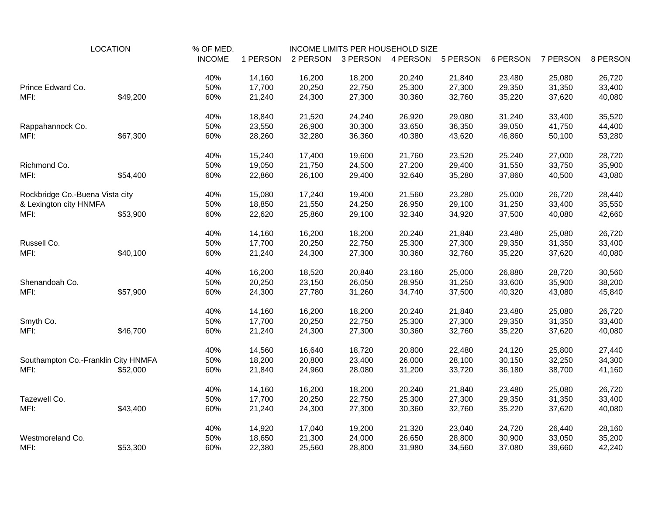| <b>LOCATION</b>                     |          | % OF MED.     |          | INCOME LIMITS PER HOUSEHOLD SIZE |          |          |          |          |          |          |
|-------------------------------------|----------|---------------|----------|----------------------------------|----------|----------|----------|----------|----------|----------|
|                                     |          | <b>INCOME</b> | 1 PERSON | 2 PERSON                         | 3 PERSON | 4 PERSON | 5 PERSON | 6 PERSON | 7 PERSON | 8 PERSON |
|                                     |          | 40%           | 14,160   | 16,200                           | 18,200   | 20,240   | 21,840   | 23,480   | 25,080   | 26,720   |
| Prince Edward Co.                   |          | 50%           | 17,700   | 20,250                           | 22,750   | 25,300   | 27,300   | 29,350   | 31,350   | 33,400   |
| MFI:                                | \$49,200 | 60%           | 21,240   | 24,300                           | 27,300   | 30,360   | 32,760   | 35,220   | 37,620   | 40,080   |
|                                     |          | 40%           | 18,840   | 21,520                           | 24,240   | 26,920   | 29,080   | 31,240   | 33,400   | 35,520   |
| Rappahannock Co.                    |          | 50%           | 23,550   | 26,900                           | 30,300   | 33,650   | 36,350   | 39,050   | 41,750   | 44,400   |
| MFI:                                | \$67,300 | 60%           | 28,260   | 32,280                           | 36,360   | 40,380   | 43,620   | 46,860   | 50,100   | 53,280   |
|                                     |          | 40%           | 15,240   | 17,400                           | 19,600   | 21,760   | 23,520   | 25,240   | 27,000   | 28,720   |
| Richmond Co.                        |          | 50%           | 19,050   | 21,750                           | 24,500   | 27,200   | 29,400   | 31,550   | 33,750   | 35,900   |
| MFI:                                | \$54,400 | 60%           | 22,860   | 26,100                           | 29,400   | 32,640   | 35,280   | 37,860   | 40,500   | 43,080   |
| Rockbridge Co.-Buena Vista city     |          | 40%           | 15,080   | 17,240                           | 19,400   | 21,560   | 23,280   | 25,000   | 26,720   | 28,440   |
| & Lexington city HNMFA              |          | 50%           | 18,850   | 21,550                           | 24,250   | 26,950   | 29,100   | 31,250   | 33,400   | 35,550   |
| MFI:                                | \$53,900 | 60%           | 22,620   | 25,860                           | 29,100   | 32,340   | 34,920   | 37,500   | 40,080   | 42,660   |
|                                     |          | 40%           | 14,160   | 16,200                           | 18,200   | 20,240   | 21,840   | 23,480   | 25,080   | 26,720   |
| Russell Co.                         |          | 50%           | 17,700   | 20,250                           | 22,750   | 25,300   | 27,300   | 29,350   | 31,350   | 33,400   |
| MFI:                                | \$40,100 | 60%           | 21,240   | 24,300                           | 27,300   | 30,360   | 32,760   | 35,220   | 37,620   | 40,080   |
|                                     |          | 40%           | 16,200   | 18,520                           | 20,840   | 23,160   | 25,000   | 26,880   | 28,720   | 30,560   |
| Shenandoah Co.                      |          | 50%           | 20,250   | 23,150                           | 26,050   | 28,950   | 31,250   | 33,600   | 35,900   | 38,200   |
| MFI:                                | \$57,900 | 60%           | 24,300   | 27,780                           | 31,260   | 34,740   | 37,500   | 40,320   | 43,080   | 45,840   |
|                                     |          | 40%           | 14,160   | 16,200                           | 18,200   | 20,240   | 21,840   | 23,480   | 25,080   | 26,720   |
| Smyth Co.                           |          | 50%           | 17,700   | 20,250                           | 22,750   | 25,300   | 27,300   | 29,350   | 31,350   | 33,400   |
| MFI:                                | \$46,700 | 60%           | 21,240   | 24,300                           | 27,300   | 30,360   | 32,760   | 35,220   | 37,620   | 40,080   |
|                                     |          | 40%           | 14,560   | 16,640                           | 18,720   | 20,800   | 22,480   | 24,120   | 25,800   | 27,440   |
| Southampton Co.-Franklin City HNMFA |          | 50%           | 18,200   | 20,800                           | 23,400   | 26,000   | 28,100   | 30,150   | 32,250   | 34,300   |
| MFI:                                | \$52,000 | 60%           | 21,840   | 24,960                           | 28,080   | 31,200   | 33,720   | 36,180   | 38,700   | 41,160   |
|                                     |          | 40%           | 14,160   | 16,200                           | 18,200   | 20,240   | 21,840   | 23,480   | 25,080   | 26,720   |
| Tazewell Co.                        |          | 50%           | 17,700   | 20,250                           | 22,750   | 25,300   | 27,300   | 29,350   | 31,350   | 33,400   |
| MFI:                                | \$43,400 | 60%           | 21,240   | 24,300                           | 27,300   | 30,360   | 32,760   | 35,220   | 37,620   | 40,080   |
|                                     |          | 40%           | 14,920   | 17,040                           | 19,200   | 21,320   | 23,040   | 24,720   | 26,440   | 28,160   |
| Westmoreland Co.                    |          | 50%           | 18,650   | 21,300                           | 24,000   | 26,650   | 28,800   | 30,900   | 33,050   | 35,200   |
| MFI:                                | \$53,300 | 60%           | 22,380   | 25,560                           | 28,800   | 31,980   | 34,560   | 37,080   | 39,660   | 42,240   |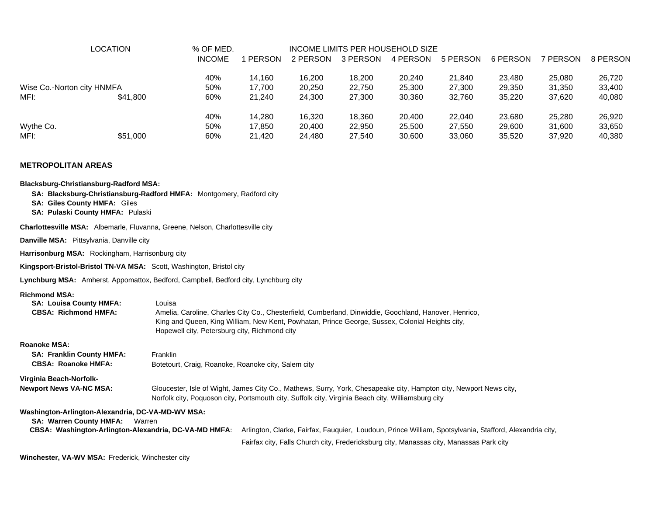|                            | <b>LOCATION</b> | % OF MED.     |        | INCOME LIMITS PER HOUSEHOLD SIZE |          |          |          |          |          |          |  |  |  |
|----------------------------|-----------------|---------------|--------|----------------------------------|----------|----------|----------|----------|----------|----------|--|--|--|
|                            |                 | <b>INCOME</b> | PERSON | 2 PERSON                         | 3 PERSON | 4 PERSON | 5 PERSON | 6 PERSON | 7 PERSON | 8 PERSON |  |  |  |
|                            |                 | 40%           | 14.160 | 16.200                           | 18.200   | 20,240   | 21.840   | 23.480   | 25,080   | 26,720   |  |  |  |
| Wise Co.-Norton city HNMFA |                 | 50%           | 17.700 | 20,250                           | 22,750   | 25,300   | 27,300   | 29,350   | 31.350   | 33,400   |  |  |  |
| MFI:                       | \$41,800        | 60%           | 21.240 | 24.300                           | 27,300   | 30,360   | 32.760   | 35.220   | 37.620   | 40,080   |  |  |  |
|                            |                 | 40%           | 14.280 | 16.320                           | 18.360   | 20,400   | 22,040   | 23,680   | 25,280   | 26,920   |  |  |  |
| Wythe Co.                  |                 | 50%           | 17.850 | 20.400                           | 22,950   | 25,500   | 27.550   | 29,600   | 31.600   | 33,650   |  |  |  |
| MFI:                       | \$51,000        | 60%           | 21.420 | 24,480                           | 27,540   | 30,600   | 33,060   | 35,520   | 37.920   | 40,380   |  |  |  |

#### **METROPOLITAN AREAS**

| <b>Blacksburg-Christiansburg-Radford MSA:</b><br><b>SA: Giles County HMFA: Giles</b><br>SA: Pulaski County HMFA: Pulaski                               | SA: Blacksburg-Christiansburg-Radford HMFA: Montgomery, Radford city                                                                                                                                                                                                |
|--------------------------------------------------------------------------------------------------------------------------------------------------------|---------------------------------------------------------------------------------------------------------------------------------------------------------------------------------------------------------------------------------------------------------------------|
| Charlottesville MSA: Albemarle, Fluvanna, Greene, Nelson, Charlottesville city                                                                         |                                                                                                                                                                                                                                                                     |
| Danville MSA: Pittsylvania, Danville city                                                                                                              |                                                                                                                                                                                                                                                                     |
| Harrisonburg MSA: Rockingham, Harrisonburg city                                                                                                        |                                                                                                                                                                                                                                                                     |
| Kingsport-Bristol-Bristol TN-VA MSA: Scott, Washington, Bristol city                                                                                   |                                                                                                                                                                                                                                                                     |
|                                                                                                                                                        | Lynchburg MSA: Amherst, Appomattox, Bedford, Campbell, Bedford city, Lynchburg city                                                                                                                                                                                 |
| <b>Richmond MSA:</b><br><b>SA: Louisa County HMFA:</b><br><b>CBSA: Richmond HMFA:</b>                                                                  | Louisa<br>Amelia, Caroline, Charles City Co., Chesterfield, Cumberland, Dinwiddie, Goochland, Hanover, Henrico,<br>King and Queen, King William, New Kent, Powhatan, Prince George, Sussex, Colonial Heights city,<br>Hopewell city, Petersburg city, Richmond city |
| <b>Roanoke MSA:</b><br><b>SA: Franklin County HMFA:</b><br><b>CBSA: Roanoke HMFA:</b>                                                                  | Franklin<br>Botetourt, Craig, Roanoke, Roanoke city, Salem city                                                                                                                                                                                                     |
| Virginia Beach-Norfolk-<br><b>Newport News VA-NC MSA:</b>                                                                                              | Gloucester, Isle of Wight, James City Co., Mathews, Surry, York, Chesapeake city, Hampton city, Newport News city,<br>Norfolk city, Poquoson city, Portsmouth city, Suffolk city, Virginia Beach city, Williamsburg city                                            |
| Washington-Arlington-Alexandria, DC-VA-MD-WV MSA:<br><b>SA: Warren County HMFA:</b><br>Warren<br>CBSA: Washington-Arlington-Alexandria, DC-VA-MD HMFA: | Arlington, Clarke, Fairfax, Fauguier, Loudoun, Prince William, Spotsylvania, Stafford, Alexandria city,<br>Fairfax city, Falls Church city, Fredericksburg city, Manassas city, Manassas Park city                                                                  |

**Winchester, VA-WV MSA:** Frederick, Winchester city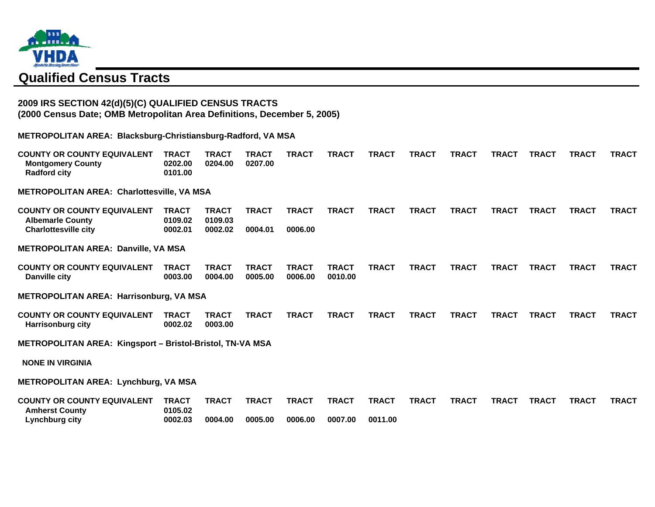

# **Qualified Census Tracts**

## **2009 IRS SECTION 42(d)(5)(C) QUALIFIED CENSUS TRACTS (2000 Census Date; OMB Metropolitan Area Definitions, December 5, 2005)**

**METROPOLITAN AREA: Blacksburg-Christiansburg-Radford, VA MSA**

| <b>COUNTY OR COUNTY EQUIVALENT</b><br><b>Montgomery County</b><br><b>Radford city</b> | <b>TRACT</b><br>0202.00<br>0101.00 | <b>TRACT</b><br>0204.00 | TRACT<br>0207.00        | <b>TRACT</b>            | <b>TRACT</b>            | <b>TRACT</b> | <b>TRACT</b> | <b>TRACT</b> | <b>TRACT</b> | <b>TRACT</b> | <b>TRACT</b> | <b>TRACT</b> |
|---------------------------------------------------------------------------------------|------------------------------------|-------------------------|-------------------------|-------------------------|-------------------------|--------------|--------------|--------------|--------------|--------------|--------------|--------------|
| <b>METROPOLITAN AREA: Charlottesville, VA MSA</b>                                     |                                    |                         |                         |                         |                         |              |              |              |              |              |              |              |
| <b>COUNTY OR COUNTY EQUIVALENT</b><br><b>Albemarle County</b>                         | <b>TRACT</b><br>0109.02            | <b>TRACT</b><br>0109.03 | <b>TRACT</b>            | <b>TRACT</b>            | <b>TRACT</b>            | <b>TRACT</b> | <b>TRACT</b> | <b>TRACT</b> | <b>TRACT</b> | <b>TRACT</b> | <b>TRACT</b> | <b>TRACT</b> |
| <b>Charlottesville city</b>                                                           | 0002.01                            | 0002.02                 | 0004.01                 | 0006.00                 |                         |              |              |              |              |              |              |              |
| <b>METROPOLITAN AREA: Danville, VA MSA</b>                                            |                                    |                         |                         |                         |                         |              |              |              |              |              |              |              |
| <b>COUNTY OR COUNTY EQUIVALENT</b><br>Danville city                                   | <b>TRACT</b><br>0003.00            | <b>TRACT</b><br>0004.00 | <b>TRACT</b><br>0005.00 | <b>TRACT</b><br>0006.00 | <b>TRACT</b><br>0010.00 | <b>TRACT</b> | <b>TRACT</b> | <b>TRACT</b> | <b>TRACT</b> | <b>TRACT</b> | <b>TRACT</b> | <b>TRACT</b> |
| <b>METROPOLITAN AREA: Harrisonburg, VA MSA</b>                                        |                                    |                         |                         |                         |                         |              |              |              |              |              |              |              |
| <b>COUNTY OR COUNTY EQUIVALENT</b><br><b>Harrisonburg city</b>                        | <b>TRACT</b><br>0002.02            | <b>TRACT</b><br>0003.00 | <b>TRACT</b>            | <b>TRACT</b>            | <b>TRACT</b>            | <b>TRACT</b> | <b>TRACT</b> | <b>TRACT</b> | <b>TRACT</b> | <b>TRACT</b> | <b>TRACT</b> | <b>TRACT</b> |
| METROPOLITAN AREA: Kingsport - Bristol-Bristol, TN-VA MSA                             |                                    |                         |                         |                         |                         |              |              |              |              |              |              |              |
| <b>NONE IN VIRGINIA</b>                                                               |                                    |                         |                         |                         |                         |              |              |              |              |              |              |              |
| <b>METROPOLITAN AREA: Lynchburg, VA MSA</b>                                           |                                    |                         |                         |                         |                         |              |              |              |              |              |              |              |
| <b>COUNTY OR COUNTY EQUIVALENT</b><br><b>Amherst County</b>                           | <b>TRACT</b><br>0105.02            | <b>TRACT</b>            | <b>TRACT</b>            | <b>TRACT</b>            | <b>TRACT</b>            | <b>TRACT</b> | <b>TRACT</b> | <b>TRACT</b> | <b>TRACT</b> | <b>TRACT</b> | <b>TRACT</b> | <b>TRACT</b> |
| Lynchburg city                                                                        | 0002.03                            | 0004.00                 | 0005.00                 | 0006.00                 | 0007.00                 | 0011.00      |              |              |              |              |              |              |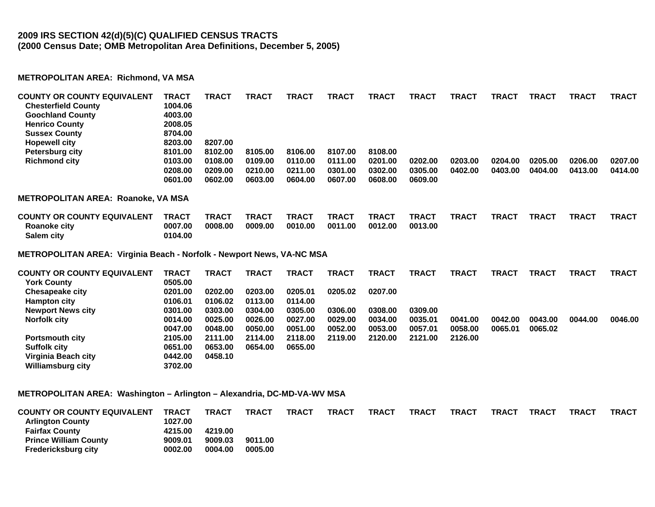## **2009 IRS SECTION 42(d)(5)(C) QUALIFIED CENSUS TRACTS (2000 Census Date; OMB Metropolitan Area Definitions, December 5, 2005)**

### **METROPOLITAN AREA: Richmond, VA MSA**

| <b>COUNTY OR COUNTY EQUIVALENT</b><br><b>Chesterfield County</b><br><b>Goochland County</b> | <b>TRACT</b><br>1004.06<br>4003.00 | <b>TRACT</b>       | TRACT        | <b>TRACT</b>       | <b>TRACT</b>       | <b>TRACT</b>       | <b>TRACT</b>       | <b>TRACT</b> | <b>TRACT</b> | TRACT        | TRACT        | <b>TRACT</b> |
|---------------------------------------------------------------------------------------------|------------------------------------|--------------------|--------------|--------------------|--------------------|--------------------|--------------------|--------------|--------------|--------------|--------------|--------------|
| <b>Henrico County</b>                                                                       | 2008.05                            |                    |              |                    |                    |                    |                    |              |              |              |              |              |
| <b>Sussex County</b>                                                                        | 8704.00                            |                    |              |                    |                    |                    |                    |              |              |              |              |              |
| <b>Hopewell city</b>                                                                        | 8203.00                            | 8207.00            |              |                    |                    |                    |                    |              |              |              |              |              |
| <b>Petersburg city</b>                                                                      | 8101.00                            | 8102.00            | 8105.00      | 8106.00            | 8107.00            | 8108.00            |                    |              |              |              |              |              |
| <b>Richmond city</b>                                                                        | 0103.00                            | 0108.00            | 0109.00      | 0110.00            | 0111.00            | 0201.00            | 0202.00            | 0203.00      | 0204.00      | 0205.00      | 0206.00      | 0207.00      |
|                                                                                             | 0208.00<br>0601.00                 | 0209.00<br>0602.00 | 0210.00      | 0211.00<br>0604.00 | 0301.00<br>0607.00 | 0302.00<br>0608.00 | 0305.00<br>0609.00 | 0402.00      | 0403.00      | 0404.00      | 0413.00      | 0414.00      |
|                                                                                             |                                    |                    | 0603.00      |                    |                    |                    |                    |              |              |              |              |              |
| <b>METROPOLITAN AREA: Roanoke, VA MSA</b>                                                   |                                    |                    |              |                    |                    |                    |                    |              |              |              |              |              |
| <b>COUNTY OR COUNTY EQUIVALENT</b>                                                          | <b>TRACT</b>                       | <b>TRACT</b>       | <b>TRACT</b> | <b>TRACT</b>       | <b>TRACT</b>       | <b>TRACT</b>       | <b>TRACT</b>       | <b>TRACT</b> | <b>TRACT</b> | <b>TRACT</b> | <b>TRACT</b> | <b>TRACT</b> |
| Roanoke city                                                                                | 0007.00                            | 0008.00            | 0009.00      | 0010.00            | 0011.00            | 0012.00            | 0013.00            |              |              |              |              |              |
| Salem city                                                                                  | 0104.00                            |                    |              |                    |                    |                    |                    |              |              |              |              |              |
| METROPOLITAN AREA: Virginia Beach - Norfolk - Newport News, VA-NC MSA                       |                                    |                    |              |                    |                    |                    |                    |              |              |              |              |              |
| <b>COUNTY OR COUNTY EQUIVALENT</b>                                                          | <b>TRACT</b>                       | <b>TRACT</b>       | <b>TRACT</b> | <b>TRACT</b>       | <b>TRACT</b>       | <b>TRACT</b>       | <b>TRACT</b>       | <b>TRACT</b> | <b>TRACT</b> | <b>TRACT</b> | <b>TRACT</b> | <b>TRACT</b> |
| <b>York County</b>                                                                          | 0505.00                            |                    |              |                    |                    |                    |                    |              |              |              |              |              |
| <b>Chesapeake city</b>                                                                      | 0201.00                            | 0202.00            | 0203.00      | 0205.01            | 0205.02            | 0207.00            |                    |              |              |              |              |              |
| <b>Hampton city</b>                                                                         | 0106.01                            | 0106.02            | 0113.00      | 0114.00            |                    |                    |                    |              |              |              |              |              |
| <b>Newport News city</b>                                                                    | 0301.00                            | 0303.00            | 0304.00      | 0305.00            | 0306.00            | 0308.00            | 0309.00            |              |              |              |              |              |
| <b>Norfolk city</b>                                                                         | 0014.00                            | 0025.00            | 0026.00      | 0027.00            | 0029.00            | 0034.00            | 0035.01            | 0041.00      | 0042.00      | 0043.00      | 0044.00      | 0046.00      |
|                                                                                             | 0047.00                            | 0048.00            | 0050.00      | 0051.00            | 0052.00            | 0053.00            | 0057.01            | 0058,00      | 0065.01      | 0065.02      |              |              |
| <b>Portsmouth city</b>                                                                      | 2105.00                            | 2111.00            | 2114.00      | 2118.00            | 2119.00            | 2120.00            | 2121.00            | 2126.00      |              |              |              |              |
| <b>Suffolk city</b>                                                                         | 0651.00                            | 0653.00            | 0654.00      | 0655.00            |                    |                    |                    |              |              |              |              |              |

#### **METROPOLITAN AREA: Washington – Arlington – Alexandria, DC-MD-VA-WV MSA**

**Virginia Beach city 0442.00 0458.10** 

**Williamsburg city 3702.00** 

| <b>COUNTY OR COUNTY EQUIVALENT</b> | <b>TRACT</b> | <b>TRACT</b> | <b>TRACT</b> | TRACT | <b>TRACT</b> | <b>TRACT</b> | <b>TRACT</b> | <b>TRACT</b> | <b>TRACT</b> | <b>TRACT</b> | TRACT | <b>TRACT</b> |
|------------------------------------|--------------|--------------|--------------|-------|--------------|--------------|--------------|--------------|--------------|--------------|-------|--------------|
| <b>Arlington County</b>            | 1027.00      |              |              |       |              |              |              |              |              |              |       |              |
| <b>Fairfax County</b>              | 4215.00      | 4219.00      |              |       |              |              |              |              |              |              |       |              |
| <b>Prince William County</b>       | 9009.01      | 9009.03      | 9011.00      |       |              |              |              |              |              |              |       |              |
| <b>Fredericksburg city</b>         | 0002.00      | 0004.00      | 0005.00      |       |              |              |              |              |              |              |       |              |